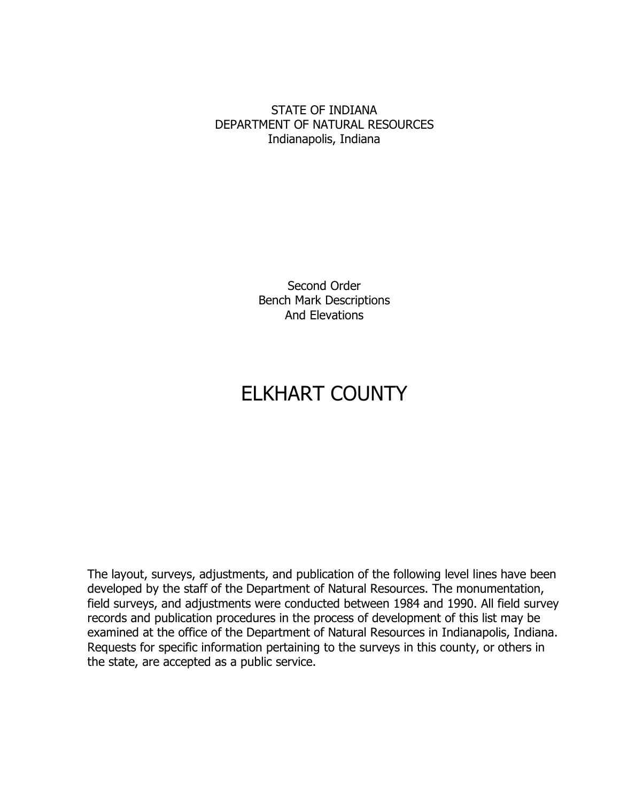STATE OF INDIANA DEPARTMENT OF NATURAL RESOURCES Indianapolis, Indiana

> Second Order Bench Mark Descriptions And Elevations

# ELKHART COUNTY

The layout, surveys, adjustments, and publication of the following level lines have been developed by the staff of the Department of Natural Resources. The monumentation, field surveys, and adjustments were conducted between 1984 and 1990. All field survey records and publication procedures in the process of development of this list may be examined at the office of the Department of Natural Resources in Indianapolis, Indiana. Requests for specific information pertaining to the surveys in this county, or others in the state, are accepted as a public service.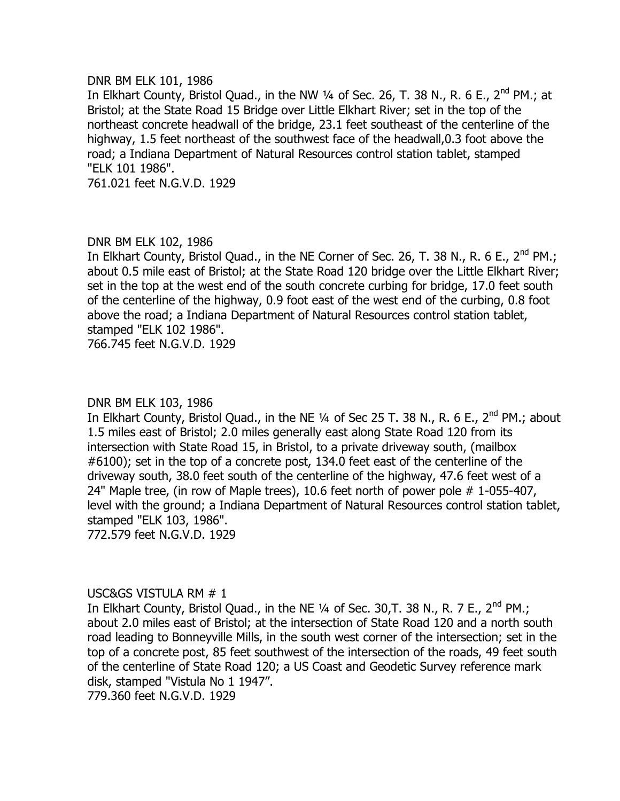#### DNR BM ELK 101, 1986

In Elkhart County, Bristol Quad., in the NW 1/4 of Sec. 26, T. 38 N., R. 6 E., 2<sup>nd</sup> PM.; at Bristol; at the State Road 15 Bridge over Little Elkhart River; set in the top of the northeast concrete headwall of the bridge, 23.1 feet southeast of the centerline of the highway, 1.5 feet northeast of the southwest face of the headwall,0.3 foot above the road; a Indiana Department of Natural Resources control station tablet, stamped "ELK 101 1986".

761.021 feet N.G.V.D. 1929

## DNR BM ELK 102, 1986

In Elkhart County, Bristol Quad., in the NE Corner of Sec. 26, T. 38 N., R. 6 E., 2<sup>nd</sup> PM.; about 0.5 mile east of Bristol; at the State Road 120 bridge over the Little Elkhart River; set in the top at the west end of the south concrete curbing for bridge, 17.0 feet south of the centerline of the highway, 0.9 foot east of the west end of the curbing, 0.8 foot above the road; a Indiana Department of Natural Resources control station tablet, stamped "ELK 102 1986".

766.745 feet N.G.V.D. 1929

## DNR BM ELK 103, 1986

In Elkhart County, Bristol Quad., in the NE 1/4 of Sec 25 T. 38 N., R. 6 E., 2<sup>nd</sup> PM.; about 1.5 miles east of Bristol; 2.0 miles generally east along State Road 120 from its intersection with State Road 15, in Bristol, to a private driveway south, (mailbox #6100); set in the top of a concrete post, 134.0 feet east of the centerline of the driveway south, 38.0 feet south of the centerline of the highway, 47.6 feet west of a 24" Maple tree, (in row of Maple trees), 10.6 feet north of power pole # 1-055-407, level with the ground; a Indiana Department of Natural Resources control station tablet, stamped "ELK 103, 1986".

772.579 feet N.G.V.D. 1929

## USC&GS VISTULA RM # 1

In Elkhart County, Bristol Quad., in the NE 1/4 of Sec. 30, T. 38 N., R. 7 E., 2<sup>nd</sup> PM.; about 2.0 miles east of Bristol; at the intersection of State Road 120 and a north south road leading to Bonneyville Mills, in the south west corner of the intersection; set in the top of a concrete post, 85 feet southwest of the intersection of the roads, 49 feet south of the centerline of State Road 120; a US Coast and Geodetic Survey reference mark disk, stamped "Vistula No 1 1947".

779.360 feet N.G.V.D. 1929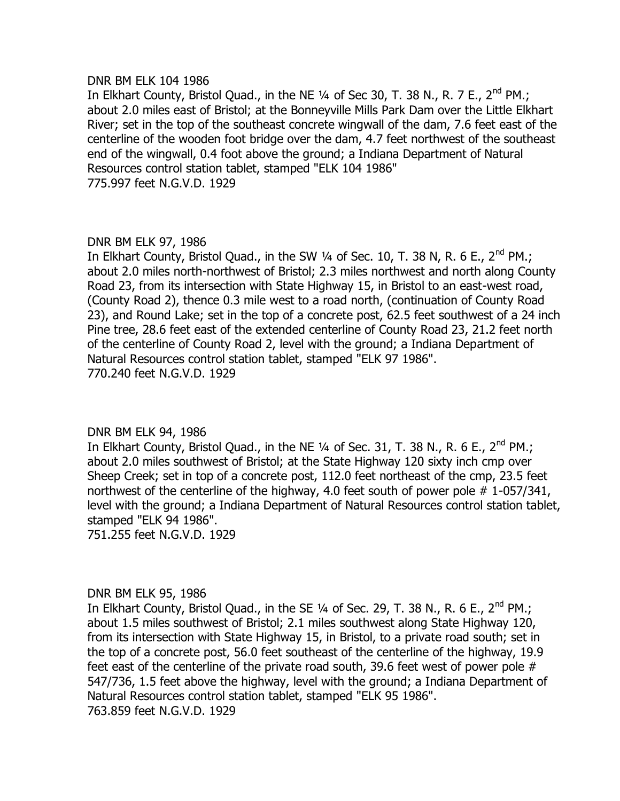#### DNR BM ELK 104 1986

In Elkhart County, Bristol Quad., in the NE  $\frac{1}{4}$  of Sec 30, T. 38 N., R. 7 E., 2<sup>nd</sup> PM.; about 2.0 miles east of Bristol; at the Bonneyville Mills Park Dam over the Little Elkhart River; set in the top of the southeast concrete wingwall of the dam, 7.6 feet east of the centerline of the wooden foot bridge over the dam, 4.7 feet northwest of the southeast end of the wingwall, 0.4 foot above the ground; a Indiana Department of Natural Resources control station tablet, stamped "ELK 104 1986" 775.997 feet N.G.V.D. 1929

## DNR BM ELK 97, 1986

In Elkhart County, Bristol Quad., in the SW  $\frac{1}{4}$  of Sec. 10, T. 38 N, R. 6 E., 2<sup>nd</sup> PM.; about 2.0 miles north-northwest of Bristol; 2.3 miles northwest and north along County Road 23, from its intersection with State Highway 15, in Bristol to an east-west road, (County Road 2), thence 0.3 mile west to a road north, (continuation of County Road 23), and Round Lake; set in the top of a concrete post, 62.5 feet southwest of a 24 inch Pine tree, 28.6 feet east of the extended centerline of County Road 23, 21.2 feet north of the centerline of County Road 2, level with the ground; a Indiana Department of Natural Resources control station tablet, stamped "ELK 97 1986". 770.240 feet N.G.V.D. 1929

## DNR BM ELK 94, 1986

In Elkhart County, Bristol Quad., in the NE  $\frac{1}{4}$  of Sec. 31, T. 38 N., R. 6 E., 2<sup>nd</sup> PM.; about 2.0 miles southwest of Bristol; at the State Highway 120 sixty inch cmp over Sheep Creek; set in top of a concrete post, 112.0 feet northeast of the cmp, 23.5 feet northwest of the centerline of the highway, 4.0 feet south of power pole # 1-057/341, level with the ground; a Indiana Department of Natural Resources control station tablet, stamped "ELK 94 1986".

751.255 feet N.G.V.D. 1929

## DNR BM ELK 95, 1986

In Elkhart County, Bristol Quad., in the SE  $\frac{1}{4}$  of Sec. 29, T. 38 N., R. 6 E., 2<sup>nd</sup> PM.; about 1.5 miles southwest of Bristol; 2.1 miles southwest along State Highway 120, from its intersection with State Highway 15, in Bristol, to a private road south; set in the top of a concrete post, 56.0 feet southeast of the centerline of the highway, 19.9 feet east of the centerline of the private road south, 39.6 feet west of power pole # 547/736, 1.5 feet above the highway, level with the ground; a Indiana Department of Natural Resources control station tablet, stamped "ELK 95 1986". 763.859 feet N.G.V.D. 1929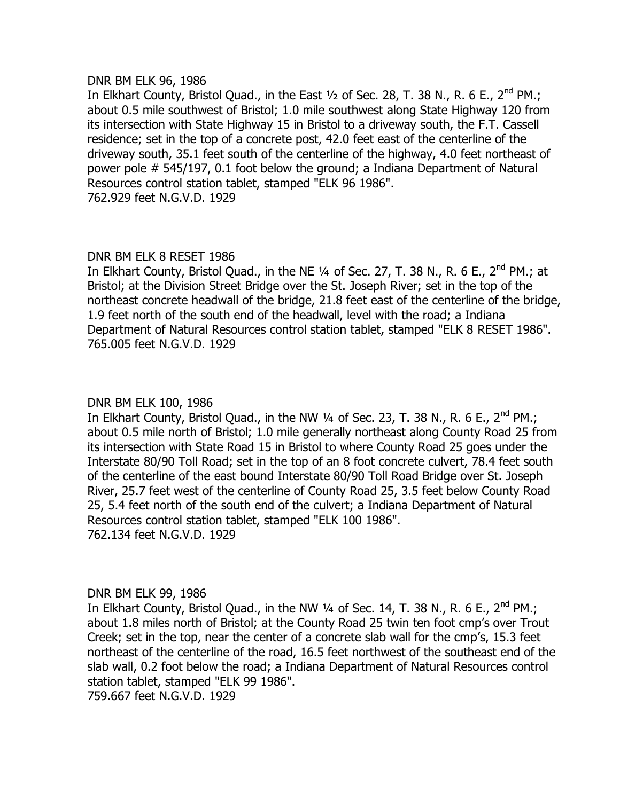#### DNR BM ELK 96, 1986

In Elkhart County, Bristol Quad., in the East  $1/2$  of Sec. 28, T. 38 N., R. 6 E., 2<sup>nd</sup> PM.; about 0.5 mile southwest of Bristol; 1.0 mile southwest along State Highway 120 from its intersection with State Highway 15 in Bristol to a driveway south, the F.T. Cassell residence; set in the top of a concrete post, 42.0 feet east of the centerline of the driveway south, 35.1 feet south of the centerline of the highway, 4.0 feet northeast of power pole # 545/197, 0.1 foot below the ground; a Indiana Department of Natural Resources control station tablet, stamped "ELK 96 1986". 762.929 feet N.G.V.D. 1929

#### DNR BM ELK 8 RESET 1986

In Elkhart County, Bristol Quad., in the NE 1/4 of Sec. 27, T. 38 N., R. 6 E., 2<sup>nd</sup> PM.; at Bristol; at the Division Street Bridge over the St. Joseph River; set in the top of the northeast concrete headwall of the bridge, 21.8 feet east of the centerline of the bridge, 1.9 feet north of the south end of the headwall, level with the road; a Indiana Department of Natural Resources control station tablet, stamped "ELK 8 RESET 1986". 765.005 feet N.G.V.D. 1929

## DNR BM ELK 100, 1986

In Elkhart County, Bristol Quad., in the NW  $\frac{1}{4}$  of Sec. 23, T. 38 N., R. 6 E., 2<sup>nd</sup> PM.; about 0.5 mile north of Bristol; 1.0 mile generally northeast along County Road 25 from its intersection with State Road 15 in Bristol to where County Road 25 goes under the Interstate 80/90 Toll Road; set in the top of an 8 foot concrete culvert, 78.4 feet south of the centerline of the east bound Interstate 80/90 Toll Road Bridge over St. Joseph River, 25.7 feet west of the centerline of County Road 25, 3.5 feet below County Road 25, 5.4 feet north of the south end of the culvert; a Indiana Department of Natural Resources control station tablet, stamped "ELK 100 1986". 762.134 feet N.G.V.D. 1929

## DNR BM ELK 99, 1986

In Elkhart County, Bristol Quad., in the NW  $\frac{1}{4}$  of Sec. 14, T. 38 N., R. 6 E., 2<sup>nd</sup> PM.; about 1.8 miles north of Bristol; at the County Road 25 twin ten foot cmp's over Trout Creek; set in the top, near the center of a concrete slab wall for the cmp's, 15.3 feet northeast of the centerline of the road, 16.5 feet northwest of the southeast end of the slab wall, 0.2 foot below the road; a Indiana Department of Natural Resources control station tablet, stamped "ELK 99 1986". 759.667 feet N.G.V.D. 1929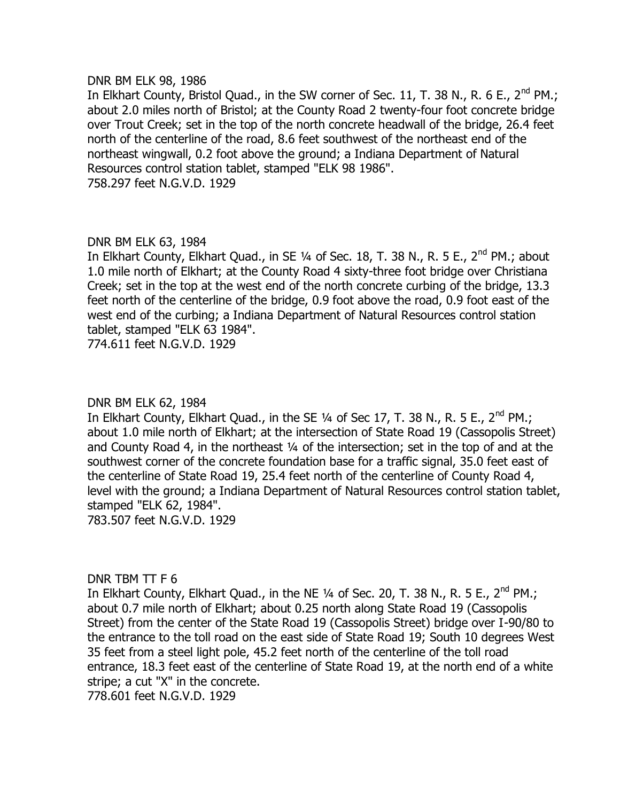#### DNR BM ELK 98, 1986

In Elkhart County, Bristol Quad., in the SW corner of Sec. 11, T. 38 N., R. 6 E., 2<sup>nd</sup> PM.; about 2.0 miles north of Bristol; at the County Road 2 twenty-four foot concrete bridge over Trout Creek; set in the top of the north concrete headwall of the bridge, 26.4 feet north of the centerline of the road, 8.6 feet southwest of the northeast end of the northeast wingwall, 0.2 foot above the ground; a Indiana Department of Natural Resources control station tablet, stamped "ELK 98 1986". 758.297 feet N.G.V.D. 1929

## DNR BM ELK 63, 1984

In Elkhart County, Elkhart Quad., in SE 1/4 of Sec. 18, T. 38 N., R. 5 E., 2<sup>nd</sup> PM.; about 1.0 mile north of Elkhart; at the County Road 4 sixty-three foot bridge over Christiana Creek; set in the top at the west end of the north concrete curbing of the bridge, 13.3 feet north of the centerline of the bridge, 0.9 foot above the road, 0.9 foot east of the west end of the curbing; a Indiana Department of Natural Resources control station tablet, stamped "ELK 63 1984".

774.611 feet N.G.V.D. 1929

#### DNR BM ELK 62, 1984

In Elkhart County, Elkhart Quad., in the SE  $\frac{1}{4}$  of Sec 17, T. 38 N., R. 5 E., 2<sup>nd</sup> PM.; about 1.0 mile north of Elkhart; at the intersection of State Road 19 (Cassopolis Street) and County Road 4, in the northeast 1/4 of the intersection; set in the top of and at the southwest corner of the concrete foundation base for a traffic signal, 35.0 feet east of the centerline of State Road 19, 25.4 feet north of the centerline of County Road 4, level with the ground; a Indiana Department of Natural Resources control station tablet, stamped "ELK 62, 1984".

783.507 feet N.G.V.D. 1929

## DNR TBM TT F 6

In Elkhart County, Elkhart Quad., in the NE 1/4 of Sec. 20, T. 38 N., R. 5 E., 2<sup>nd</sup> PM.; about 0.7 mile north of Elkhart; about 0.25 north along State Road 19 (Cassopolis Street) from the center of the State Road 19 (Cassopolis Street) bridge over I-90/80 to the entrance to the toll road on the east side of State Road 19; South 10 degrees West 35 feet from a steel light pole, 45.2 feet north of the centerline of the toll road entrance, 18.3 feet east of the centerline of State Road 19, at the north end of a white stripe; a cut "X" in the concrete.

778.601 feet N.G.V.D. 1929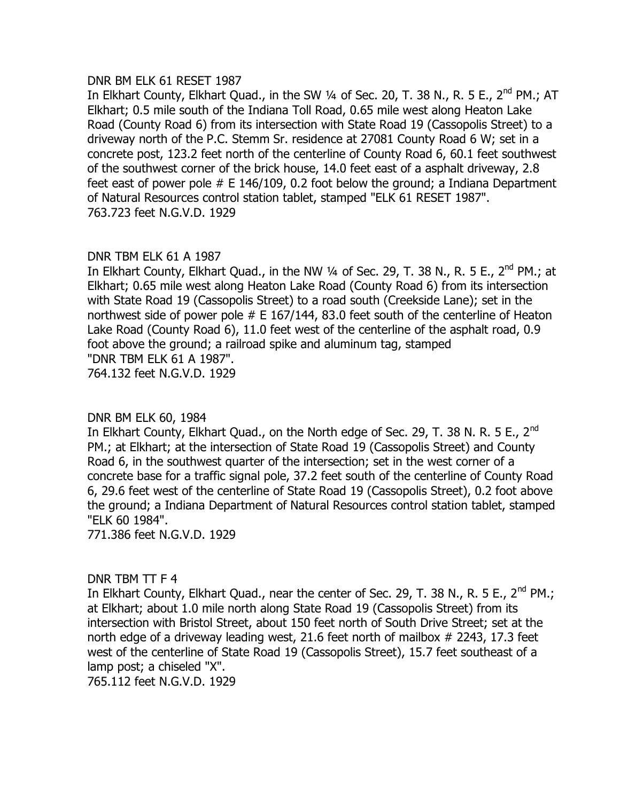#### DNR BM ELK 61 RESET 1987

In Elkhart County, Elkhart Quad., in the SW 1/4 of Sec. 20, T. 38 N., R. 5 E., 2<sup>nd</sup> PM.; AT Elkhart; 0.5 mile south of the Indiana Toll Road, 0.65 mile west along Heaton Lake Road (County Road 6) from its intersection with State Road 19 (Cassopolis Street) to a driveway north of the P.C. Stemm Sr. residence at 27081 County Road 6 W; set in a concrete post, 123.2 feet north of the centerline of County Road 6, 60.1 feet southwest of the southwest corner of the brick house, 14.0 feet east of a asphalt driveway, 2.8 feet east of power pole  $# E$  146/109, 0.2 foot below the ground; a Indiana Department of Natural Resources control station tablet, stamped "ELK 61 RESET 1987". 763.723 feet N.G.V.D. 1929

# DNR TBM ELK 61 A 1987

In Elkhart County, Elkhart Quad., in the NW 1/4 of Sec. 29, T. 38 N., R. 5 E., 2<sup>nd</sup> PM.; at Elkhart; 0.65 mile west along Heaton Lake Road (County Road 6) from its intersection with State Road 19 (Cassopolis Street) to a road south (Creekside Lane); set in the northwest side of power pole # E 167/144, 83.0 feet south of the centerline of Heaton Lake Road (County Road 6), 11.0 feet west of the centerline of the asphalt road, 0.9 foot above the ground; a railroad spike and aluminum tag, stamped "DNR TBM ELK 61 A 1987". 764.132 feet N.G.V.D. 1929

## DNR BM ELK 60, 1984

In Elkhart County, Elkhart Quad., on the North edge of Sec. 29, T. 38 N. R. 5 E., 2<sup>nd</sup> PM.; at Elkhart; at the intersection of State Road 19 (Cassopolis Street) and County Road 6, in the southwest quarter of the intersection; set in the west corner of a concrete base for a traffic signal pole, 37.2 feet south of the centerline of County Road 6, 29.6 feet west of the centerline of State Road 19 (Cassopolis Street), 0.2 foot above the ground; a Indiana Department of Natural Resources control station tablet, stamped "ELK 60 1984".

771.386 feet N.G.V.D. 1929

## DNR TBM TT F 4

In Elkhart County, Elkhart Quad., near the center of Sec. 29, T. 38 N., R. 5 E.,  $2^{nd}$  PM.; at Elkhart; about 1.0 mile north along State Road 19 (Cassopolis Street) from its intersection with Bristol Street, about 150 feet north of South Drive Street; set at the north edge of a driveway leading west, 21.6 feet north of mailbox # 2243, 17.3 feet west of the centerline of State Road 19 (Cassopolis Street), 15.7 feet southeast of a lamp post; a chiseled "X".

765.112 feet N.G.V.D. 1929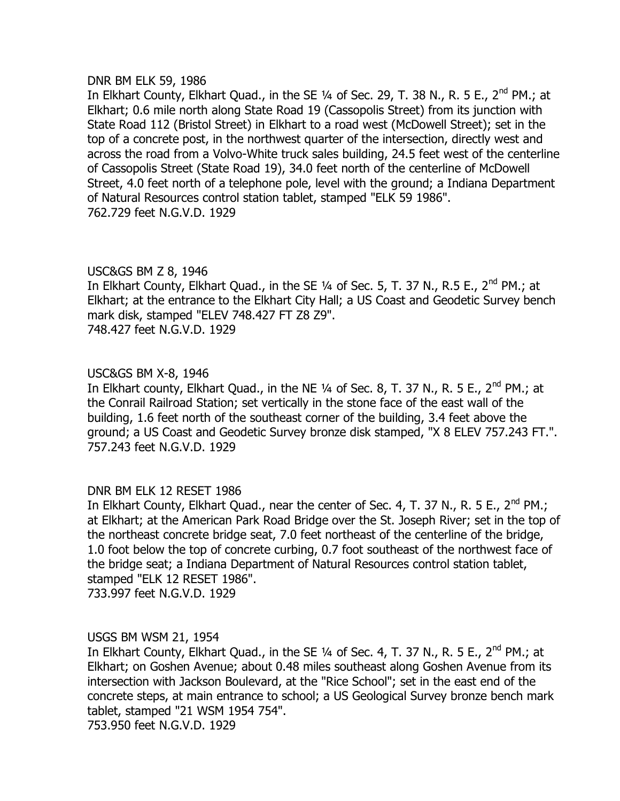#### DNR BM ELK 59, 1986

In Elkhart County, Elkhart Quad., in the SE 1/4 of Sec. 29, T. 38 N., R. 5 E., 2<sup>nd</sup> PM.; at Elkhart; 0.6 mile north along State Road 19 (Cassopolis Street) from its junction with State Road 112 (Bristol Street) in Elkhart to a road west (McDowell Street); set in the top of a concrete post, in the northwest quarter of the intersection, directly west and across the road from a Volvo-White truck sales building, 24.5 feet west of the centerline of Cassopolis Street (State Road 19), 34.0 feet north of the centerline of McDowell Street, 4.0 feet north of a telephone pole, level with the ground; a Indiana Department of Natural Resources control station tablet, stamped "ELK 59 1986". 762.729 feet N.G.V.D. 1929

### USC&GS BM Z 8, 1946

In Elkhart County, Elkhart Quad., in the SE 1/4 of Sec. 5, T. 37 N., R.5 E., 2<sup>nd</sup> PM.; at Elkhart; at the entrance to the Elkhart City Hall; a US Coast and Geodetic Survey bench mark disk, stamped "ELEV 748.427 FT Z8 Z9". 748.427 feet N.G.V.D. 1929

## USC&GS BM X-8, 1946

In Elkhart county, Elkhart Quad., in the NE  $\frac{1}{4}$  of Sec. 8, T. 37 N., R. 5 E., 2<sup>nd</sup> PM.; at the Conrail Railroad Station; set vertically in the stone face of the east wall of the building, 1.6 feet north of the southeast corner of the building, 3.4 feet above the ground; a US Coast and Geodetic Survey bronze disk stamped, "X 8 ELEV 757.243 FT.". 757.243 feet N.G.V.D. 1929

#### DNR BM ELK 12 RESET 1986

In Elkhart County, Elkhart Quad., near the center of Sec. 4, T. 37 N., R. 5 E., 2<sup>nd</sup> PM.; at Elkhart; at the American Park Road Bridge over the St. Joseph River; set in the top of the northeast concrete bridge seat, 7.0 feet northeast of the centerline of the bridge, 1.0 foot below the top of concrete curbing, 0.7 foot southeast of the northwest face of the bridge seat; a Indiana Department of Natural Resources control station tablet, stamped "ELK 12 RESET 1986". 733.997 feet N.G.V.D. 1929

#### USGS BM WSM 21, 1954

In Elkhart County, Elkhart Quad., in the SE 1/4 of Sec. 4, T. 37 N., R. 5 E., 2<sup>nd</sup> PM.; at Elkhart; on Goshen Avenue; about 0.48 miles southeast along Goshen Avenue from its intersection with Jackson Boulevard, at the "Rice School"; set in the east end of the concrete steps, at main entrance to school; a US Geological Survey bronze bench mark tablet, stamped "21 WSM 1954 754".

753.950 feet N.G.V.D. 1929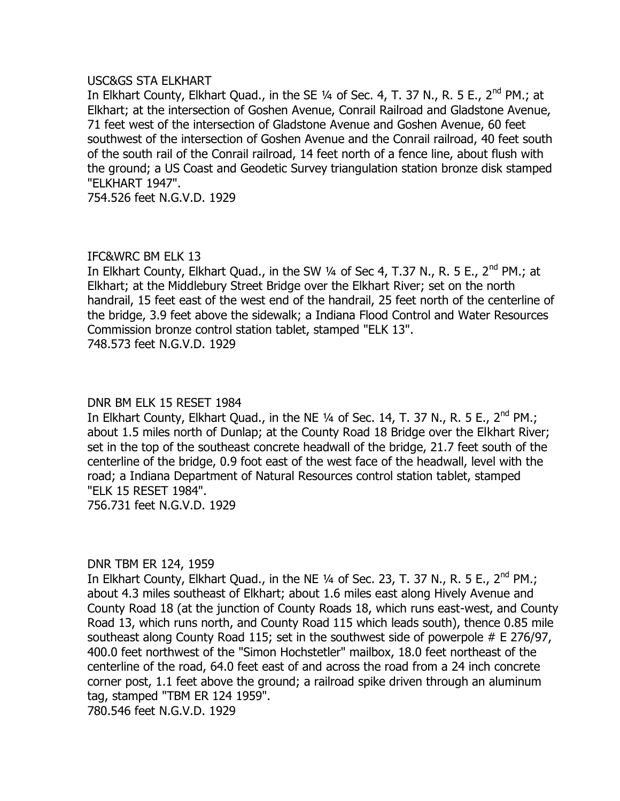#### USC&GS STA ELKHART

In Elkhart County, Elkhart Quad., in the SE 1/4 of Sec. 4, T. 37 N., R. 5 E., 2<sup>nd</sup> PM.; at Elkhart; at the intersection of Goshen Avenue, Conrail Railroad and Gladstone Avenue, 71 feet west of the intersection of Gladstone Avenue and Goshen Avenue, 60 feet southwest of the intersection of Goshen Avenue and the Conrail railroad, 40 feet south of the south rail of the Conrail railroad, 14 feet north of a fence line, about flush with the ground; a US Coast and Geodetic Survey triangulation station bronze disk stamped "ELKHART 1947".

754.526 feet N.G.V.D. 1929

# IFC&WRC BM ELK 13

In Elkhart County, Elkhart Quad., in the SW 1/4 of Sec 4, T.37 N., R. 5 E., 2<sup>nd</sup> PM.; at Elkhart; at the Middlebury Street Bridge over the Elkhart River; set on the north handrail, 15 feet east of the west end of the handrail, 25 feet north of the centerline of the bridge, 3.9 feet above the sidewalk; a Indiana Flood Control and Water Resources Commission bronze control station tablet, stamped "ELK 13". 748.573 feet N.G.V.D. 1929

## DNR BM ELK 15 RESET 1984

In Elkhart County, Elkhart Quad., in the NE 1/4 of Sec. 14, T. 37 N., R. 5 E., 2<sup>nd</sup> PM.; about 1.5 miles north of Dunlap; at the County Road 18 Bridge over the Elkhart River; set in the top of the southeast concrete headwall of the bridge, 21.7 feet south of the centerline of the bridge, 0.9 foot east of the west face of the headwall, level with the road; a Indiana Department of Natural Resources control station tablet, stamped "ELK 15 RESET 1984".

756.731 feet N.G.V.D. 1929

## DNR TBM ER 124, 1959

In Elkhart County, Elkhart Quad., in the NE  $\frac{1}{4}$  of Sec. 23, T. 37 N., R. 5 E., 2<sup>nd</sup> PM.; about 4.3 miles southeast of Elkhart; about 1.6 miles east along Hively Avenue and County Road 18 (at the junction of County Roads 18, which runs east-west, and County Road 13, which runs north, and County Road 115 which leads south), thence 0.85 mile southeast along County Road 115; set in the southwest side of powerpole # E 276/97, 400.0 feet northwest of the "Simon Hochstetler" mailbox, 18.0 feet northeast of the centerline of the road, 64.0 feet east of and across the road from a 24 inch concrete corner post, 1.1 feet above the ground; a railroad spike driven through an aluminum tag, stamped "TBM ER 124 1959".

780.546 feet N.G.V.D. 1929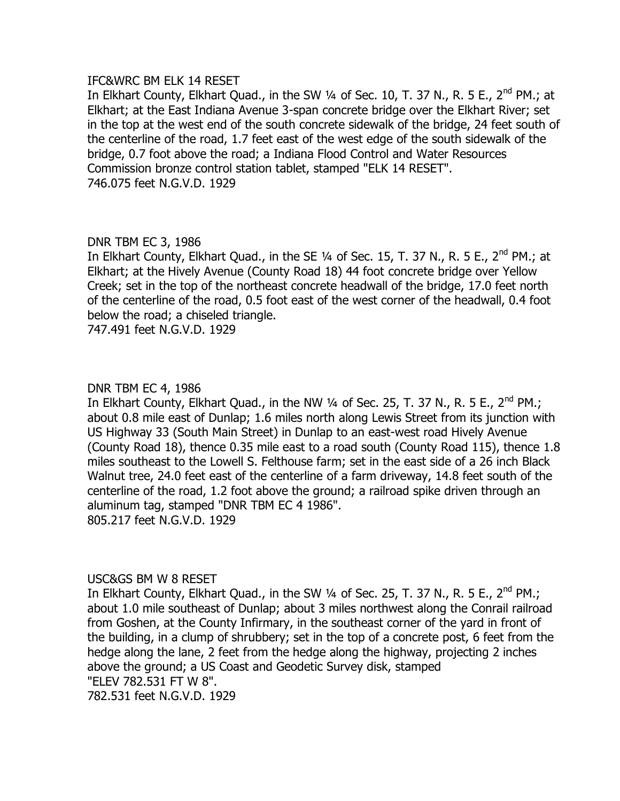## IFC&WRC BM ELK 14 RESET

In Elkhart County, Elkhart Quad., in the SW 1/4 of Sec. 10, T. 37 N., R. 5 E., 2<sup>nd</sup> PM.; at Elkhart; at the East Indiana Avenue 3-span concrete bridge over the Elkhart River; set in the top at the west end of the south concrete sidewalk of the bridge, 24 feet south of the centerline of the road, 1.7 feet east of the west edge of the south sidewalk of the bridge, 0.7 foot above the road; a Indiana Flood Control and Water Resources Commission bronze control station tablet, stamped "ELK 14 RESET". 746.075 feet N.G.V.D. 1929

# DNR TBM EC 3, 1986

In Elkhart County, Elkhart Quad., in the SE 1/4 of Sec. 15, T. 37 N., R. 5 E., 2<sup>nd</sup> PM.; at Elkhart; at the Hively Avenue (County Road 18) 44 foot concrete bridge over Yellow Creek; set in the top of the northeast concrete headwall of the bridge, 17.0 feet north of the centerline of the road, 0.5 foot east of the west corner of the headwall, 0.4 foot below the road; a chiseled triangle.

747.491 feet N.G.V.D. 1929

# DNR TBM EC 4, 1986

In Elkhart County, Elkhart Quad., in the NW  $\frac{1}{4}$  of Sec. 25, T. 37 N., R. 5 E., 2<sup>nd</sup> PM.; about 0.8 mile east of Dunlap; 1.6 miles north along Lewis Street from its junction with US Highway 33 (South Main Street) in Dunlap to an east-west road Hively Avenue (County Road 18), thence 0.35 mile east to a road south (County Road 115), thence 1.8 miles southeast to the Lowell S. Felthouse farm; set in the east side of a 26 inch Black Walnut tree, 24.0 feet east of the centerline of a farm driveway, 14.8 feet south of the centerline of the road, 1.2 foot above the ground; a railroad spike driven through an aluminum tag, stamped "DNR TBM EC 4 1986". 805.217 feet N.G.V.D. 1929

## USC&GS BM W 8 RESET

In Elkhart County, Elkhart Quad., in the SW 1/4 of Sec. 25, T. 37 N., R. 5 E., 2<sup>nd</sup> PM.; about 1.0 mile southeast of Dunlap; about 3 miles northwest along the Conrail railroad from Goshen, at the County Infirmary, in the southeast corner of the yard in front of the building, in a clump of shrubbery; set in the top of a concrete post, 6 feet from the hedge along the lane, 2 feet from the hedge along the highway, projecting 2 inches above the ground; a US Coast and Geodetic Survey disk, stamped "ELEV 782.531 FT W 8". 782.531 feet N.G.V.D. 1929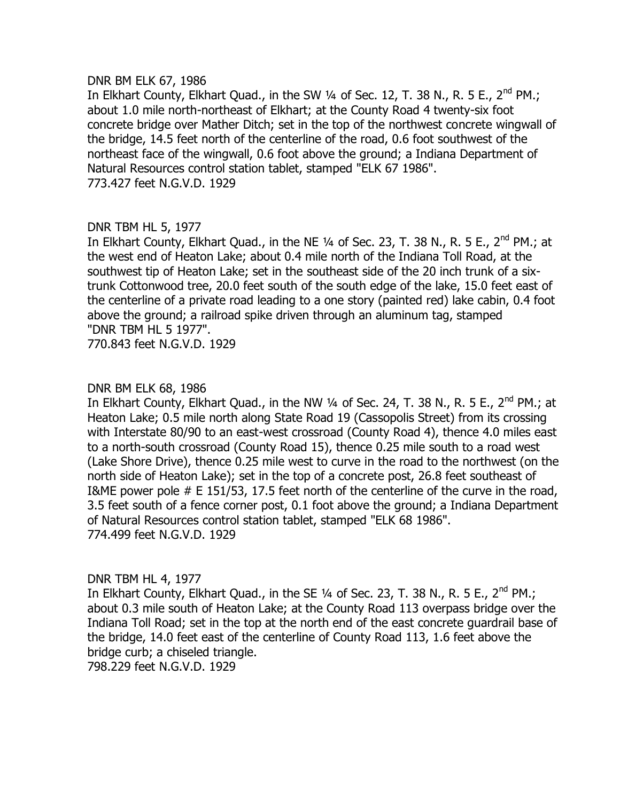### DNR BM ELK 67, 1986

In Elkhart County, Elkhart Quad., in the SW  $\frac{1}{4}$  of Sec. 12, T. 38 N., R. 5 E.,  $2^{nd}$  PM.; about 1.0 mile north-northeast of Elkhart; at the County Road 4 twenty-six foot concrete bridge over Mather Ditch; set in the top of the northwest concrete wingwall of the bridge, 14.5 feet north of the centerline of the road, 0.6 foot southwest of the northeast face of the wingwall, 0.6 foot above the ground; a Indiana Department of Natural Resources control station tablet, stamped "ELK 67 1986". 773.427 feet N.G.V.D. 1929

# DNR TBM HL 5, 1977

In Elkhart County, Elkhart Quad., in the NE 1/4 of Sec. 23, T. 38 N., R. 5 E., 2<sup>nd</sup> PM.; at the west end of Heaton Lake; about 0.4 mile north of the Indiana Toll Road, at the southwest tip of Heaton Lake; set in the southeast side of the 20 inch trunk of a sixtrunk Cottonwood tree, 20.0 feet south of the south edge of the lake, 15.0 feet east of the centerline of a private road leading to a one story (painted red) lake cabin, 0.4 foot above the ground; a railroad spike driven through an aluminum tag, stamped "DNR TBM HL 5 1977".

770.843 feet N.G.V.D. 1929

## DNR BM ELK 68, 1986

In Elkhart County, Elkhart Quad., in the NW 1/4 of Sec. 24, T. 38 N., R. 5 E., 2<sup>nd</sup> PM.; at Heaton Lake; 0.5 mile north along State Road 19 (Cassopolis Street) from its crossing with Interstate 80/90 to an east-west crossroad (County Road 4), thence 4.0 miles east to a north-south crossroad (County Road 15), thence 0.25 mile south to a road west (Lake Shore Drive), thence 0.25 mile west to curve in the road to the northwest (on the north side of Heaton Lake); set in the top of a concrete post, 26.8 feet southeast of I&ME power pole # E 151/53, 17.5 feet north of the centerline of the curve in the road, 3.5 feet south of a fence corner post, 0.1 foot above the ground; a Indiana Department of Natural Resources control station tablet, stamped "ELK 68 1986". 774.499 feet N.G.V.D. 1929

## DNR TBM HL 4, 1977

In Elkhart County, Elkhart Quad., in the SE 1/4 of Sec. 23, T. 38 N., R. 5 E., 2<sup>nd</sup> PM.; about 0.3 mile south of Heaton Lake; at the County Road 113 overpass bridge over the Indiana Toll Road; set in the top at the north end of the east concrete guardrail base of the bridge, 14.0 feet east of the centerline of County Road 113, 1.6 feet above the bridge curb; a chiseled triangle. 798.229 feet N.G.V.D. 1929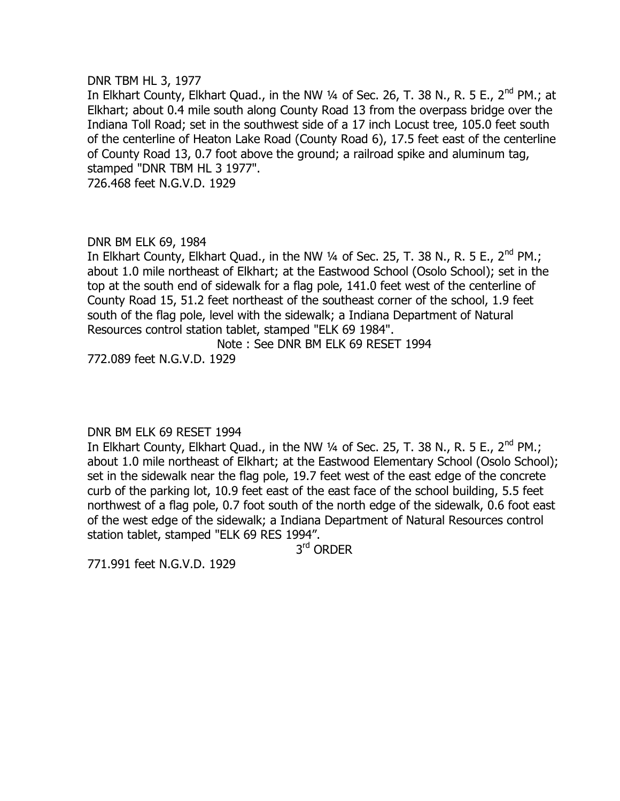#### DNR TBM HL 3, 1977

In Elkhart County, Elkhart Quad., in the NW 1/4 of Sec. 26, T. 38 N., R. 5 E., 2<sup>nd</sup> PM.; at Elkhart; about 0.4 mile south along County Road 13 from the overpass bridge over the Indiana Toll Road; set in the southwest side of a 17 inch Locust tree, 105.0 feet south of the centerline of Heaton Lake Road (County Road 6), 17.5 feet east of the centerline of County Road 13, 0.7 foot above the ground; a railroad spike and aluminum tag, stamped "DNR TBM HL 3 1977".

726.468 feet N.G.V.D. 1929

## DNR BM ELK 69, 1984

In Elkhart County, Elkhart Quad., in the NW  $\frac{1}{4}$  of Sec. 25, T. 38 N., R. 5 E., 2<sup>nd</sup> PM.; about 1.0 mile northeast of Elkhart; at the Eastwood School (Osolo School); set in the top at the south end of sidewalk for a flag pole, 141.0 feet west of the centerline of County Road 15, 51.2 feet northeast of the southeast corner of the school, 1.9 feet south of the flag pole, level with the sidewalk; a Indiana Department of Natural Resources control station tablet, stamped "ELK 69 1984".

Note : See DNR BM ELK 69 RESET 1994

772.089 feet N.G.V.D. 1929

## DNR BM ELK 69 RESET 1994

In Elkhart County, Elkhart Quad., in the NW  $\frac{1}{4}$  of Sec. 25, T. 38 N., R. 5 E., 2<sup>nd</sup> PM.; about 1.0 mile northeast of Elkhart; at the Eastwood Elementary School (Osolo School); set in the sidewalk near the flag pole, 19.7 feet west of the east edge of the concrete curb of the parking lot, 10.9 feet east of the east face of the school building, 5.5 feet northwest of a flag pole, 0.7 foot south of the north edge of the sidewalk, 0.6 foot east of the west edge of the sidewalk; a Indiana Department of Natural Resources control station tablet, stamped "ELK 69 RES 1994".

3<sup>rd</sup> ORDER

771.991 feet N.G.V.D. 1929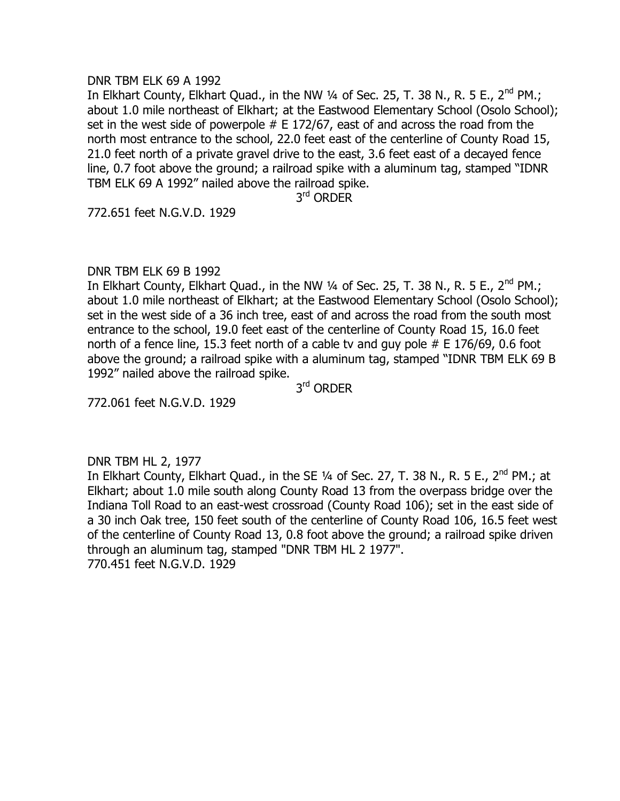#### DNR TBM ELK 69 A 1992

In Elkhart County, Elkhart Quad., in the NW  $\frac{1}{4}$  of Sec. 25, T. 38 N., R. 5 E., 2<sup>nd</sup> PM.; about 1.0 mile northeast of Elkhart; at the Eastwood Elementary School (Osolo School); set in the west side of powerpole  $#E 172/67$ , east of and across the road from the north most entrance to the school, 22.0 feet east of the centerline of County Road 15, 21.0 feet north of a private gravel drive to the east, 3.6 feet east of a decayed fence line, 0.7 foot above the ground; a railroad spike with a aluminum tag, stamped "IDNR TBM ELK 69 A 1992" nailed above the railroad spike.

3<sup>rd</sup> ORDER

772.651 feet N.G.V.D. 1929

## DNR TBM ELK 69 B 1992

In Elkhart County, Elkhart Quad., in the NW 1/4 of Sec. 25, T. 38 N., R. 5 E., 2<sup>nd</sup> PM.; about 1.0 mile northeast of Elkhart; at the Eastwood Elementary School (Osolo School); set in the west side of a 36 inch tree, east of and across the road from the south most entrance to the school, 19.0 feet east of the centerline of County Road 15, 16.0 feet north of a fence line, 15.3 feet north of a cable tv and guy pole  $#E$  176/69, 0.6 foot above the ground; a railroad spike with a aluminum tag, stamped "IDNR TBM ELK 69 B 1992" nailed above the railroad spike.

3<sup>rd</sup> ORDER

772.061 feet N.G.V.D. 1929

## DNR TBM HL 2, 1977

In Elkhart County, Elkhart Quad., in the SE 1/4 of Sec. 27, T. 38 N., R. 5 E., 2<sup>nd</sup> PM.; at Elkhart; about 1.0 mile south along County Road 13 from the overpass bridge over the Indiana Toll Road to an east-west crossroad (County Road 106); set in the east side of a 30 inch Oak tree, 150 feet south of the centerline of County Road 106, 16.5 feet west of the centerline of County Road 13, 0.8 foot above the ground; a railroad spike driven through an aluminum tag, stamped "DNR TBM HL 2 1977". 770.451 feet N.G.V.D. 1929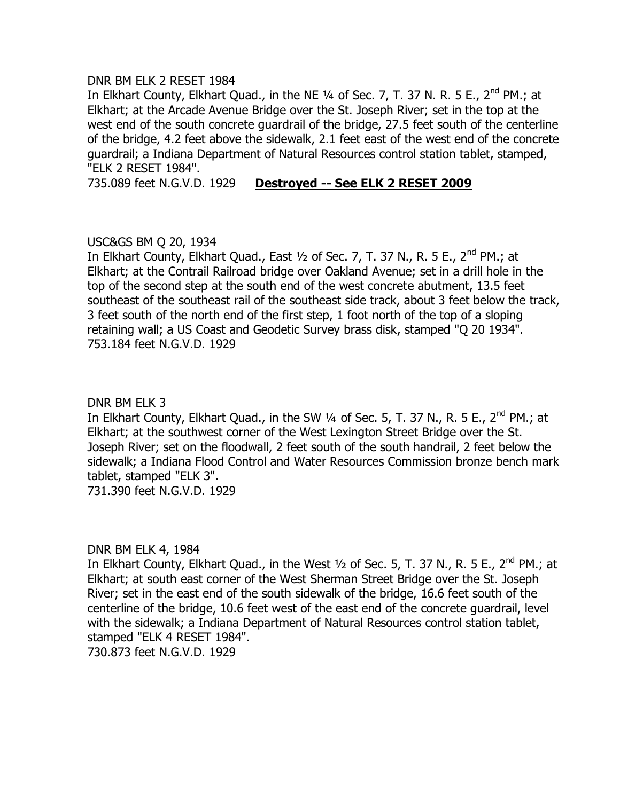#### DNR BM ELK 2 RESET 1984

In Elkhart County, Elkhart Quad., in the NE 1/4 of Sec. 7, T. 37 N. R. 5 E., 2<sup>nd</sup> PM.; at Elkhart; at the Arcade Avenue Bridge over the St. Joseph River; set in the top at the west end of the south concrete guardrail of the bridge, 27.5 feet south of the centerline of the bridge, 4.2 feet above the sidewalk, 2.1 feet east of the west end of the concrete guardrail; a Indiana Department of Natural Resources control station tablet, stamped, "ELK 2 RESET 1984".

735.089 feet N.G.V.D. 1929 **Destroyed -- See ELK 2 RESET 2009**

# USC&GS BM Q 20, 1934

In Elkhart County, Elkhart Quad., East 1/2 of Sec. 7, T. 37 N., R. 5 E., 2<sup>nd</sup> PM.; at Elkhart; at the Contrail Railroad bridge over Oakland Avenue; set in a drill hole in the top of the second step at the south end of the west concrete abutment, 13.5 feet southeast of the southeast rail of the southeast side track, about 3 feet below the track, 3 feet south of the north end of the first step, 1 foot north of the top of a sloping retaining wall; a US Coast and Geodetic Survey brass disk, stamped "Q 20 1934". 753.184 feet N.G.V.D. 1929

## DNR BM ELK 3

In Elkhart County, Elkhart Quad., in the SW 1/4 of Sec. 5, T. 37 N., R. 5 E., 2<sup>nd</sup> PM.; at Elkhart; at the southwest corner of the West Lexington Street Bridge over the St. Joseph River; set on the floodwall, 2 feet south of the south handrail, 2 feet below the sidewalk; a Indiana Flood Control and Water Resources Commission bronze bench mark tablet, stamped "ELK 3".

731.390 feet N.G.V.D. 1929

## DNR BM ELK 4, 1984

In Elkhart County, Elkhart Quad., in the West 1/2 of Sec. 5, T. 37 N., R. 5 E., 2<sup>nd</sup> PM.; at Elkhart; at south east corner of the West Sherman Street Bridge over the St. Joseph River; set in the east end of the south sidewalk of the bridge, 16.6 feet south of the centerline of the bridge, 10.6 feet west of the east end of the concrete guardrail, level with the sidewalk; a Indiana Department of Natural Resources control station tablet, stamped "ELK 4 RESET 1984".

730.873 feet N.G.V.D. 1929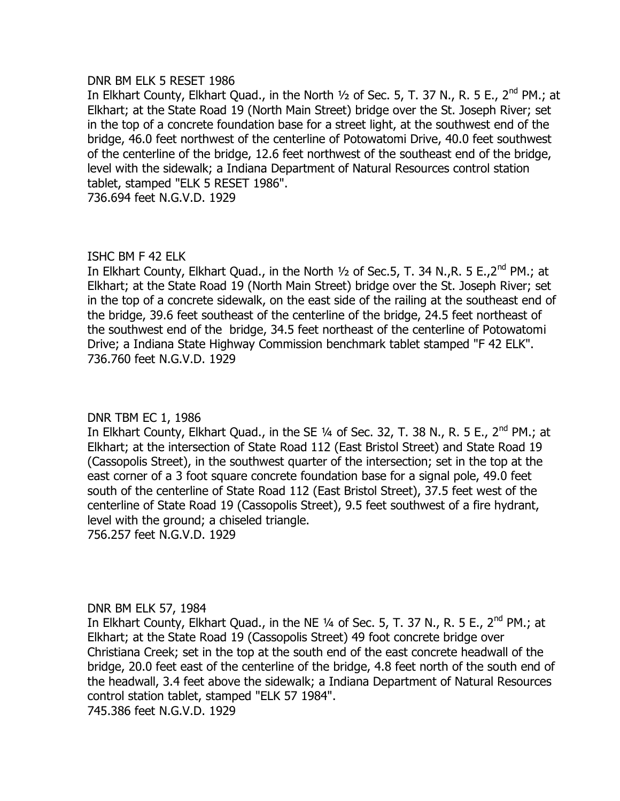#### DNR BM ELK 5 RESET 1986

In Elkhart County, Elkhart Quad., in the North  $1/2$  of Sec. 5, T. 37 N., R. 5 E., 2<sup>nd</sup> PM.; at Elkhart; at the State Road 19 (North Main Street) bridge over the St. Joseph River; set in the top of a concrete foundation base for a street light, at the southwest end of the bridge, 46.0 feet northwest of the centerline of Potowatomi Drive, 40.0 feet southwest of the centerline of the bridge, 12.6 feet northwest of the southeast end of the bridge, level with the sidewalk; a Indiana Department of Natural Resources control station tablet, stamped "ELK 5 RESET 1986".

736.694 feet N.G.V.D. 1929

# ISHC BM F 42 ELK

In Elkhart County, Elkhart Quad., in the North  $1/2$  of Sec. 5, T. 34 N., R. 5 E.,  $2^{nd}$  PM.; at Elkhart; at the State Road 19 (North Main Street) bridge over the St. Joseph River; set in the top of a concrete sidewalk, on the east side of the railing at the southeast end of the bridge, 39.6 feet southeast of the centerline of the bridge, 24.5 feet northeast of the southwest end of the bridge, 34.5 feet northeast of the centerline of Potowatomi Drive; a Indiana State Highway Commission benchmark tablet stamped "F 42 ELK". 736.760 feet N.G.V.D. 1929

## DNR TBM EC 1, 1986

In Elkhart County, Elkhart Quad., in the SE 1/4 of Sec. 32, T. 38 N., R. 5 E., 2<sup>nd</sup> PM.; at Elkhart; at the intersection of State Road 112 (East Bristol Street) and State Road 19 (Cassopolis Street), in the southwest quarter of the intersection; set in the top at the east corner of a 3 foot square concrete foundation base for a signal pole, 49.0 feet south of the centerline of State Road 112 (East Bristol Street), 37.5 feet west of the centerline of State Road 19 (Cassopolis Street), 9.5 feet southwest of a fire hydrant, level with the ground; a chiseled triangle. 756.257 feet N.G.V.D. 1929

## DNR BM ELK 57, 1984

In Elkhart County, Elkhart Quad., in the NE 1/4 of Sec. 5, T. 37 N., R. 5 E., 2<sup>nd</sup> PM.; at Elkhart; at the State Road 19 (Cassopolis Street) 49 foot concrete bridge over Christiana Creek; set in the top at the south end of the east concrete headwall of the bridge, 20.0 feet east of the centerline of the bridge, 4.8 feet north of the south end of the headwall, 3.4 feet above the sidewalk; a Indiana Department of Natural Resources control station tablet, stamped "ELK 57 1984".

745.386 feet N.G.V.D. 1929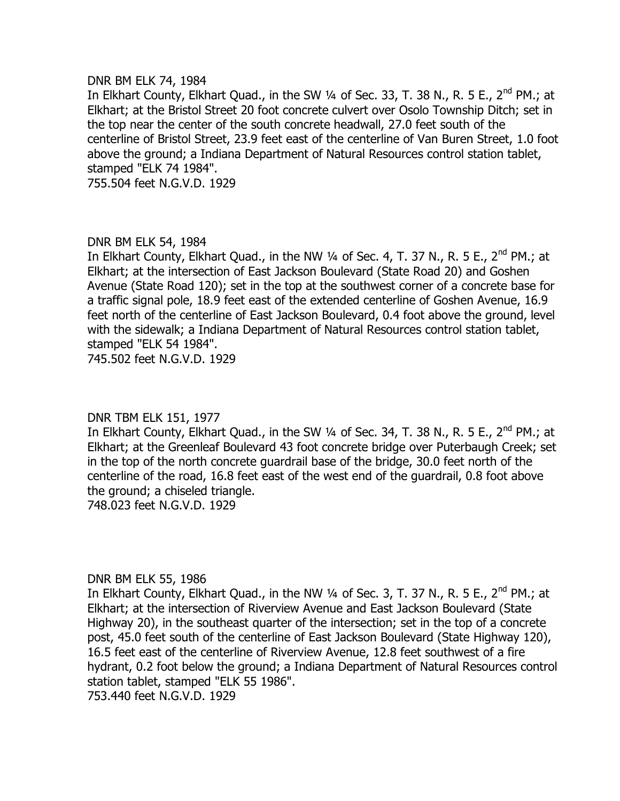#### DNR BM ELK 74, 1984

In Elkhart County, Elkhart Quad., in the SW 1/4 of Sec. 33, T. 38 N., R. 5 E., 2<sup>nd</sup> PM.; at Elkhart; at the Bristol Street 20 foot concrete culvert over Osolo Township Ditch; set in the top near the center of the south concrete headwall, 27.0 feet south of the centerline of Bristol Street, 23.9 feet east of the centerline of Van Buren Street, 1.0 foot above the ground; a Indiana Department of Natural Resources control station tablet, stamped "ELK 74 1984".

755.504 feet N.G.V.D. 1929

### DNR BM ELK 54, 1984

In Elkhart County, Elkhart Quad., in the NW 1/4 of Sec. 4, T. 37 N., R. 5 E., 2<sup>nd</sup> PM.; at Elkhart; at the intersection of East Jackson Boulevard (State Road 20) and Goshen Avenue (State Road 120); set in the top at the southwest corner of a concrete base for a traffic signal pole, 18.9 feet east of the extended centerline of Goshen Avenue, 16.9 feet north of the centerline of East Jackson Boulevard, 0.4 foot above the ground, level with the sidewalk; a Indiana Department of Natural Resources control station tablet, stamped "ELK 54 1984".

745.502 feet N.G.V.D. 1929

#### DNR TBM ELK 151, 1977

In Elkhart County, Elkhart Quad., in the SW 1/4 of Sec. 34, T. 38 N., R. 5 E., 2<sup>nd</sup> PM.; at Elkhart; at the Greenleaf Boulevard 43 foot concrete bridge over Puterbaugh Creek; set in the top of the north concrete guardrail base of the bridge, 30.0 feet north of the centerline of the road, 16.8 feet east of the west end of the guardrail, 0.8 foot above the ground; a chiseled triangle.

748.023 feet N.G.V.D. 1929

#### DNR BM ELK 55, 1986

In Elkhart County, Elkhart Quad., in the NW 1/4 of Sec. 3, T. 37 N., R. 5 E., 2<sup>nd</sup> PM.; at Elkhart; at the intersection of Riverview Avenue and East Jackson Boulevard (State Highway 20), in the southeast quarter of the intersection; set in the top of a concrete post, 45.0 feet south of the centerline of East Jackson Boulevard (State Highway 120), 16.5 feet east of the centerline of Riverview Avenue, 12.8 feet southwest of a fire hydrant, 0.2 foot below the ground; a Indiana Department of Natural Resources control station tablet, stamped "ELK 55 1986".

753.440 feet N.G.V.D. 1929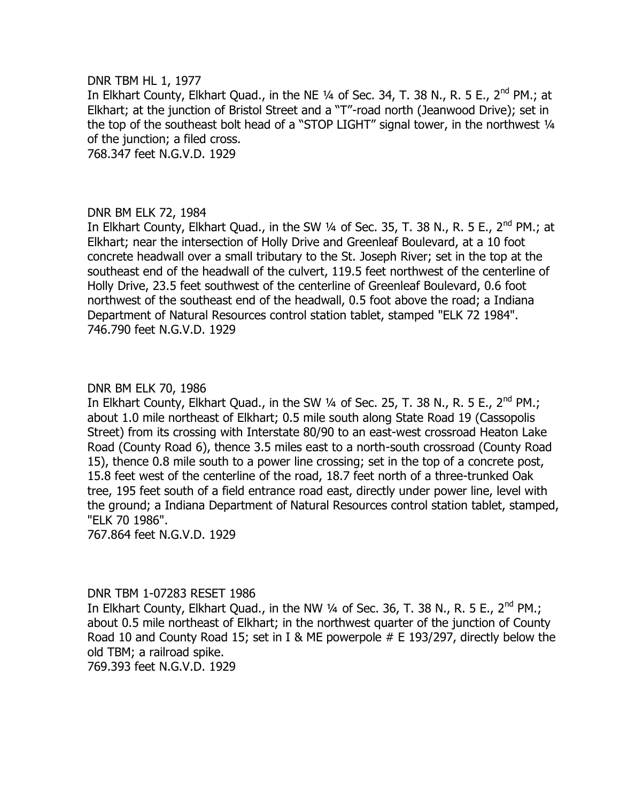### DNR TBM HL 1, 1977

In Elkhart County, Elkhart Quad., in the NE 1/4 of Sec. 34, T. 38 N., R. 5 E., 2<sup>nd</sup> PM.; at Elkhart; at the junction of Bristol Street and a "T"-road north (Jeanwood Drive); set in the top of the southeast bolt head of a "STOP LIGHT" signal tower, in the northwest 1/4 of the junction; a filed cross.

768.347 feet N.G.V.D. 1929

## DNR BM ELK 72, 1984

In Elkhart County, Elkhart Quad., in the SW 1/4 of Sec. 35, T. 38 N., R. 5 E., 2<sup>nd</sup> PM.; at Elkhart; near the intersection of Holly Drive and Greenleaf Boulevard, at a 10 foot concrete headwall over a small tributary to the St. Joseph River; set in the top at the southeast end of the headwall of the culvert, 119.5 feet northwest of the centerline of Holly Drive, 23.5 feet southwest of the centerline of Greenleaf Boulevard, 0.6 foot northwest of the southeast end of the headwall, 0.5 foot above the road; a Indiana Department of Natural Resources control station tablet, stamped "ELK 72 1984". 746.790 feet N.G.V.D. 1929

## DNR BM ELK 70, 1986

In Elkhart County, Elkhart Quad., in the SW  $\frac{1}{4}$  of Sec. 25, T. 38 N., R. 5 E., 2<sup>nd</sup> PM.; about 1.0 mile northeast of Elkhart; 0.5 mile south along State Road 19 (Cassopolis Street) from its crossing with Interstate 80/90 to an east-west crossroad Heaton Lake Road (County Road 6), thence 3.5 miles east to a north-south crossroad (County Road 15), thence 0.8 mile south to a power line crossing; set in the top of a concrete post, 15.8 feet west of the centerline of the road, 18.7 feet north of a three-trunked Oak tree, 195 feet south of a field entrance road east, directly under power line, level with the ground; a Indiana Department of Natural Resources control station tablet, stamped, "ELK 70 1986".

767.864 feet N.G.V.D. 1929

## DNR TBM 1-07283 RESET 1986

In Elkhart County, Elkhart Quad., in the NW  $\frac{1}{4}$  of Sec. 36, T. 38 N., R. 5 E., 2<sup>nd</sup> PM.; about 0.5 mile northeast of Elkhart; in the northwest quarter of the junction of County Road 10 and County Road 15; set in I & ME powerpole  $#E$  193/297, directly below the old TBM; a railroad spike.

769.393 feet N.G.V.D. 1929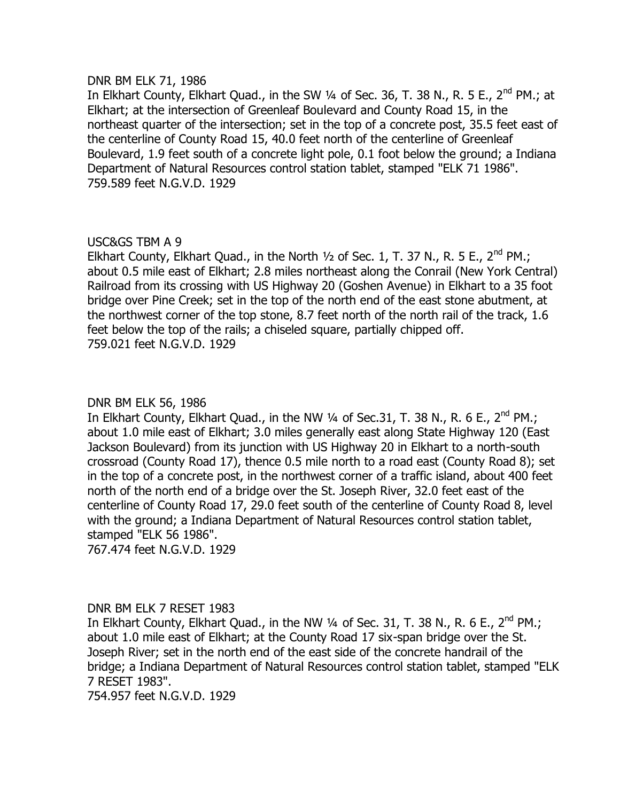### DNR BM ELK 71, 1986

In Elkhart County, Elkhart Quad., in the SW 1/4 of Sec. 36, T. 38 N., R. 5 E., 2<sup>nd</sup> PM.; at Elkhart; at the intersection of Greenleaf Boulevard and County Road 15, in the northeast quarter of the intersection; set in the top of a concrete post, 35.5 feet east of the centerline of County Road 15, 40.0 feet north of the centerline of Greenleaf Boulevard, 1.9 feet south of a concrete light pole, 0.1 foot below the ground; a Indiana Department of Natural Resources control station tablet, stamped "ELK 71 1986". 759.589 feet N.G.V.D. 1929

## USC&GS TBM A 9

Elkhart County, Elkhart Quad., in the North  $\frac{1}{2}$  of Sec. 1, T. 37 N., R. 5 E., 2<sup>nd</sup> PM.; about 0.5 mile east of Elkhart; 2.8 miles northeast along the Conrail (New York Central) Railroad from its crossing with US Highway 20 (Goshen Avenue) in Elkhart to a 35 foot bridge over Pine Creek; set in the top of the north end of the east stone abutment, at the northwest corner of the top stone, 8.7 feet north of the north rail of the track, 1.6 feet below the top of the rails; a chiseled square, partially chipped off. 759.021 feet N.G.V.D. 1929

## DNR BM ELK 56, 1986

In Elkhart County, Elkhart Quad., in the NW 1/4 of Sec.31, T. 38 N., R. 6 E., 2<sup>nd</sup> PM.: about 1.0 mile east of Elkhart; 3.0 miles generally east along State Highway 120 (East Jackson Boulevard) from its junction with US Highway 20 in Elkhart to a north-south crossroad (County Road 17), thence 0.5 mile north to a road east (County Road 8); set in the top of a concrete post, in the northwest corner of a traffic island, about 400 feet north of the north end of a bridge over the St. Joseph River, 32.0 feet east of the centerline of County Road 17, 29.0 feet south of the centerline of County Road 8, level with the ground; a Indiana Department of Natural Resources control station tablet, stamped "ELK 56 1986". 767.474 feet N.G.V.D. 1929

# DNR BM ELK 7 RESET 1983

In Elkhart County, Elkhart Quad., in the NW  $\frac{1}{4}$  of Sec. 31, T. 38 N., R. 6 E., 2<sup>nd</sup> PM.; about 1.0 mile east of Elkhart; at the County Road 17 six-span bridge over the St. Joseph River; set in the north end of the east side of the concrete handrail of the bridge; a Indiana Department of Natural Resources control station tablet, stamped "ELK 7 RESET 1983".

754.957 feet N.G.V.D. 1929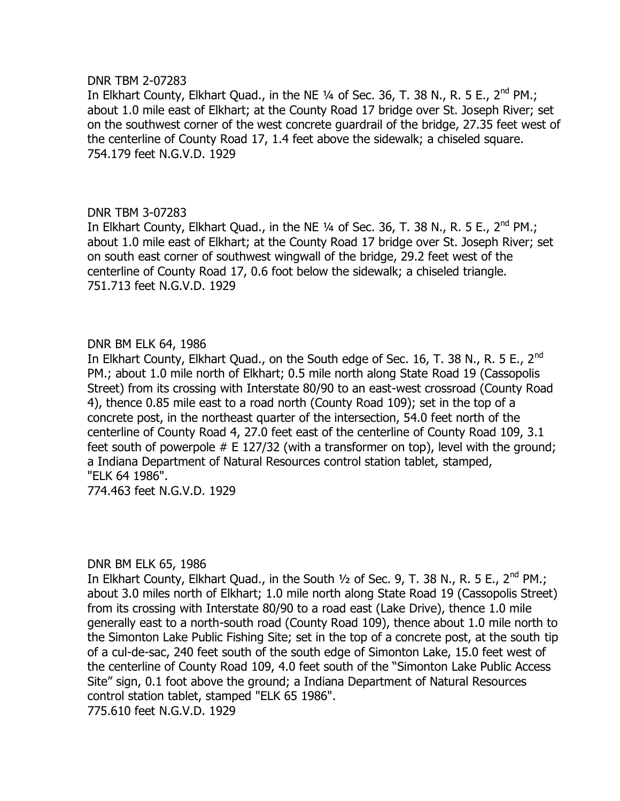#### DNR TBM 2-07283

In Elkhart County, Elkhart Quad., in the NE  $\frac{1}{4}$  of Sec. 36, T. 38 N., R. 5 E., 2<sup>nd</sup> PM.; about 1.0 mile east of Elkhart; at the County Road 17 bridge over St. Joseph River; set on the southwest corner of the west concrete guardrail of the bridge, 27.35 feet west of the centerline of County Road 17, 1.4 feet above the sidewalk; a chiseled square. 754.179 feet N.G.V.D. 1929

# DNR TBM 3-07283

In Elkhart County, Elkhart Quad., in the NE 1/4 of Sec. 36, T. 38 N., R. 5 E., 2<sup>nd</sup> PM.: about 1.0 mile east of Elkhart; at the County Road 17 bridge over St. Joseph River; set on south east corner of southwest wingwall of the bridge, 29.2 feet west of the centerline of County Road 17, 0.6 foot below the sidewalk; a chiseled triangle. 751.713 feet N.G.V.D. 1929

# DNR BM ELK 64, 1986

In Elkhart County, Elkhart Quad., on the South edge of Sec. 16, T. 38 N., R. 5 E., 2<sup>nd</sup> PM.; about 1.0 mile north of Elkhart; 0.5 mile north along State Road 19 (Cassopolis Street) from its crossing with Interstate 80/90 to an east-west crossroad (County Road 4), thence 0.85 mile east to a road north (County Road 109); set in the top of a concrete post, in the northeast quarter of the intersection, 54.0 feet north of the centerline of County Road 4, 27.0 feet east of the centerline of County Road 109, 3.1 feet south of powerpole  $#E$  127/32 (with a transformer on top), level with the ground; a Indiana Department of Natural Resources control station tablet, stamped, "ELK 64 1986".

774.463 feet N.G.V.D. 1929

## DNR BM ELK 65, 1986

In Elkhart County, Elkhart Quad., in the South  $\frac{1}{2}$  of Sec. 9, T. 38 N., R. 5 E., 2<sup>nd</sup> PM.; about 3.0 miles north of Elkhart; 1.0 mile north along State Road 19 (Cassopolis Street) from its crossing with Interstate 80/90 to a road east (Lake Drive), thence 1.0 mile generally east to a north-south road (County Road 109), thence about 1.0 mile north to the Simonton Lake Public Fishing Site; set in the top of a concrete post, at the south tip of a cul-de-sac, 240 feet south of the south edge of Simonton Lake, 15.0 feet west of the centerline of County Road 109, 4.0 feet south of the "Simonton Lake Public Access Site" sign, 0.1 foot above the ground; a Indiana Department of Natural Resources control station tablet, stamped "ELK 65 1986".

775.610 feet N.G.V.D. 1929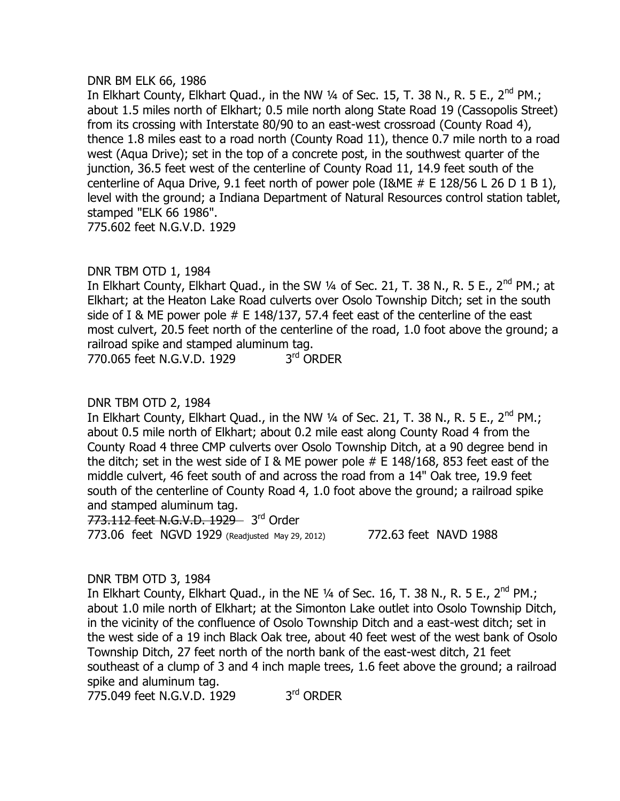### DNR BM ELK 66, 1986

In Elkhart County, Elkhart Quad., in the NW  $\frac{1}{4}$  of Sec. 15, T. 38 N., R. 5 E., 2<sup>nd</sup> PM.; about 1.5 miles north of Elkhart; 0.5 mile north along State Road 19 (Cassopolis Street) from its crossing with Interstate 80/90 to an east-west crossroad (County Road 4), thence 1.8 miles east to a road north (County Road 11), thence 0.7 mile north to a road west (Aqua Drive); set in the top of a concrete post, in the southwest quarter of the junction, 36.5 feet west of the centerline of County Road 11, 14.9 feet south of the centerline of Aqua Drive, 9.1 feet north of power pole (I&ME  $#E$  128/56 L 26 D 1 B 1), level with the ground; a Indiana Department of Natural Resources control station tablet, stamped "ELK 66 1986". 775.602 feet N.G.V.D. 1929

# DNR TBM OTD 1, 1984

In Elkhart County, Elkhart Quad., in the SW 1/4 of Sec. 21, T. 38 N., R. 5 E., 2<sup>nd</sup> PM.; at Elkhart; at the Heaton Lake Road culverts over Osolo Township Ditch; set in the south side of I & ME power pole  $#E$  148/137, 57.4 feet east of the centerline of the east most culvert, 20.5 feet north of the centerline of the road, 1.0 foot above the ground; a railroad spike and stamped aluminum tag. 770.065 feet N.G.V.D. 1929 3rd ORDER

# DNR TBM OTD 2, 1984

In Elkhart County, Elkhart Quad., in the NW  $\frac{1}{4}$  of Sec. 21, T. 38 N., R. 5 E., 2<sup>nd</sup> PM.; about 0.5 mile north of Elkhart; about 0.2 mile east along County Road 4 from the County Road 4 three CMP culverts over Osolo Township Ditch, at a 90 degree bend in the ditch; set in the west side of I & ME power pole  $#E$  148/168, 853 feet east of the middle culvert, 46 feet south of and across the road from a 14" Oak tree, 19.9 feet south of the centerline of County Road 4, 1.0 foot above the ground; a railroad spike and stamped aluminum tag.

773.112 feet N.G.V.D. 1929 3rd Order 773.06 feet NGVD 1929 (Readjusted May 29, 2012) 772.63 feet NAVD 1988

## DNR TBM OTD 3, 1984

In Elkhart County, Elkhart Quad., in the NE  $\frac{1}{4}$  of Sec. 16, T. 38 N., R. 5 E.,  $2^{nd}$  PM.; about 1.0 mile north of Elkhart; at the Simonton Lake outlet into Osolo Township Ditch, in the vicinity of the confluence of Osolo Township Ditch and a east-west ditch; set in the west side of a 19 inch Black Oak tree, about 40 feet west of the west bank of Osolo Township Ditch, 27 feet north of the north bank of the east-west ditch, 21 feet southeast of a clump of 3 and 4 inch maple trees, 1.6 feet above the ground; a railroad spike and aluminum tag.

775.049 feet N.G.V.D. 1929 3  $3<sup>rd</sup>$  ORDER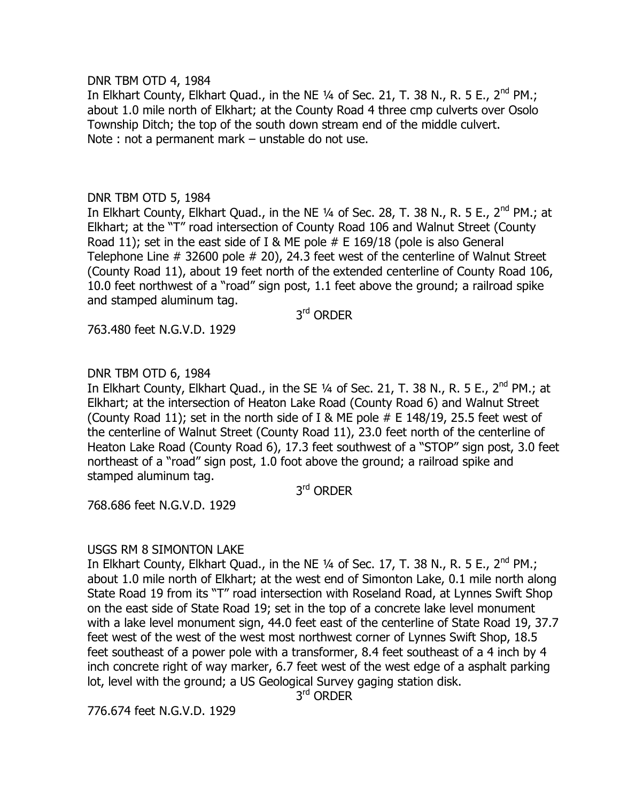DNR TBM OTD 4, 1984

In Elkhart County, Elkhart Quad., in the NE  $\frac{1}{4}$  of Sec. 21, T. 38 N., R. 5 E., 2<sup>nd</sup> PM.; about 1.0 mile north of Elkhart; at the County Road 4 three cmp culverts over Osolo Township Ditch; the top of the south down stream end of the middle culvert. Note : not a permanent mark – unstable do not use.

## DNR TBM OTD 5, 1984

In Elkhart County, Elkhart Ouad., in the NE 1/4 of Sec. 28, T. 38 N., R. 5 E., 2<sup>nd</sup> PM.; at Elkhart; at the "T" road intersection of County Road 106 and Walnut Street (County Road 11); set in the east side of I & ME pole  $#E$  169/18 (pole is also General Telephone Line # 32600 pole # 20), 24.3 feet west of the centerline of Walnut Street (County Road 11), about 19 feet north of the extended centerline of County Road 106, 10.0 feet northwest of a "road" sign post, 1.1 feet above the ground; a railroad spike and stamped aluminum tag.

3<sup>rd</sup> ORDER

763.480 feet N.G.V.D. 1929

# DNR TBM OTD 6, 1984

In Elkhart County, Elkhart Quad., in the SE  $\frac{1}{4}$  of Sec. 21, T. 38 N., R. 5 E., 2<sup>nd</sup> PM.; at Elkhart; at the intersection of Heaton Lake Road (County Road 6) and Walnut Street (County Road 11); set in the north side of I & ME pole  $#E$  148/19, 25.5 feet west of the centerline of Walnut Street (County Road 11), 23.0 feet north of the centerline of Heaton Lake Road (County Road 6), 17.3 feet southwest of a "STOP" sign post, 3.0 feet northeast of a "road" sign post, 1.0 foot above the ground; a railroad spike and stamped aluminum tag.

3<sup>rd</sup> ORDER

768.686 feet N.G.V.D. 1929

## USGS RM 8 SIMONTON LAKE

In Elkhart County, Elkhart Quad., in the NE 1/4 of Sec. 17, T. 38 N., R. 5 E., 2<sup>nd</sup> PM.; about 1.0 mile north of Elkhart; at the west end of Simonton Lake, 0.1 mile north along State Road 19 from its "T" road intersection with Roseland Road, at Lynnes Swift Shop on the east side of State Road 19; set in the top of a concrete lake level monument with a lake level monument sign, 44.0 feet east of the centerline of State Road 19, 37.7 feet west of the west of the west most northwest corner of Lynnes Swift Shop, 18.5 feet southeast of a power pole with a transformer, 8.4 feet southeast of a 4 inch by 4 inch concrete right of way marker, 6.7 feet west of the west edge of a asphalt parking lot, level with the ground; a US Geological Survey gaging station disk.

3 rd ORDER

776.674 feet N.G.V.D. 1929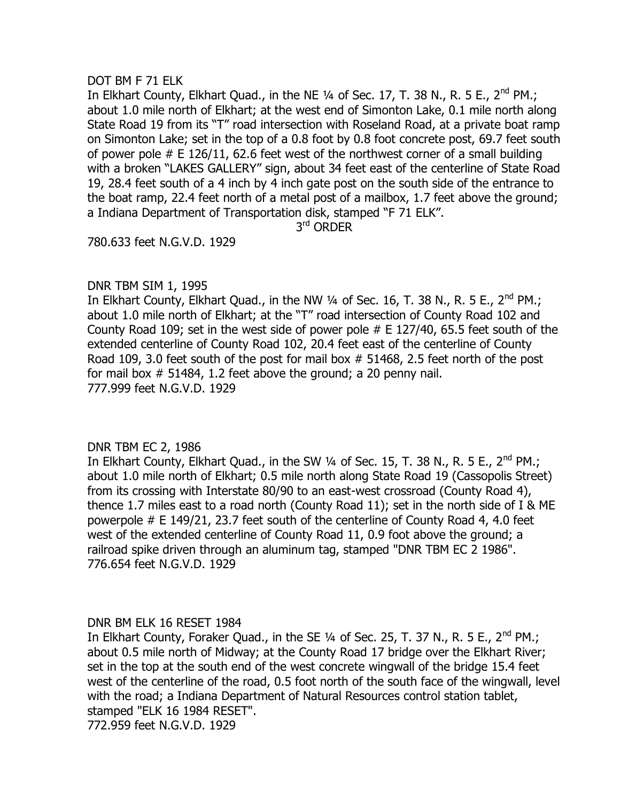### DOT BM F 71 ELK

In Elkhart County, Elkhart Quad., in the NE 1/4 of Sec. 17, T. 38 N., R. 5 E., 2<sup>nd</sup> PM.; about 1.0 mile north of Elkhart; at the west end of Simonton Lake, 0.1 mile north along State Road 19 from its "T" road intersection with Roseland Road, at a private boat ramp on Simonton Lake; set in the top of a 0.8 foot by 0.8 foot concrete post, 69.7 feet south of power pole  $#E$  126/11, 62.6 feet west of the northwest corner of a small building with a broken "LAKES GALLERY" sign, about 34 feet east of the centerline of State Road 19, 28.4 feet south of a 4 inch by 4 inch gate post on the south side of the entrance to the boat ramp, 22.4 feet north of a metal post of a mailbox, 1.7 feet above the ground; a Indiana Department of Transportation disk, stamped "F 71 ELK".

3<sup>rd</sup> ORDER

780.633 feet N.G.V.D. 1929

### DNR TBM SIM 1, 1995

In Elkhart County, Elkhart Quad., in the NW  $\frac{1}{4}$  of Sec. 16, T. 38 N., R. 5 E., 2<sup>nd</sup> PM.; about 1.0 mile north of Elkhart; at the "T" road intersection of County Road 102 and County Road 109; set in the west side of power pole  $#E$  127/40, 65.5 feet south of the extended centerline of County Road 102, 20.4 feet east of the centerline of County Road 109, 3.0 feet south of the post for mail box # 51468, 2.5 feet north of the post for mail box # 51484, 1.2 feet above the ground; a 20 penny nail. 777.999 feet N.G.V.D. 1929

#### DNR TBM EC 2, 1986

In Elkhart County, Elkhart Quad., in the SW 1/4 of Sec. 15, T. 38 N., R. 5 E., 2<sup>nd</sup> PM.; about 1.0 mile north of Elkhart; 0.5 mile north along State Road 19 (Cassopolis Street) from its crossing with Interstate 80/90 to an east-west crossroad (County Road 4), thence 1.7 miles east to a road north (County Road 11); set in the north side of I & ME powerpole # E 149/21, 23.7 feet south of the centerline of County Road 4, 4.0 feet west of the extended centerline of County Road 11, 0.9 foot above the ground; a railroad spike driven through an aluminum tag, stamped "DNR TBM EC 2 1986". 776.654 feet N.G.V.D. 1929

#### DNR BM ELK 16 RESET 1984

In Elkhart County, Foraker Quad., in the SE  $\frac{1}{4}$  of Sec. 25, T. 37 N., R. 5 E., 2<sup>nd</sup> PM.; about 0.5 mile north of Midway; at the County Road 17 bridge over the Elkhart River; set in the top at the south end of the west concrete wingwall of the bridge 15.4 feet west of the centerline of the road, 0.5 foot north of the south face of the wingwall, level with the road; a Indiana Department of Natural Resources control station tablet, stamped "ELK 16 1984 RESET".

772.959 feet N.G.V.D. 1929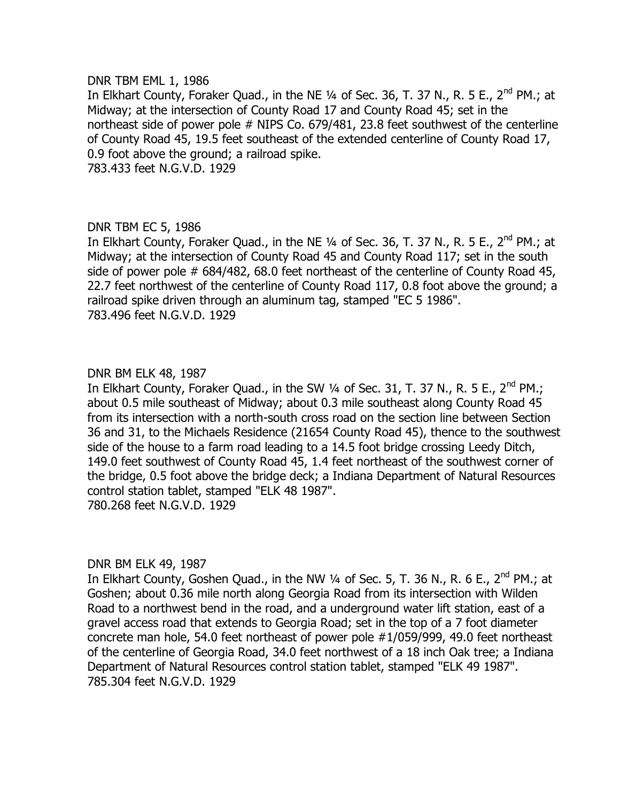#### DNR TBM EML 1, 1986

In Elkhart County, Foraker Quad., in the NE 1/4 of Sec. 36, T. 37 N., R. 5 E., 2<sup>nd</sup> PM.; at Midway; at the intersection of County Road 17 and County Road 45; set in the northeast side of power pole # NIPS Co. 679/481, 23.8 feet southwest of the centerline of County Road 45, 19.5 feet southeast of the extended centerline of County Road 17, 0.9 foot above the ground; a railroad spike.

783.433 feet N.G.V.D. 1929

# DNR TBM EC 5, 1986

In Elkhart County, Foraker Quad., in the NE 1/4 of Sec. 36, T. 37 N., R. 5 E., 2<sup>nd</sup> PM.; at Midway; at the intersection of County Road 45 and County Road 117; set in the south side of power pole # 684/482, 68.0 feet northeast of the centerline of County Road 45, 22.7 feet northwest of the centerline of County Road 117, 0.8 foot above the ground; a railroad spike driven through an aluminum tag, stamped "EC 5 1986". 783.496 feet N.G.V.D. 1929

## DNR BM ELK 48, 1987

In Elkhart County, Foraker Quad., in the SW  $\frac{1}{4}$  of Sec. 31, T. 37 N., R. 5 E., 2<sup>nd</sup> PM.; about 0.5 mile southeast of Midway; about 0.3 mile southeast along County Road 45 from its intersection with a north-south cross road on the section line between Section 36 and 31, to the Michaels Residence (21654 County Road 45), thence to the southwest side of the house to a farm road leading to a 14.5 foot bridge crossing Leedy Ditch, 149.0 feet southwest of County Road 45, 1.4 feet northeast of the southwest corner of the bridge, 0.5 foot above the bridge deck; a Indiana Department of Natural Resources control station tablet, stamped "ELK 48 1987". 780.268 feet N.G.V.D. 1929

## DNR BM ELK 49, 1987

In Elkhart County, Goshen Quad., in the NW  $\frac{1}{4}$  of Sec. 5, T. 36 N., R. 6 E., 2<sup>nd</sup> PM.; at Goshen; about 0.36 mile north along Georgia Road from its intersection with Wilden Road to a northwest bend in the road, and a underground water lift station, east of a gravel access road that extends to Georgia Road; set in the top of a 7 foot diameter concrete man hole, 54.0 feet northeast of power pole #1/059/999, 49.0 feet northeast of the centerline of Georgia Road, 34.0 feet northwest of a 18 inch Oak tree; a Indiana Department of Natural Resources control station tablet, stamped "ELK 49 1987". 785.304 feet N.G.V.D. 1929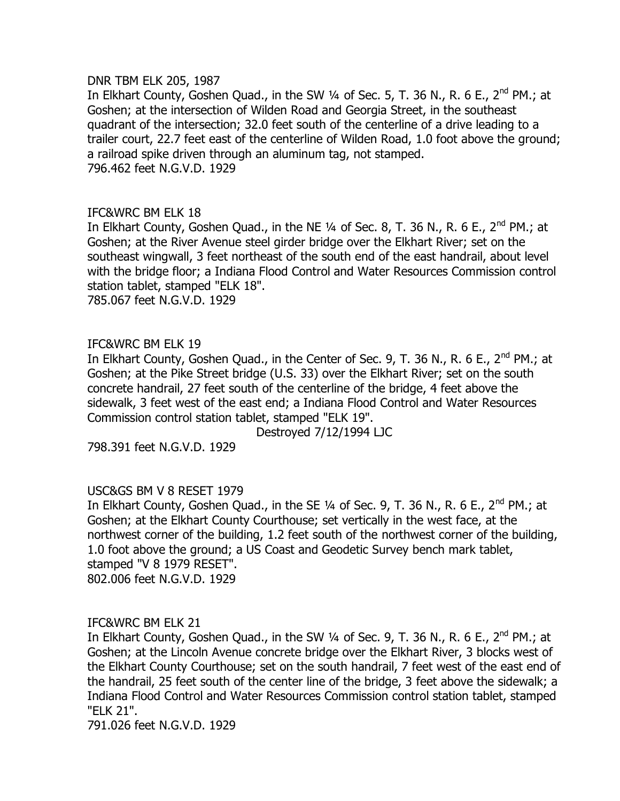### DNR TBM ELK 205, 1987

In Elkhart County, Goshen Quad., in the SW  $\frac{1}{4}$  of Sec. 5, T. 36 N., R. 6 E., 2<sup>nd</sup> PM.; at Goshen; at the intersection of Wilden Road and Georgia Street, in the southeast quadrant of the intersection; 32.0 feet south of the centerline of a drive leading to a trailer court, 22.7 feet east of the centerline of Wilden Road, 1.0 foot above the ground; a railroad spike driven through an aluminum tag, not stamped. 796.462 feet N.G.V.D. 1929

## IFC&WRC BM ELK 18

In Elkhart County, Goshen Quad., in the NE  $\frac{1}{4}$  of Sec. 8, T. 36 N., R. 6 E., 2<sup>nd</sup> PM.; at Goshen; at the River Avenue steel girder bridge over the Elkhart River; set on the southeast wingwall, 3 feet northeast of the south end of the east handrail, about level with the bridge floor; a Indiana Flood Control and Water Resources Commission control station tablet, stamped "ELK 18".

785.067 feet N.G.V.D. 1929

## IFC&WRC BM ELK 19

In Elkhart County, Goshen Quad., in the Center of Sec. 9, T. 36 N., R. 6 E., 2<sup>nd</sup> PM.; at Goshen; at the Pike Street bridge (U.S. 33) over the Elkhart River; set on the south concrete handrail, 27 feet south of the centerline of the bridge, 4 feet above the sidewalk, 3 feet west of the east end; a Indiana Flood Control and Water Resources Commission control station tablet, stamped "ELK 19".

Destroyed 7/12/1994 LJC

798.391 feet N.G.V.D. 1929

## USC&GS BM V 8 RESET 1979

In Elkhart County, Goshen Quad., in the SE 1/4 of Sec. 9, T. 36 N., R. 6 E., 2<sup>nd</sup> PM.; at Goshen; at the Elkhart County Courthouse; set vertically in the west face, at the northwest corner of the building, 1.2 feet south of the northwest corner of the building, 1.0 foot above the ground; a US Coast and Geodetic Survey bench mark tablet, stamped "V 8 1979 RESET". 802.006 feet N.G.V.D. 1929

## IFC&WRC BM ELK 21

In Elkhart County, Goshen Quad., in the SW  $\frac{1}{4}$  of Sec. 9, T. 36 N., R. 6 E., 2<sup>nd</sup> PM.; at Goshen; at the Lincoln Avenue concrete bridge over the Elkhart River, 3 blocks west of the Elkhart County Courthouse; set on the south handrail, 7 feet west of the east end of the handrail, 25 feet south of the center line of the bridge, 3 feet above the sidewalk; a Indiana Flood Control and Water Resources Commission control station tablet, stamped "ELK 21".

791.026 feet N.G.V.D. 1929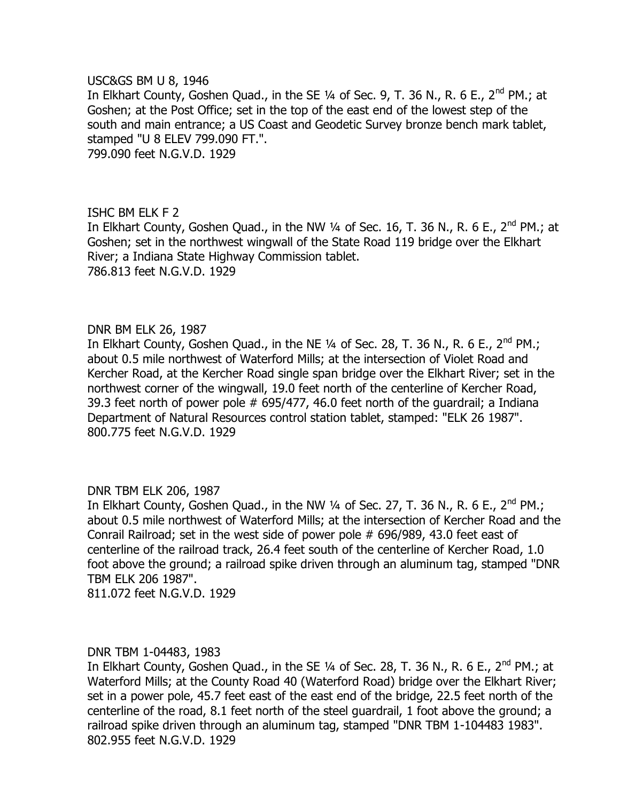#### USC&GS BM U 8, 1946

In Elkhart County, Goshen Quad., in the SE 1/4 of Sec. 9, T. 36 N., R. 6 E., 2<sup>nd</sup> PM.; at Goshen; at the Post Office; set in the top of the east end of the lowest step of the south and main entrance; a US Coast and Geodetic Survey bronze bench mark tablet, stamped "U 8 ELEV 799.090 FT.". 799.090 feet N.G.V.D. 1929

### ISHC BM ELK F 2

In Elkhart County, Goshen Quad., in the NW 1/4 of Sec. 16, T. 36 N., R. 6 E., 2<sup>nd</sup> PM.; at Goshen; set in the northwest wingwall of the State Road 119 bridge over the Elkhart River; a Indiana State Highway Commission tablet. 786.813 feet N.G.V.D. 1929

## DNR BM ELK 26, 1987

In Elkhart County, Goshen Quad., in the NE  $1/4$  of Sec. 28, T. 36 N., R. 6 E., 2<sup>nd</sup> PM.; about 0.5 mile northwest of Waterford Mills; at the intersection of Violet Road and Kercher Road, at the Kercher Road single span bridge over the Elkhart River; set in the northwest corner of the wingwall, 19.0 feet north of the centerline of Kercher Road, 39.3 feet north of power pole # 695/477, 46.0 feet north of the guardrail; a Indiana Department of Natural Resources control station tablet, stamped: "ELK 26 1987". 800.775 feet N.G.V.D. 1929

#### DNR TBM ELK 206, 1987

In Elkhart County, Goshen Quad., in the NW 1/4 of Sec. 27, T. 36 N., R. 6 E., 2<sup>nd</sup> PM.; about 0.5 mile northwest of Waterford Mills; at the intersection of Kercher Road and the Conrail Railroad; set in the west side of power pole # 696/989, 43.0 feet east of centerline of the railroad track, 26.4 feet south of the centerline of Kercher Road, 1.0 foot above the ground; a railroad spike driven through an aluminum tag, stamped "DNR TBM ELK 206 1987".

811.072 feet N.G.V.D. 1929

## DNR TBM 1-04483, 1983

In Elkhart County, Goshen Quad., in the SE  $\frac{1}{4}$  of Sec. 28, T. 36 N., R. 6 E., 2<sup>nd</sup> PM.; at Waterford Mills; at the County Road 40 (Waterford Road) bridge over the Elkhart River; set in a power pole, 45.7 feet east of the east end of the bridge, 22.5 feet north of the centerline of the road, 8.1 feet north of the steel guardrail, 1 foot above the ground; a railroad spike driven through an aluminum tag, stamped "DNR TBM 1-104483 1983". 802.955 feet N.G.V.D. 1929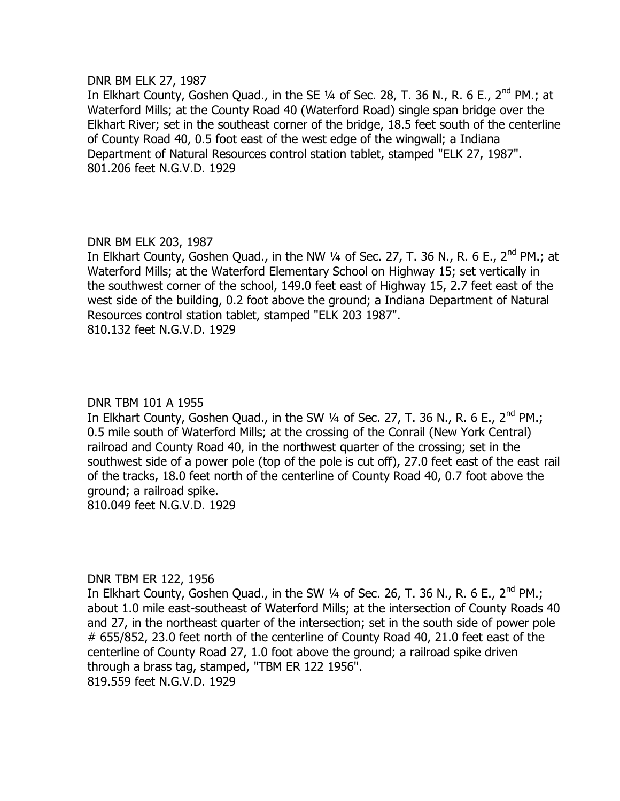#### DNR BM ELK 27, 1987

In Elkhart County, Goshen Quad., in the SE 1/4 of Sec. 28, T. 36 N., R. 6 E., 2<sup>nd</sup> PM.; at Waterford Mills; at the County Road 40 (Waterford Road) single span bridge over the Elkhart River; set in the southeast corner of the bridge, 18.5 feet south of the centerline of County Road 40, 0.5 foot east of the west edge of the wingwall; a Indiana Department of Natural Resources control station tablet, stamped "ELK 27, 1987". 801.206 feet N.G.V.D. 1929

# DNR BM ELK 203, 1987

In Elkhart County, Goshen Quad., in the NW 1/4 of Sec. 27, T. 36 N., R. 6 E., 2<sup>nd</sup> PM.; at Waterford Mills; at the Waterford Elementary School on Highway 15; set vertically in the southwest corner of the school, 149.0 feet east of Highway 15, 2.7 feet east of the west side of the building, 0.2 foot above the ground; a Indiana Department of Natural Resources control station tablet, stamped "ELK 203 1987". 810.132 feet N.G.V.D. 1929

## DNR TBM 101 A 1955

In Elkhart County, Goshen Quad., in the SW  $\frac{1}{4}$  of Sec. 27, T. 36 N., R. 6 E., 2<sup>nd</sup> PM.; 0.5 mile south of Waterford Mills; at the crossing of the Conrail (New York Central) railroad and County Road 40, in the northwest quarter of the crossing; set in the southwest side of a power pole (top of the pole is cut off), 27.0 feet east of the east rail of the tracks, 18.0 feet north of the centerline of County Road 40, 0.7 foot above the ground; a railroad spike.

810.049 feet N.G.V.D. 1929

## DNR TBM ER 122, 1956

In Elkhart County, Goshen Quad., in the SW 1/4 of Sec. 26, T. 36 N., R. 6 E., 2<sup>nd</sup> PM.; about 1.0 mile east-southeast of Waterford Mills; at the intersection of County Roads 40 and 27, in the northeast quarter of the intersection; set in the south side of power pole # 655/852, 23.0 feet north of the centerline of County Road 40, 21.0 feet east of the centerline of County Road 27, 1.0 foot above the ground; a railroad spike driven through a brass tag, stamped, "TBM ER 122 1956". 819.559 feet N.G.V.D. 1929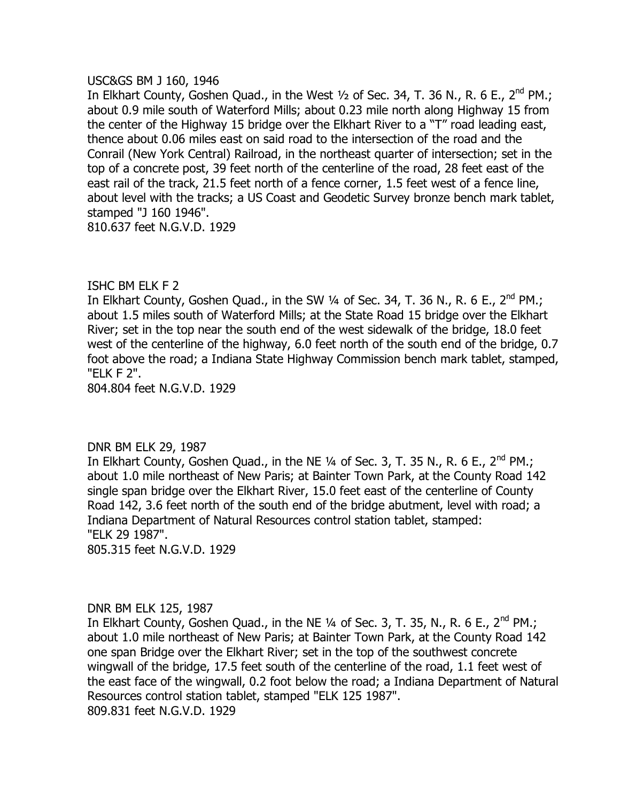#### USC&GS BM J 160, 1946

In Elkhart County, Goshen Quad., in the West  $1/2$  of Sec. 34, T. 36 N., R. 6 E.,  $2^{nd}$  PM.; about 0.9 mile south of Waterford Mills; about 0.23 mile north along Highway 15 from the center of the Highway 15 bridge over the Elkhart River to a "T" road leading east, thence about 0.06 miles east on said road to the intersection of the road and the Conrail (New York Central) Railroad, in the northeast quarter of intersection; set in the top of a concrete post, 39 feet north of the centerline of the road, 28 feet east of the east rail of the track, 21.5 feet north of a fence corner, 1.5 feet west of a fence line, about level with the tracks; a US Coast and Geodetic Survey bronze bench mark tablet, stamped "J 160 1946". 810.637 feet N.G.V.D. 1929

### ISHC BM ELK F 2

In Elkhart County, Goshen Quad., in the SW  $1/4$  of Sec. 34, T. 36 N., R. 6 E., 2<sup>nd</sup> PM.; about 1.5 miles south of Waterford Mills; at the State Road 15 bridge over the Elkhart River; set in the top near the south end of the west sidewalk of the bridge, 18.0 feet west of the centerline of the highway, 6.0 feet north of the south end of the bridge, 0.7 foot above the road; a Indiana State Highway Commission bench mark tablet, stamped, "ELK F 2".

804.804 feet N.G.V.D. 1929

## DNR BM ELK 29, 1987

In Elkhart County, Goshen Quad., in the NE  $\frac{1}{4}$  of Sec. 3, T. 35 N., R. 6 E., 2<sup>nd</sup> PM.; about 1.0 mile northeast of New Paris; at Bainter Town Park, at the County Road 142 single span bridge over the Elkhart River, 15.0 feet east of the centerline of County Road 142, 3.6 feet north of the south end of the bridge abutment, level with road; a Indiana Department of Natural Resources control station tablet, stamped: "ELK 29 1987".

805.315 feet N.G.V.D. 1929

#### DNR BM ELK 125, 1987

In Elkhart County, Goshen Quad., in the NE  $1/4$  of Sec. 3, T. 35, N., R. 6 E., 2<sup>nd</sup> PM.; about 1.0 mile northeast of New Paris; at Bainter Town Park, at the County Road 142 one span Bridge over the Elkhart River; set in the top of the southwest concrete wingwall of the bridge, 17.5 feet south of the centerline of the road, 1.1 feet west of the east face of the wingwall, 0.2 foot below the road; a Indiana Department of Natural Resources control station tablet, stamped "ELK 125 1987". 809.831 feet N.G.V.D. 1929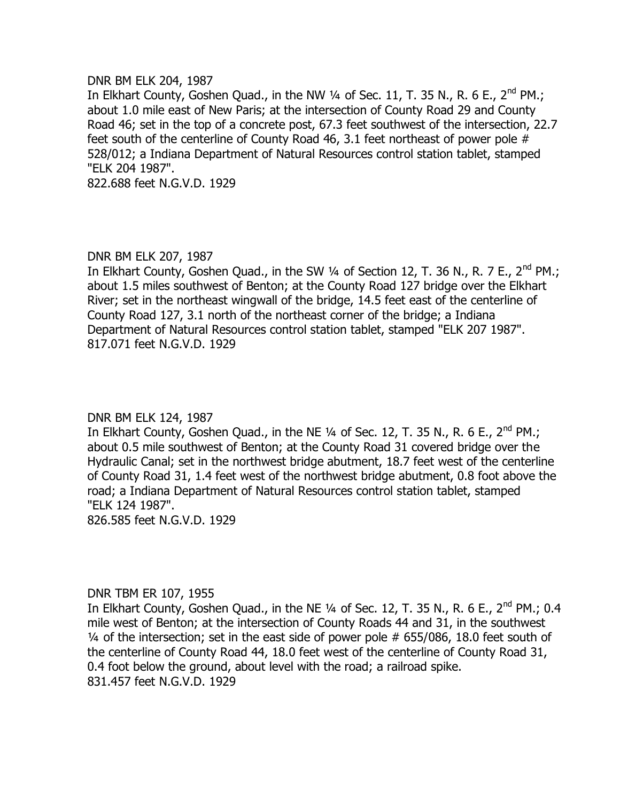#### DNR BM ELK 204, 1987

In Elkhart County, Goshen Quad., in the NW 1/4 of Sec. 11, T. 35 N., R. 6 E., 2<sup>nd</sup> PM.; about 1.0 mile east of New Paris; at the intersection of County Road 29 and County Road 46; set in the top of a concrete post, 67.3 feet southwest of the intersection, 22.7 feet south of the centerline of County Road 46, 3.1 feet northeast of power pole # 528/012; a Indiana Department of Natural Resources control station tablet, stamped "ELK 204 1987".

822.688 feet N.G.V.D. 1929

## DNR BM ELK 207, 1987

In Elkhart County, Goshen Quad., in the SW 1/4 of Section 12, T. 36 N., R. 7 E., 2<sup>nd</sup> PM.: about 1.5 miles southwest of Benton; at the County Road 127 bridge over the Elkhart River; set in the northeast wingwall of the bridge, 14.5 feet east of the centerline of County Road 127, 3.1 north of the northeast corner of the bridge; a Indiana Department of Natural Resources control station tablet, stamped "ELK 207 1987". 817.071 feet N.G.V.D. 1929

## DNR BM ELK 124, 1987

In Elkhart County, Goshen Quad., in the NE  $1/4$  of Sec. 12, T. 35 N., R. 6 E., 2<sup>nd</sup> PM.; about 0.5 mile southwest of Benton; at the County Road 31 covered bridge over the Hydraulic Canal; set in the northwest bridge abutment, 18.7 feet west of the centerline of County Road 31, 1.4 feet west of the northwest bridge abutment, 0.8 foot above the road; a Indiana Department of Natural Resources control station tablet, stamped "ELK 124 1987".

826.585 feet N.G.V.D. 1929

## DNR TBM ER 107, 1955

In Elkhart County, Goshen Quad., in the NE  $1/4$  of Sec. 12, T. 35 N., R. 6 E., 2<sup>nd</sup> PM.; 0.4 mile west of Benton; at the intersection of County Roads 44 and 31, in the southwest ¼ of the intersection; set in the east side of power pole # 655/086, 18.0 feet south of the centerline of County Road 44, 18.0 feet west of the centerline of County Road 31, 0.4 foot below the ground, about level with the road; a railroad spike. 831.457 feet N.G.V.D. 1929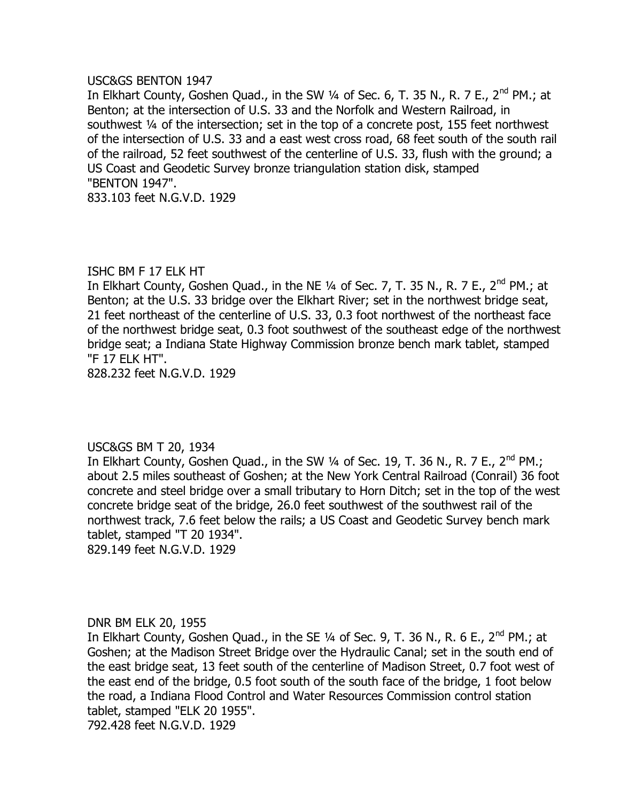#### USC&GS BENTON 1947

In Elkhart County, Goshen Quad., in the SW 1/4 of Sec. 6, T. 35 N., R. 7 E., 2<sup>nd</sup> PM.; at Benton; at the intersection of U.S. 33 and the Norfolk and Western Railroad, in southwest ¼ of the intersection; set in the top of a concrete post, 155 feet northwest of the intersection of U.S. 33 and a east west cross road, 68 feet south of the south rail of the railroad, 52 feet southwest of the centerline of U.S. 33, flush with the ground; a US Coast and Geodetic Survey bronze triangulation station disk, stamped "BENTON 1947".

833.103 feet N.G.V.D. 1929

## ISHC BM F 17 ELK HT

In Elkhart County, Goshen Quad., in the NE  $\frac{1}{4}$  of Sec. 7, T. 35 N., R. 7 E., 2<sup>nd</sup> PM.; at Benton; at the U.S. 33 bridge over the Elkhart River; set in the northwest bridge seat, 21 feet northeast of the centerline of U.S. 33, 0.3 foot northwest of the northeast face of the northwest bridge seat, 0.3 foot southwest of the southeast edge of the northwest bridge seat; a Indiana State Highway Commission bronze bench mark tablet, stamped "F 17 ELK HT".

828.232 feet N.G.V.D. 1929

## USC&GS BM T 20, 1934

In Elkhart County, Goshen Quad., in the SW  $\frac{1}{4}$  of Sec. 19, T. 36 N., R. 7 E., 2<sup>nd</sup> PM.; about 2.5 miles southeast of Goshen; at the New York Central Railroad (Conrail) 36 foot concrete and steel bridge over a small tributary to Horn Ditch; set in the top of the west concrete bridge seat of the bridge, 26.0 feet southwest of the southwest rail of the northwest track, 7.6 feet below the rails; a US Coast and Geodetic Survey bench mark tablet, stamped "T 20 1934".

829.149 feet N.G.V.D. 1929

## DNR BM ELK 20, 1955

In Elkhart County, Goshen Quad., in the SE  $1/4$  of Sec. 9, T. 36 N., R. 6 E., 2<sup>nd</sup> PM.; at Goshen; at the Madison Street Bridge over the Hydraulic Canal; set in the south end of the east bridge seat, 13 feet south of the centerline of Madison Street, 0.7 foot west of the east end of the bridge, 0.5 foot south of the south face of the bridge, 1 foot below the road, a Indiana Flood Control and Water Resources Commission control station tablet, stamped "ELK 20 1955".

792.428 feet N.G.V.D. 1929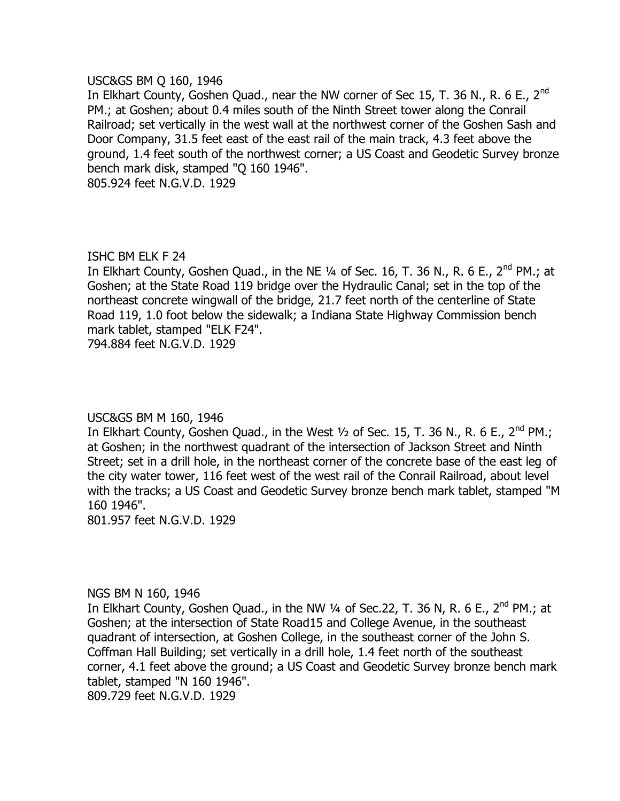#### USC&GS BM Q 160, 1946

In Elkhart County, Goshen Quad., near the NW corner of Sec 15, T. 36 N., R. 6 E., 2<sup>nd</sup> PM.; at Goshen; about 0.4 miles south of the Ninth Street tower along the Conrail Railroad; set vertically in the west wall at the northwest corner of the Goshen Sash and Door Company, 31.5 feet east of the east rail of the main track, 4.3 feet above the ground, 1.4 feet south of the northwest corner; a US Coast and Geodetic Survey bronze bench mark disk, stamped "Q 160 1946".

805.924 feet N.G.V.D. 1929

## ISHC BM ELK F 24

In Elkhart County, Goshen Quad., in the NE  $\frac{1}{4}$  of Sec. 16, T. 36 N., R. 6 E., 2<sup>nd</sup> PM.; at Goshen; at the State Road 119 bridge over the Hydraulic Canal; set in the top of the northeast concrete wingwall of the bridge, 21.7 feet north of the centerline of State Road 119, 1.0 foot below the sidewalk; a Indiana State Highway Commission bench mark tablet, stamped "ELK F24".

794.884 feet N.G.V.D. 1929

## USC&GS BM M 160, 1946

In Elkhart County, Goshen Quad., in the West  $1/2$  of Sec. 15, T. 36 N., R. 6 E., 2<sup>nd</sup> PM.; at Goshen; in the northwest quadrant of the intersection of Jackson Street and Ninth Street; set in a drill hole, in the northeast corner of the concrete base of the east leg of the city water tower, 116 feet west of the west rail of the Conrail Railroad, about level with the tracks; a US Coast and Geodetic Survey bronze bench mark tablet, stamped "M 160 1946".

801.957 feet N.G.V.D. 1929

## NGS BM N 160, 1946

In Elkhart County, Goshen Quad., in the NW 1/4 of Sec.22, T. 36 N, R. 6 E., 2<sup>nd</sup> PM.; at Goshen; at the intersection of State Road15 and College Avenue, in the southeast quadrant of intersection, at Goshen College, in the southeast corner of the John S. Coffman Hall Building; set vertically in a drill hole, 1.4 feet north of the southeast corner, 4.1 feet above the ground; a US Coast and Geodetic Survey bronze bench mark tablet, stamped "N 160 1946".

809.729 feet N.G.V.D. 1929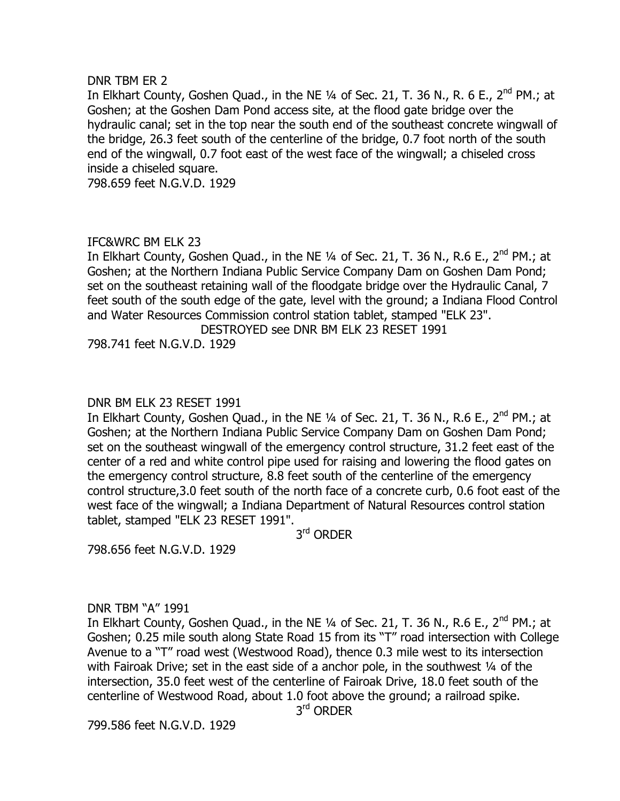#### DNR TBM ER 2

In Elkhart County, Goshen Quad., in the NE 1/4 of Sec. 21, T. 36 N., R. 6 E., 2<sup>nd</sup> PM.; at Goshen; at the Goshen Dam Pond access site, at the flood gate bridge over the hydraulic canal; set in the top near the south end of the southeast concrete wingwall of the bridge, 26.3 feet south of the centerline of the bridge, 0.7 foot north of the south end of the wingwall, 0.7 foot east of the west face of the wingwall; a chiseled cross inside a chiseled square.

798.659 feet N.G.V.D. 1929

# IFC&WRC BM ELK 23

In Elkhart County, Goshen Quad., in the NE 1/4 of Sec. 21, T. 36 N., R.6 E., 2<sup>nd</sup> PM.; at Goshen; at the Northern Indiana Public Service Company Dam on Goshen Dam Pond; set on the southeast retaining wall of the floodgate bridge over the Hydraulic Canal, 7 feet south of the south edge of the gate, level with the ground; a Indiana Flood Control and Water Resources Commission control station tablet, stamped "ELK 23". DESTROYED see DNR BM ELK 23 RESET 1991

798.741 feet N.G.V.D. 1929

## DNR BM ELK 23 RESET 1991

In Elkhart County, Goshen Quad., in the NE 1/4 of Sec. 21, T. 36 N., R.6 E., 2<sup>nd</sup> PM.; at Goshen; at the Northern Indiana Public Service Company Dam on Goshen Dam Pond; set on the southeast wingwall of the emergency control structure, 31.2 feet east of the center of a red and white control pipe used for raising and lowering the flood gates on the emergency control structure, 8.8 feet south of the centerline of the emergency control structure,3.0 feet south of the north face of a concrete curb, 0.6 foot east of the west face of the wingwall; a Indiana Department of Natural Resources control station tablet, stamped "ELK 23 RESET 1991".

3<sup>rd</sup> ORDER

798.656 feet N.G.V.D. 1929

## DNR TBM "A" 1991

In Elkhart County, Goshen Quad., in the NE 1/4 of Sec. 21, T. 36 N., R.6 E., 2<sup>nd</sup> PM.; at Goshen; 0.25 mile south along State Road 15 from its "T" road intersection with College Avenue to a "T" road west (Westwood Road), thence 0.3 mile west to its intersection with Fairoak Drive; set in the east side of a anchor pole, in the southwest 1/4 of the intersection, 35.0 feet west of the centerline of Fairoak Drive, 18.0 feet south of the centerline of Westwood Road, about 1.0 foot above the ground; a railroad spike.

3<sup>rd</sup> ORDER

799.586 feet N.G.V.D. 1929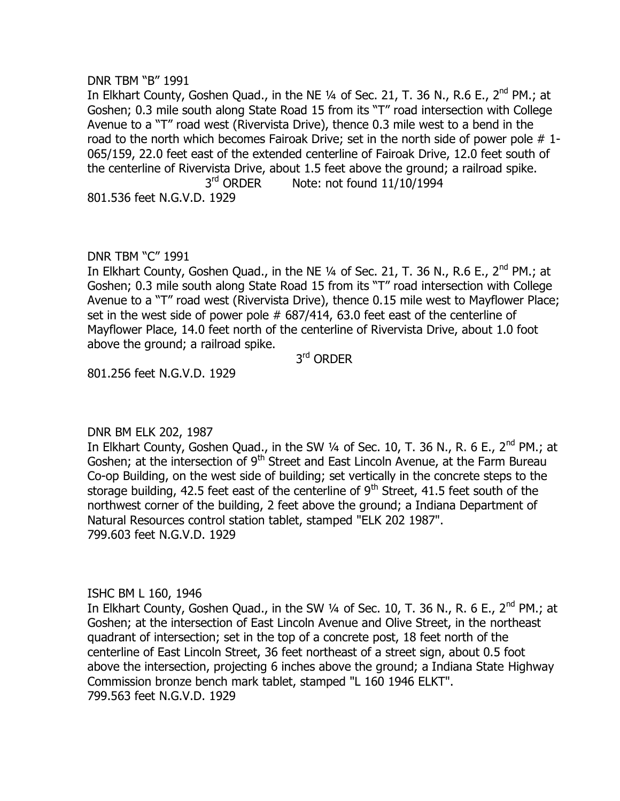### DNR TBM "B" 1991

In Elkhart County, Goshen Quad., in the NE 1/4 of Sec. 21, T. 36 N., R.6 E., 2<sup>nd</sup> PM.; at Goshen; 0.3 mile south along State Road 15 from its "T" road intersection with College Avenue to a "T" road west (Rivervista Drive), thence 0.3 mile west to a bend in the road to the north which becomes Fairoak Drive; set in the north side of power pole # 1- 065/159, 22.0 feet east of the extended centerline of Fairoak Drive, 12.0 feet south of the centerline of Rivervista Drive, about 1.5 feet above the ground; a railroad spike. 3<sup>rd</sup> ORDER Note: not found 11/10/1994 801.536 feet N.G.V.D. 1929

## DNR TBM "C" 1991

In Elkhart County, Goshen Quad., in the NE  $\frac{1}{4}$  of Sec. 21, T. 36 N., R.6 E., 2<sup>nd</sup> PM.; at Goshen; 0.3 mile south along State Road 15 from its "T" road intersection with College Avenue to a "T" road west (Rivervista Drive), thence 0.15 mile west to Mayflower Place; set in the west side of power pole # 687/414, 63.0 feet east of the centerline of Mayflower Place, 14.0 feet north of the centerline of Rivervista Drive, about 1.0 foot above the ground; a railroad spike.

3<sup>rd</sup> ORDER

801.256 feet N.G.V.D. 1929

## DNR BM ELK 202, 1987

In Elkhart County, Goshen Quad., in the SW 1/4 of Sec. 10, T. 36 N., R. 6 E., 2<sup>nd</sup> PM.; at Goshen; at the intersection of  $9<sup>th</sup>$  Street and East Lincoln Avenue, at the Farm Bureau Co-op Building, on the west side of building; set vertically in the concrete steps to the storage building, 42.5 feet east of the centerline of  $9<sup>th</sup>$  Street, 41.5 feet south of the northwest corner of the building, 2 feet above the ground; a Indiana Department of Natural Resources control station tablet, stamped "ELK 202 1987". 799.603 feet N.G.V.D. 1929

## ISHC BM L 160, 1946

In Elkhart County, Goshen Quad., in the SW 1/4 of Sec. 10, T. 36 N., R. 6 E., 2<sup>nd</sup> PM.; at Goshen; at the intersection of East Lincoln Avenue and Olive Street, in the northeast quadrant of intersection; set in the top of a concrete post, 18 feet north of the centerline of East Lincoln Street, 36 feet northeast of a street sign, about 0.5 foot above the intersection, projecting 6 inches above the ground; a Indiana State Highway Commission bronze bench mark tablet, stamped "L 160 1946 ELKT". 799.563 feet N.G.V.D. 1929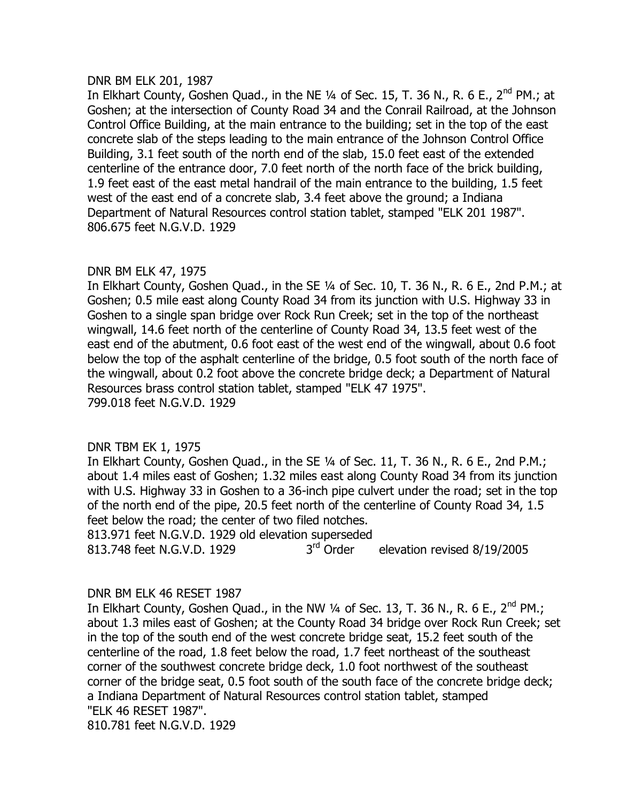#### DNR BM ELK 201, 1987

In Elkhart County, Goshen Quad., in the NE  $\frac{1}{4}$  of Sec. 15, T. 36 N., R. 6 E., 2<sup>nd</sup> PM.; at Goshen; at the intersection of County Road 34 and the Conrail Railroad, at the Johnson Control Office Building, at the main entrance to the building; set in the top of the east concrete slab of the steps leading to the main entrance of the Johnson Control Office Building, 3.1 feet south of the north end of the slab, 15.0 feet east of the extended centerline of the entrance door, 7.0 feet north of the north face of the brick building, 1.9 feet east of the east metal handrail of the main entrance to the building, 1.5 feet west of the east end of a concrete slab, 3.4 feet above the ground; a Indiana Department of Natural Resources control station tablet, stamped "ELK 201 1987". 806.675 feet N.G.V.D. 1929

# DNR BM ELK 47, 1975

In Elkhart County, Goshen Quad., in the SE ¼ of Sec. 10, T. 36 N., R. 6 E., 2nd P.M.; at Goshen; 0.5 mile east along County Road 34 from its junction with U.S. Highway 33 in Goshen to a single span bridge over Rock Run Creek; set in the top of the northeast wingwall, 14.6 feet north of the centerline of County Road 34, 13.5 feet west of the east end of the abutment, 0.6 foot east of the west end of the wingwall, about 0.6 foot below the top of the asphalt centerline of the bridge, 0.5 foot south of the north face of the wingwall, about 0.2 foot above the concrete bridge deck; a Department of Natural Resources brass control station tablet, stamped "ELK 47 1975". 799.018 feet N.G.V.D. 1929

## DNR TBM EK 1, 1975

In Elkhart County, Goshen Quad., in the SE ¼ of Sec. 11, T. 36 N., R. 6 E., 2nd P.M.; about 1.4 miles east of Goshen; 1.32 miles east along County Road 34 from its junction with U.S. Highway 33 in Goshen to a 36-inch pipe culvert under the road; set in the top of the north end of the pipe, 20.5 feet north of the centerline of County Road 34, 1.5 feet below the road; the center of two filed notches.

813.971 feet N.G.V.D. 1929 old elevation superseded 813.748 feet N.G.V.D. 1929 3<sup>rd</sup> Order elevation revised 8/19/2005

## DNR BM ELK 46 RESET 1987

In Elkhart County, Goshen Quad., in the NW  $\frac{1}{4}$  of Sec. 13, T. 36 N., R. 6 E., 2<sup>nd</sup> PM.; about 1.3 miles east of Goshen; at the County Road 34 bridge over Rock Run Creek; set in the top of the south end of the west concrete bridge seat, 15.2 feet south of the centerline of the road, 1.8 feet below the road, 1.7 feet northeast of the southeast corner of the southwest concrete bridge deck, 1.0 foot northwest of the southeast corner of the bridge seat, 0.5 foot south of the south face of the concrete bridge deck; a Indiana Department of Natural Resources control station tablet, stamped "ELK 46 RESET 1987".

810.781 feet N.G.V.D. 1929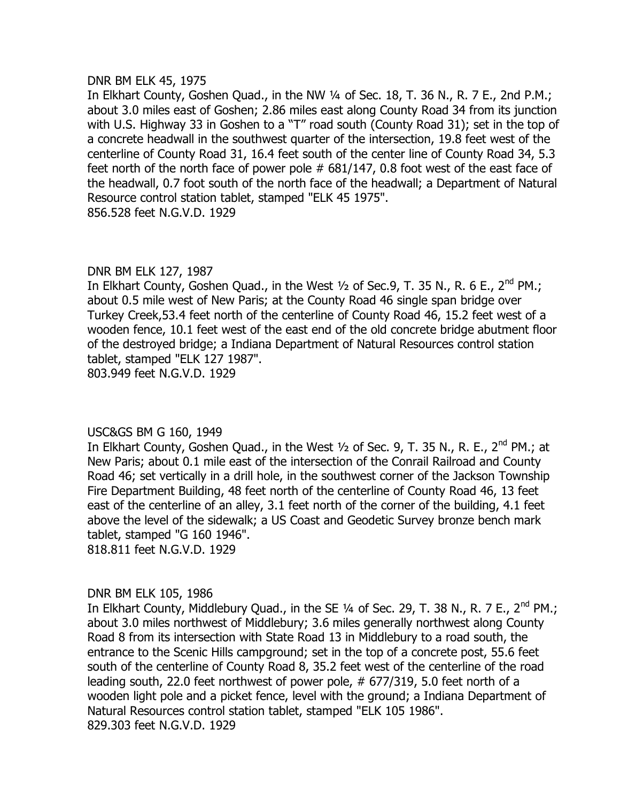#### DNR BM ELK 45, 1975

In Elkhart County, Goshen Quad., in the NW ¼ of Sec. 18, T. 36 N., R. 7 E., 2nd P.M.; about 3.0 miles east of Goshen; 2.86 miles east along County Road 34 from its junction with U.S. Highway 33 in Goshen to a "T" road south (County Road 31); set in the top of a concrete headwall in the southwest quarter of the intersection, 19.8 feet west of the centerline of County Road 31, 16.4 feet south of the center line of County Road 34, 5.3 feet north of the north face of power pole # 681/147, 0.8 foot west of the east face of the headwall, 0.7 foot south of the north face of the headwall; a Department of Natural Resource control station tablet, stamped "ELK 45 1975". 856.528 feet N.G.V.D. 1929

# DNR BM ELK 127, 1987

In Elkhart County, Goshen Quad., in the West  $\frac{1}{2}$  of Sec.9, T. 35 N., R. 6 E., 2<sup>nd</sup> PM.; about 0.5 mile west of New Paris; at the County Road 46 single span bridge over Turkey Creek,53.4 feet north of the centerline of County Road 46, 15.2 feet west of a wooden fence, 10.1 feet west of the east end of the old concrete bridge abutment floor of the destroyed bridge; a Indiana Department of Natural Resources control station tablet, stamped "ELK 127 1987".

803.949 feet N.G.V.D. 1929

## USC&GS BM G 160, 1949

In Elkhart County, Goshen Quad., in the West  $1/2$  of Sec. 9, T. 35 N., R. E., 2<sup>nd</sup> PM.; at New Paris; about 0.1 mile east of the intersection of the Conrail Railroad and County Road 46; set vertically in a drill hole, in the southwest corner of the Jackson Township Fire Department Building, 48 feet north of the centerline of County Road 46, 13 feet east of the centerline of an alley, 3.1 feet north of the corner of the building, 4.1 feet above the level of the sidewalk; a US Coast and Geodetic Survey bronze bench mark tablet, stamped "G 160 1946". 818.811 feet N.G.V.D. 1929

## DNR BM ELK 105, 1986

In Elkhart County, Middlebury Quad., in the SE 1/4 of Sec. 29, T. 38 N., R. 7 E., 2<sup>nd</sup> PM.; about 3.0 miles northwest of Middlebury; 3.6 miles generally northwest along County Road 8 from its intersection with State Road 13 in Middlebury to a road south, the entrance to the Scenic Hills campground; set in the top of a concrete post, 55.6 feet south of the centerline of County Road 8, 35.2 feet west of the centerline of the road leading south, 22.0 feet northwest of power pole, # 677/319, 5.0 feet north of a wooden light pole and a picket fence, level with the ground; a Indiana Department of Natural Resources control station tablet, stamped "ELK 105 1986". 829.303 feet N.G.V.D. 1929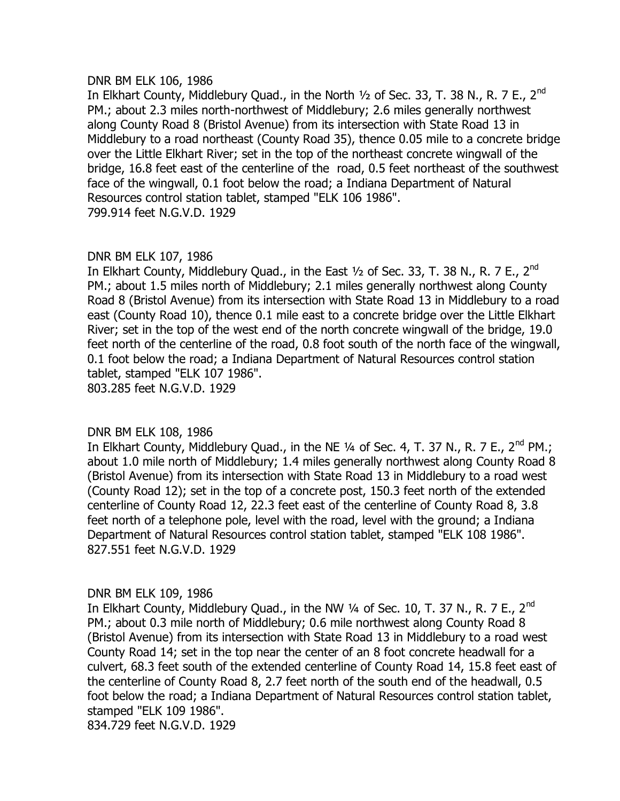#### DNR BM ELK 106, 1986

In Elkhart County, Middlebury Quad., in the North  $\frac{1}{2}$  of Sec. 33, T. 38 N., R. 7 E., 2<sup>nd</sup> PM.; about 2.3 miles north-northwest of Middlebury; 2.6 miles generally northwest along County Road 8 (Bristol Avenue) from its intersection with State Road 13 in Middlebury to a road northeast (County Road 35), thence 0.05 mile to a concrete bridge over the Little Elkhart River; set in the top of the northeast concrete wingwall of the bridge, 16.8 feet east of the centerline of the road, 0.5 feet northeast of the southwest face of the wingwall, 0.1 foot below the road; a Indiana Department of Natural Resources control station tablet, stamped "ELK 106 1986". 799.914 feet N.G.V.D. 1929

## DNR BM ELK 107, 1986

In Elkhart County, Middlebury Quad., in the East  $\frac{1}{2}$  of Sec. 33, T. 38 N., R. 7 E., 2<sup>nd</sup> PM.; about 1.5 miles north of Middlebury; 2.1 miles generally northwest along County Road 8 (Bristol Avenue) from its intersection with State Road 13 in Middlebury to a road east (County Road 10), thence 0.1 mile east to a concrete bridge over the Little Elkhart River; set in the top of the west end of the north concrete wingwall of the bridge, 19.0 feet north of the centerline of the road, 0.8 foot south of the north face of the wingwall, 0.1 foot below the road; a Indiana Department of Natural Resources control station tablet, stamped "ELK 107 1986".

803.285 feet N.G.V.D. 1929

## DNR BM ELK 108, 1986

In Elkhart County, Middlebury Quad., in the NE  $\frac{1}{4}$  of Sec. 4, T. 37 N., R. 7 E., 2<sup>nd</sup> PM.; about 1.0 mile north of Middlebury; 1.4 miles generally northwest along County Road 8 (Bristol Avenue) from its intersection with State Road 13 in Middlebury to a road west (County Road 12); set in the top of a concrete post, 150.3 feet north of the extended centerline of County Road 12, 22.3 feet east of the centerline of County Road 8, 3.8 feet north of a telephone pole, level with the road, level with the ground; a Indiana Department of Natural Resources control station tablet, stamped "ELK 108 1986". 827.551 feet N.G.V.D. 1929

## DNR BM ELK 109, 1986

In Elkhart County, Middlebury Quad., in the NW 1/4 of Sec. 10, T. 37 N., R. 7 E., 2<sup>nd</sup> PM.; about 0.3 mile north of Middlebury; 0.6 mile northwest along County Road 8 (Bristol Avenue) from its intersection with State Road 13 in Middlebury to a road west County Road 14; set in the top near the center of an 8 foot concrete headwall for a culvert, 68.3 feet south of the extended centerline of County Road 14, 15.8 feet east of the centerline of County Road 8, 2.7 feet north of the south end of the headwall, 0.5 foot below the road; a Indiana Department of Natural Resources control station tablet, stamped "ELK 109 1986".

834.729 feet N.G.V.D. 1929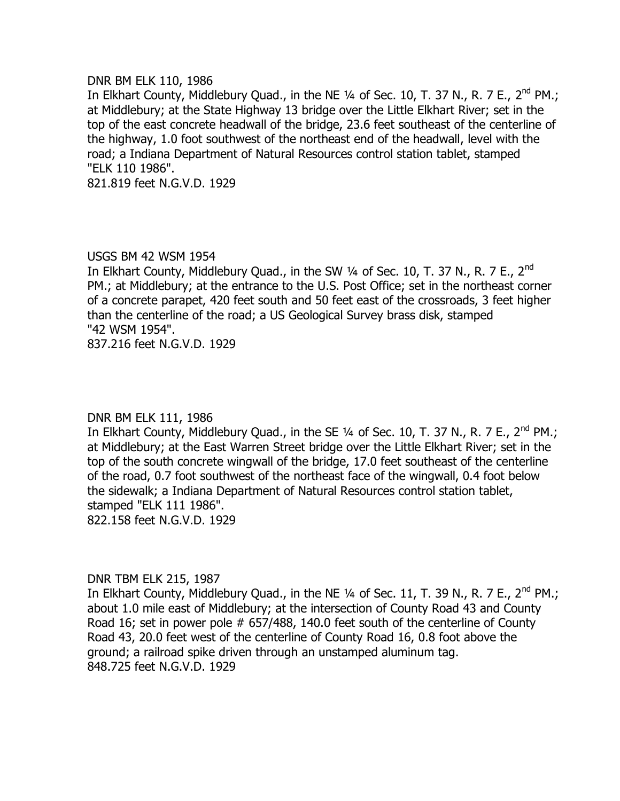#### DNR BM ELK 110, 1986

In Elkhart County, Middlebury Quad., in the NE  $\frac{1}{4}$  of Sec. 10, T. 37 N., R. 7 E., 2<sup>nd</sup> PM.; at Middlebury; at the State Highway 13 bridge over the Little Elkhart River; set in the top of the east concrete headwall of the bridge, 23.6 feet southeast of the centerline of the highway, 1.0 foot southwest of the northeast end of the headwall, level with the road; a Indiana Department of Natural Resources control station tablet, stamped "ELK 110 1986".

821.819 feet N.G.V.D. 1929

## USGS BM 42 WSM 1954

In Elkhart County, Middlebury Quad., in the SW 1/4 of Sec. 10, T. 37 N., R. 7 E., 2<sup>nd</sup> PM.; at Middlebury; at the entrance to the U.S. Post Office; set in the northeast corner of a concrete parapet, 420 feet south and 50 feet east of the crossroads, 3 feet higher than the centerline of the road; a US Geological Survey brass disk, stamped "42 WSM 1954".

837.216 feet N.G.V.D. 1929

## DNR BM ELK 111, 1986

In Elkhart County, Middlebury Quad., in the SE 1/4 of Sec. 10, T. 37 N., R. 7 E., 2<sup>nd</sup> PM.; at Middlebury; at the East Warren Street bridge over the Little Elkhart River; set in the top of the south concrete wingwall of the bridge, 17.0 feet southeast of the centerline of the road, 0.7 foot southwest of the northeast face of the wingwall, 0.4 foot below the sidewalk; a Indiana Department of Natural Resources control station tablet, stamped "ELK 111 1986".

822.158 feet N.G.V.D. 1929

## DNR TBM ELK 215, 1987

In Elkhart County, Middlebury Quad., in the NE  $\frac{1}{4}$  of Sec. 11, T. 39 N., R. 7 E., 2<sup>nd</sup> PM.; about 1.0 mile east of Middlebury; at the intersection of County Road 43 and County Road 16; set in power pole # 657/488, 140.0 feet south of the centerline of County Road 43, 20.0 feet west of the centerline of County Road 16, 0.8 foot above the ground; a railroad spike driven through an unstamped aluminum tag. 848.725 feet N.G.V.D. 1929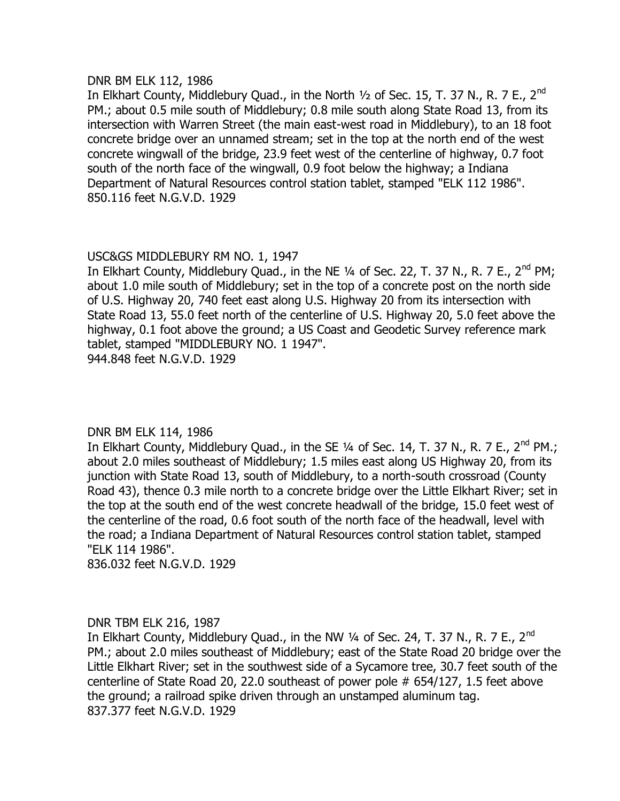#### DNR BM ELK 112, 1986

In Elkhart County, Middlebury Quad., in the North 1/2 of Sec. 15, T. 37 N., R. 7 E., 2<sup>nd</sup> PM.; about 0.5 mile south of Middlebury; 0.8 mile south along State Road 13, from its intersection with Warren Street (the main east-west road in Middlebury), to an 18 foot concrete bridge over an unnamed stream; set in the top at the north end of the west concrete wingwall of the bridge, 23.9 feet west of the centerline of highway, 0.7 foot south of the north face of the wingwall, 0.9 foot below the highway; a Indiana Department of Natural Resources control station tablet, stamped "ELK 112 1986". 850.116 feet N.G.V.D. 1929

## USC&GS MIDDLEBURY RM NO. 1, 1947

In Elkhart County, Middlebury Quad., in the NE 1/4 of Sec. 22, T. 37 N., R. 7 E., 2<sup>nd</sup> PM: about 1.0 mile south of Middlebury; set in the top of a concrete post on the north side of U.S. Highway 20, 740 feet east along U.S. Highway 20 from its intersection with State Road 13, 55.0 feet north of the centerline of U.S. Highway 20, 5.0 feet above the highway, 0.1 foot above the ground; a US Coast and Geodetic Survey reference mark tablet, stamped "MIDDLEBURY NO. 1 1947". 944.848 feet N.G.V.D. 1929

## DNR BM ELK 114, 1986

In Elkhart County, Middlebury Quad., in the SE 1/4 of Sec. 14, T. 37 N., R. 7 E., 2<sup>nd</sup> PM.; about 2.0 miles southeast of Middlebury; 1.5 miles east along US Highway 20, from its junction with State Road 13, south of Middlebury, to a north-south crossroad (County Road 43), thence 0.3 mile north to a concrete bridge over the Little Elkhart River; set in the top at the south end of the west concrete headwall of the bridge, 15.0 feet west of the centerline of the road, 0.6 foot south of the north face of the headwall, level with the road; a Indiana Department of Natural Resources control station tablet, stamped "ELK 114 1986".

836.032 feet N.G.V.D. 1929

## DNR TBM ELK 216, 1987

In Elkhart County, Middlebury Quad., in the NW 1/4 of Sec. 24, T. 37 N., R. 7 E., 2<sup>nd</sup> PM.; about 2.0 miles southeast of Middlebury; east of the State Road 20 bridge over the Little Elkhart River; set in the southwest side of a Sycamore tree, 30.7 feet south of the centerline of State Road 20, 22.0 southeast of power pole # 654/127, 1.5 feet above the ground; a railroad spike driven through an unstamped aluminum tag. 837.377 feet N.G.V.D. 1929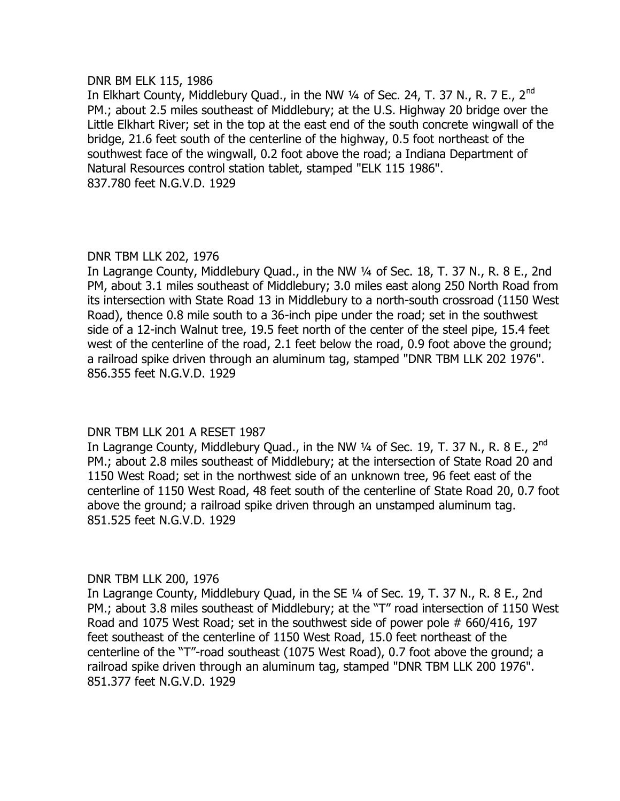#### DNR BM ELK 115, 1986

In Elkhart County, Middlebury Quad., in the NW  $\frac{1}{4}$  of Sec. 24, T. 37 N., R. 7 E., 2<sup>nd</sup> PM.; about 2.5 miles southeast of Middlebury; at the U.S. Highway 20 bridge over the Little Elkhart River; set in the top at the east end of the south concrete wingwall of the bridge, 21.6 feet south of the centerline of the highway, 0.5 foot northeast of the southwest face of the wingwall, 0.2 foot above the road; a Indiana Department of Natural Resources control station tablet, stamped "ELK 115 1986". 837.780 feet N.G.V.D. 1929

## DNR TBM LLK 202, 1976

In Lagrange County, Middlebury Quad., in the NW ¼ of Sec. 18, T. 37 N., R. 8 E., 2nd PM, about 3.1 miles southeast of Middlebury; 3.0 miles east along 250 North Road from its intersection with State Road 13 in Middlebury to a north-south crossroad (1150 West Road), thence 0.8 mile south to a 36-inch pipe under the road; set in the southwest side of a 12-inch Walnut tree, 19.5 feet north of the center of the steel pipe, 15.4 feet west of the centerline of the road, 2.1 feet below the road, 0.9 foot above the ground; a railroad spike driven through an aluminum tag, stamped "DNR TBM LLK 202 1976". 856.355 feet N.G.V.D. 1929

# DNR TBM LLK 201 A RESET 1987

In Lagrange County, Middlebury Quad., in the NW  $\frac{1}{4}$  of Sec. 19, T. 37 N., R. 8 E., 2<sup>nd</sup> PM.; about 2.8 miles southeast of Middlebury; at the intersection of State Road 20 and 1150 West Road; set in the northwest side of an unknown tree, 96 feet east of the centerline of 1150 West Road, 48 feet south of the centerline of State Road 20, 0.7 foot above the ground; a railroad spike driven through an unstamped aluminum tag. 851.525 feet N.G.V.D. 1929

## DNR TBM LLK 200, 1976

In Lagrange County, Middlebury Quad, in the SE ¼ of Sec. 19, T. 37 N., R. 8 E., 2nd PM.; about 3.8 miles southeast of Middlebury; at the "T" road intersection of 1150 West Road and 1075 West Road; set in the southwest side of power pole # 660/416, 197 feet southeast of the centerline of 1150 West Road, 15.0 feet northeast of the centerline of the "T"-road southeast (1075 West Road), 0.7 foot above the ground; a railroad spike driven through an aluminum tag, stamped "DNR TBM LLK 200 1976". 851.377 feet N.G.V.D. 1929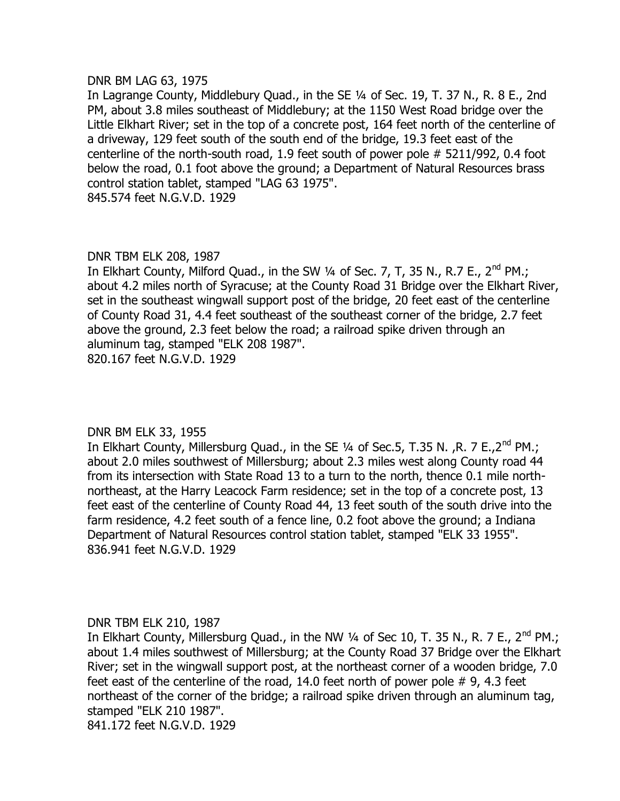#### DNR BM LAG 63, 1975

In Lagrange County, Middlebury Quad., in the SE ¼ of Sec. 19, T. 37 N., R. 8 E., 2nd PM, about 3.8 miles southeast of Middlebury; at the 1150 West Road bridge over the Little Elkhart River; set in the top of a concrete post, 164 feet north of the centerline of a driveway, 129 feet south of the south end of the bridge, 19.3 feet east of the centerline of the north-south road, 1.9 feet south of power pole # 5211/992, 0.4 foot below the road, 0.1 foot above the ground; a Department of Natural Resources brass control station tablet, stamped "LAG 63 1975". 845.574 feet N.G.V.D. 1929

#### DNR TBM ELK 208, 1987

In Elkhart County, Milford Quad., in the SW 1/4 of Sec. 7, T, 35 N., R.7 E., 2<sup>nd</sup> PM.; about 4.2 miles north of Syracuse; at the County Road 31 Bridge over the Elkhart River, set in the southeast wingwall support post of the bridge, 20 feet east of the centerline of County Road 31, 4.4 feet southeast of the southeast corner of the bridge, 2.7 feet above the ground, 2.3 feet below the road; a railroad spike driven through an aluminum tag, stamped "ELK 208 1987". 820.167 feet N.G.V.D. 1929

## DNR BM ELK 33, 1955

In Elkhart County, Millersburg Quad., in the SE 1/4 of Sec.5, T.35 N., R. 7 E., 2<sup>nd</sup> PM.; about 2.0 miles southwest of Millersburg; about 2.3 miles west along County road 44 from its intersection with State Road 13 to a turn to the north, thence 0.1 mile northnortheast, at the Harry Leacock Farm residence; set in the top of a concrete post, 13 feet east of the centerline of County Road 44, 13 feet south of the south drive into the farm residence, 4.2 feet south of a fence line, 0.2 foot above the ground; a Indiana Department of Natural Resources control station tablet, stamped "ELK 33 1955". 836.941 feet N.G.V.D. 1929

## DNR TBM ELK 210, 1987

In Elkhart County, Millersburg Quad., in the NW  $\frac{1}{4}$  of Sec 10, T. 35 N., R. 7 E., 2<sup>nd</sup> PM.; about 1.4 miles southwest of Millersburg; at the County Road 37 Bridge over the Elkhart River; set in the wingwall support post, at the northeast corner of a wooden bridge, 7.0 feet east of the centerline of the road, 14.0 feet north of power pole #9, 4.3 feet northeast of the corner of the bridge; a railroad spike driven through an aluminum tag, stamped "ELK 210 1987".

841.172 feet N.G.V.D. 1929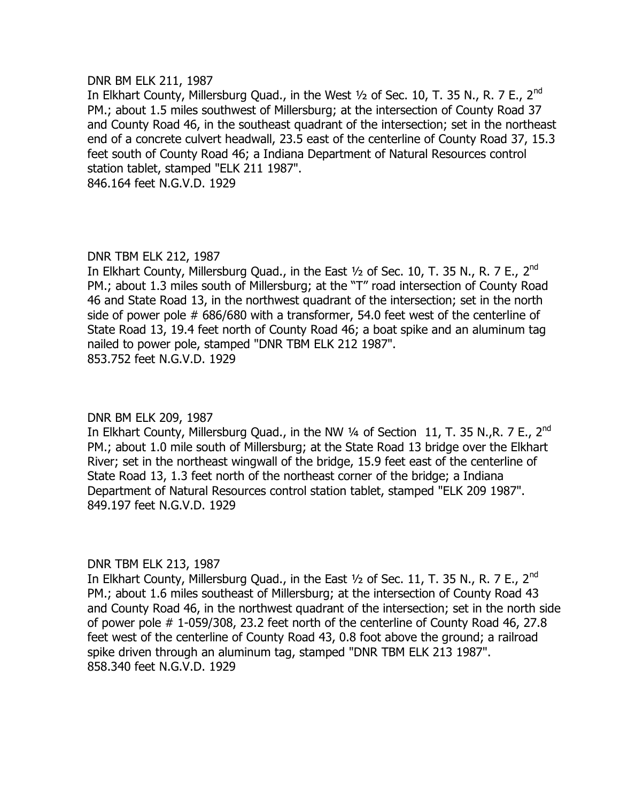#### DNR BM ELK 211, 1987

In Elkhart County, Millersburg Quad., in the West  $\frac{1}{2}$  of Sec. 10, T. 35 N., R. 7 E., 2<sup>nd</sup> PM.; about 1.5 miles southwest of Millersburg; at the intersection of County Road 37 and County Road 46, in the southeast quadrant of the intersection; set in the northeast end of a concrete culvert headwall, 23.5 east of the centerline of County Road 37, 15.3 feet south of County Road 46; a Indiana Department of Natural Resources control station tablet, stamped "ELK 211 1987". 846.164 feet N.G.V.D. 1929

DNR TBM ELK 212, 1987 In Elkhart County, Millersburg Quad., in the East  $1/2$  of Sec. 10, T. 35 N., R. 7 E., 2<sup>nd</sup> PM.; about 1.3 miles south of Millersburg; at the "T" road intersection of County Road 46 and State Road 13, in the northwest quadrant of the intersection; set in the north side of power pole # 686/680 with a transformer, 54.0 feet west of the centerline of State Road 13, 19.4 feet north of County Road 46; a boat spike and an aluminum tag nailed to power pole, stamped "DNR TBM ELK 212 1987". 853.752 feet N.G.V.D. 1929

#### DNR BM ELK 209, 1987

In Elkhart County, Millersburg Quad., in the NW 1/4 of Section 11, T. 35 N., R. 7 E., 2<sup>nd</sup> PM.; about 1.0 mile south of Millersburg; at the State Road 13 bridge over the Elkhart River; set in the northeast wingwall of the bridge, 15.9 feet east of the centerline of State Road 13, 1.3 feet north of the northeast corner of the bridge; a Indiana Department of Natural Resources control station tablet, stamped "ELK 209 1987". 849.197 feet N.G.V.D. 1929

#### DNR TBM ELK 213, 1987

In Elkhart County, Millersburg Quad., in the East  $\frac{1}{2}$  of Sec. 11, T. 35 N., R. 7 E., 2<sup>nd</sup> PM.; about 1.6 miles southeast of Millersburg; at the intersection of County Road 43 and County Road 46, in the northwest quadrant of the intersection; set in the north side of power pole # 1-059/308, 23.2 feet north of the centerline of County Road 46, 27.8 feet west of the centerline of County Road 43, 0.8 foot above the ground; a railroad spike driven through an aluminum tag, stamped "DNR TBM ELK 213 1987". 858.340 feet N.G.V.D. 1929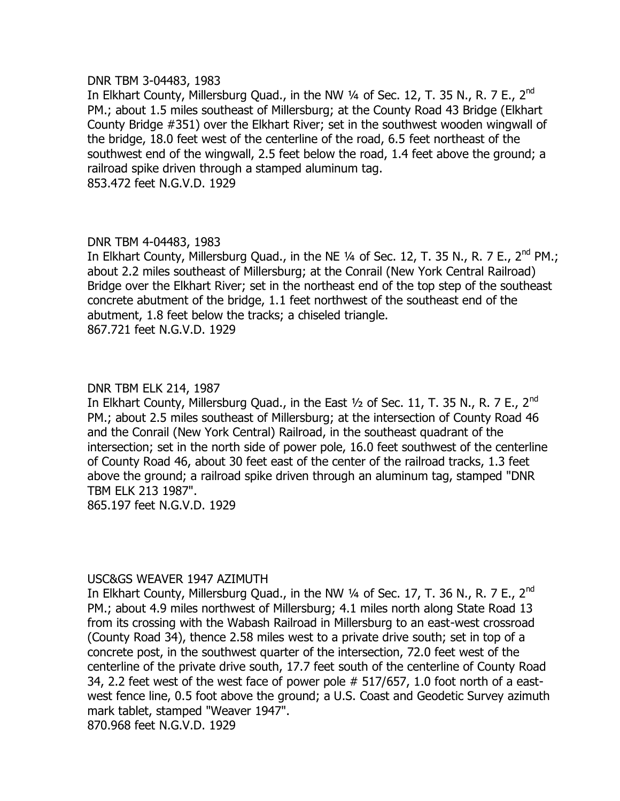#### DNR TBM 3-04483, 1983

In Elkhart County, Millersburg Quad., in the NW  $\frac{1}{4}$  of Sec. 12, T. 35 N., R. 7 E., 2<sup>nd</sup> PM.; about 1.5 miles southeast of Millersburg; at the County Road 43 Bridge (Elkhart County Bridge #351) over the Elkhart River; set in the southwest wooden wingwall of the bridge, 18.0 feet west of the centerline of the road, 6.5 feet northeast of the southwest end of the wingwall, 2.5 feet below the road, 1.4 feet above the ground; a railroad spike driven through a stamped aluminum tag. 853.472 feet N.G.V.D. 1929

## DNR TBM 4-04483, 1983

In Elkhart County, Millersburg Quad., in the NE 1/4 of Sec. 12, T. 35 N., R. 7 E., 2<sup>nd</sup> PM.; about 2.2 miles southeast of Millersburg; at the Conrail (New York Central Railroad) Bridge over the Elkhart River; set in the northeast end of the top step of the southeast concrete abutment of the bridge, 1.1 feet northwest of the southeast end of the abutment, 1.8 feet below the tracks; a chiseled triangle. 867.721 feet N.G.V.D. 1929

## DNR TBM ELK 214, 1987

In Elkhart County, Millersburg Quad., in the East  $1/2$  of Sec. 11, T. 35 N., R. 7 E., 2<sup>nd</sup> PM.; about 2.5 miles southeast of Millersburg; at the intersection of County Road 46 and the Conrail (New York Central) Railroad, in the southeast quadrant of the intersection; set in the north side of power pole, 16.0 feet southwest of the centerline of County Road 46, about 30 feet east of the center of the railroad tracks, 1.3 feet above the ground; a railroad spike driven through an aluminum tag, stamped "DNR TBM ELK 213 1987".

865.197 feet N.G.V.D. 1929

## USC&GS WEAVER 1947 AZIMUTH

In Elkhart County, Millersburg Quad., in the NW 1/4 of Sec. 17, T. 36 N., R. 7 E., 2<sup>nd</sup> PM.; about 4.9 miles northwest of Millersburg; 4.1 miles north along State Road 13 from its crossing with the Wabash Railroad in Millersburg to an east-west crossroad (County Road 34), thence 2.58 miles west to a private drive south; set in top of a concrete post, in the southwest quarter of the intersection, 72.0 feet west of the centerline of the private drive south, 17.7 feet south of the centerline of County Road 34, 2.2 feet west of the west face of power pole # 517/657, 1.0 foot north of a eastwest fence line, 0.5 foot above the ground; a U.S. Coast and Geodetic Survey azimuth mark tablet, stamped "Weaver 1947".

870.968 feet N.G.V.D. 1929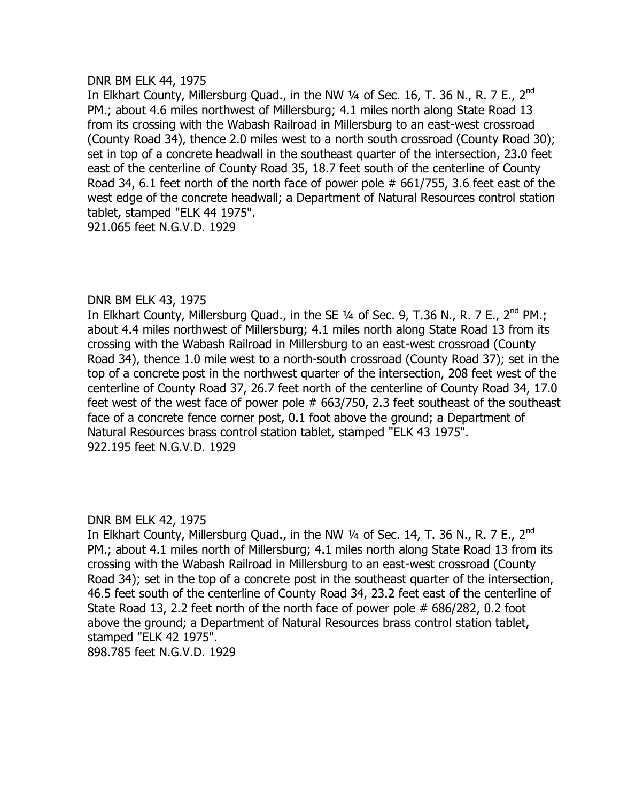#### DNR BM ELK 44, 1975

In Elkhart County, Millersburg Quad., in the NW  $\frac{1}{4}$  of Sec. 16, T. 36 N., R. 7 E., 2<sup>nd</sup> PM.; about 4.6 miles northwest of Millersburg; 4.1 miles north along State Road 13 from its crossing with the Wabash Railroad in Millersburg to an east-west crossroad (County Road 34), thence 2.0 miles west to a north south crossroad (County Road 30); set in top of a concrete headwall in the southeast quarter of the intersection, 23.0 feet east of the centerline of County Road 35, 18.7 feet south of the centerline of County Road 34, 6.1 feet north of the north face of power pole # 661/755, 3.6 feet east of the west edge of the concrete headwall; a Department of Natural Resources control station tablet, stamped "ELK 44 1975".

921.065 feet N.G.V.D. 1929

## DNR BM ELK 43, 1975

In Elkhart County, Millersburg Quad., in the SE  $\frac{1}{4}$  of Sec. 9, T.36 N., R. 7 E., 2<sup>nd</sup> PM.; about 4.4 miles northwest of Millersburg; 4.1 miles north along State Road 13 from its crossing with the Wabash Railroad in Millersburg to an east-west crossroad (County Road 34), thence 1.0 mile west to a north-south crossroad (County Road 37); set in the top of a concrete post in the northwest quarter of the intersection, 208 feet west of the centerline of County Road 37, 26.7 feet north of the centerline of County Road 34, 17.0 feet west of the west face of power pole # 663/750, 2.3 feet southeast of the southeast face of a concrete fence corner post, 0.1 foot above the ground; a Department of Natural Resources brass control station tablet, stamped "ELK 43 1975". 922.195 feet N.G.V.D. 1929

#### DNR BM ELK 42, 1975

In Elkhart County, Millersburg Quad., in the NW  $\frac{1}{4}$  of Sec. 14, T. 36 N., R. 7 E., 2<sup>nd</sup> PM.; about 4.1 miles north of Millersburg; 4.1 miles north along State Road 13 from its crossing with the Wabash Railroad in Millersburg to an east-west crossroad (County Road 34); set in the top of a concrete post in the southeast quarter of the intersection, 46.5 feet south of the centerline of County Road 34, 23.2 feet east of the centerline of State Road 13, 2.2 feet north of the north face of power pole # 686/282, 0.2 foot above the ground; a Department of Natural Resources brass control station tablet, stamped "ELK 42 1975".

898.785 feet N.G.V.D. 1929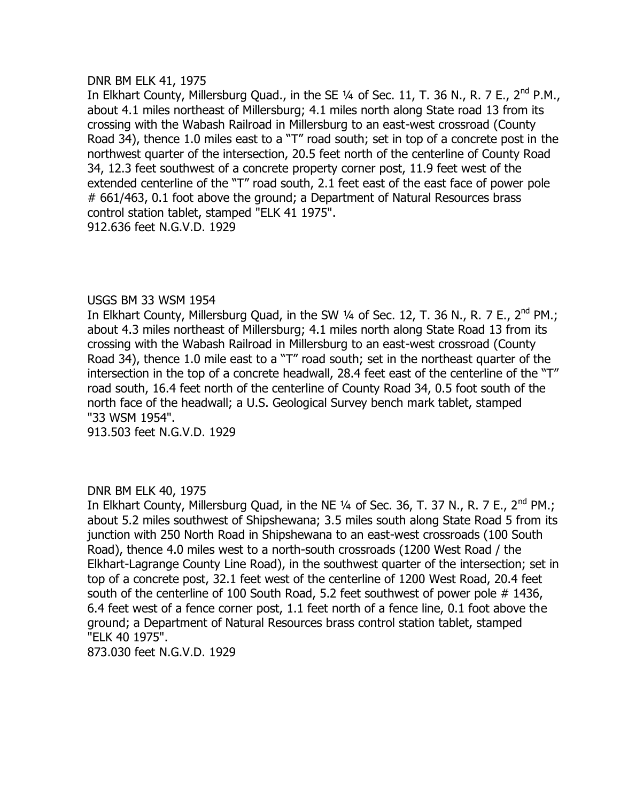#### DNR BM ELK 41, 1975

In Elkhart County, Millersburg Quad., in the SE 1/4 of Sec. 11, T. 36 N., R. 7 E., 2<sup>nd</sup> P.M., about 4.1 miles northeast of Millersburg; 4.1 miles north along State road 13 from its crossing with the Wabash Railroad in Millersburg to an east-west crossroad (County Road 34), thence 1.0 miles east to a "T" road south; set in top of a concrete post in the northwest quarter of the intersection, 20.5 feet north of the centerline of County Road 34, 12.3 feet southwest of a concrete property corner post, 11.9 feet west of the extended centerline of the "T" road south, 2.1 feet east of the east face of power pole # 661/463, 0.1 foot above the ground; a Department of Natural Resources brass control station tablet, stamped "ELK 41 1975". 912.636 feet N.G.V.D. 1929

#### USGS BM 33 WSM 1954

In Elkhart County, Millersburg Ouad, in the SW 1/4 of Sec. 12, T. 36 N., R. 7 E., 2<sup>nd</sup> PM.; about 4.3 miles northeast of Millersburg; 4.1 miles north along State Road 13 from its crossing with the Wabash Railroad in Millersburg to an east-west crossroad (County Road 34), thence 1.0 mile east to a "T" road south; set in the northeast quarter of the intersection in the top of a concrete headwall, 28.4 feet east of the centerline of the "T" road south, 16.4 feet north of the centerline of County Road 34, 0.5 foot south of the north face of the headwall; a U.S. Geological Survey bench mark tablet, stamped "33 WSM 1954".

913.503 feet N.G.V.D. 1929

## DNR BM ELK 40, 1975

In Elkhart County, Millersburg Quad, in the NE 1/4 of Sec. 36, T. 37 N., R. 7 E., 2<sup>nd</sup> PM.; about 5.2 miles southwest of Shipshewana; 3.5 miles south along State Road 5 from its junction with 250 North Road in Shipshewana to an east-west crossroads (100 South Road), thence 4.0 miles west to a north-south crossroads (1200 West Road / the Elkhart-Lagrange County Line Road), in the southwest quarter of the intersection; set in top of a concrete post, 32.1 feet west of the centerline of 1200 West Road, 20.4 feet south of the centerline of 100 South Road, 5.2 feet southwest of power pole # 1436, 6.4 feet west of a fence corner post, 1.1 feet north of a fence line, 0.1 foot above the ground; a Department of Natural Resources brass control station tablet, stamped "ELK 40 1975".

873.030 feet N.G.V.D. 1929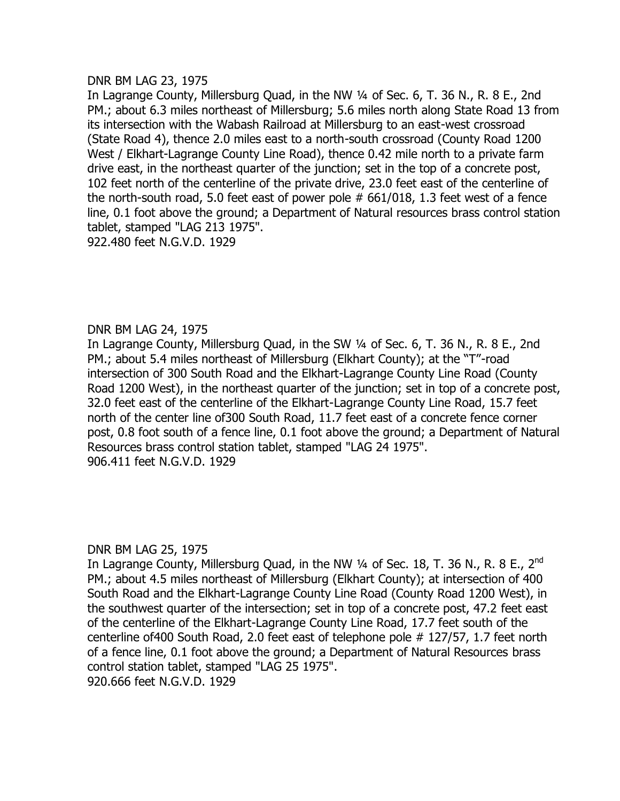#### DNR BM LAG 23, 1975

In Lagrange County, Millersburg Quad, in the NW ¼ of Sec. 6, T. 36 N., R. 8 E., 2nd PM.; about 6.3 miles northeast of Millersburg; 5.6 miles north along State Road 13 from its intersection with the Wabash Railroad at Millersburg to an east-west crossroad (State Road 4), thence 2.0 miles east to a north-south crossroad (County Road 1200 West / Elkhart-Lagrange County Line Road), thence 0.42 mile north to a private farm drive east, in the northeast quarter of the junction; set in the top of a concrete post, 102 feet north of the centerline of the private drive, 23.0 feet east of the centerline of the north-south road, 5.0 feet east of power pole # 661/018, 1.3 feet west of a fence line, 0.1 foot above the ground; a Department of Natural resources brass control station tablet, stamped "LAG 213 1975".

922.480 feet N.G.V.D. 1929

## DNR BM LAG 24, 1975

In Lagrange County, Millersburg Quad, in the SW ¼ of Sec. 6, T. 36 N., R. 8 E., 2nd PM.; about 5.4 miles northeast of Millersburg (Elkhart County); at the "T"-road intersection of 300 South Road and the Elkhart-Lagrange County Line Road (County Road 1200 West), in the northeast quarter of the junction; set in top of a concrete post, 32.0 feet east of the centerline of the Elkhart-Lagrange County Line Road, 15.7 feet north of the center line of300 South Road, 11.7 feet east of a concrete fence corner post, 0.8 foot south of a fence line, 0.1 foot above the ground; a Department of Natural Resources brass control station tablet, stamped "LAG 24 1975". 906.411 feet N.G.V.D. 1929

## DNR BM LAG 25, 1975

In Lagrange County, Millersburg Quad, in the NW 1/4 of Sec. 18, T. 36 N., R. 8 E., 2<sup>nd</sup> PM.; about 4.5 miles northeast of Millersburg (Elkhart County); at intersection of 400 South Road and the Elkhart-Lagrange County Line Road (County Road 1200 West), in the southwest quarter of the intersection; set in top of a concrete post, 47.2 feet east of the centerline of the Elkhart-Lagrange County Line Road, 17.7 feet south of the centerline of400 South Road, 2.0 feet east of telephone pole # 127/57, 1.7 feet north of a fence line, 0.1 foot above the ground; a Department of Natural Resources brass control station tablet, stamped "LAG 25 1975". 920.666 feet N.G.V.D. 1929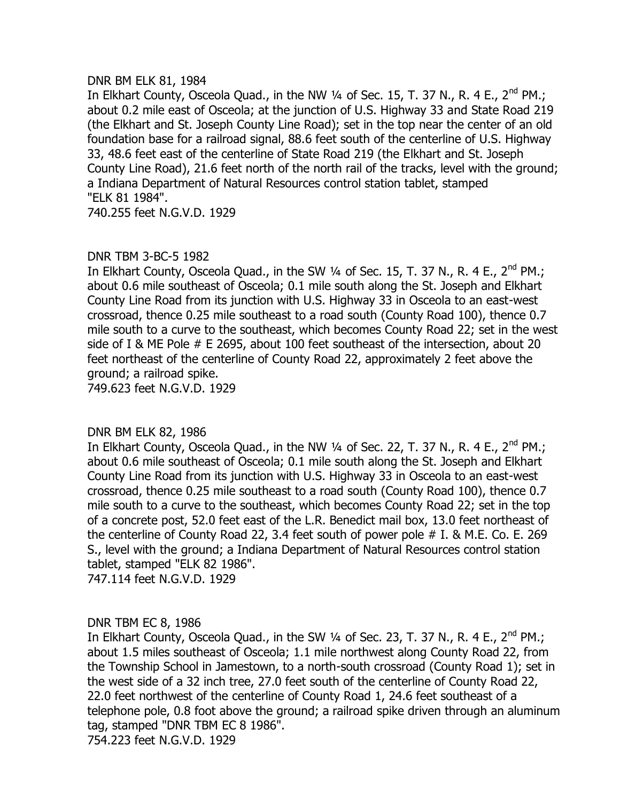#### DNR BM ELK 81, 1984

In Elkhart County, Osceola Quad., in the NW  $\frac{1}{4}$  of Sec. 15, T. 37 N., R. 4 E., 2<sup>nd</sup> PM.; about 0.2 mile east of Osceola; at the junction of U.S. Highway 33 and State Road 219 (the Elkhart and St. Joseph County Line Road); set in the top near the center of an old foundation base for a railroad signal, 88.6 feet south of the centerline of U.S. Highway 33, 48.6 feet east of the centerline of State Road 219 (the Elkhart and St. Joseph County Line Road), 21.6 feet north of the north rail of the tracks, level with the ground; a Indiana Department of Natural Resources control station tablet, stamped "ELK 81 1984".

740.255 feet N.G.V.D. 1929

## DNR TBM 3-BC-5 1982

In Elkhart County, Osceola Quad., in the SW 1/4 of Sec. 15, T. 37 N., R. 4 E., 2<sup>nd</sup> PM.; about 0.6 mile southeast of Osceola; 0.1 mile south along the St. Joseph and Elkhart County Line Road from its junction with U.S. Highway 33 in Osceola to an east-west crossroad, thence 0.25 mile southeast to a road south (County Road 100), thence 0.7 mile south to a curve to the southeast, which becomes County Road 22; set in the west side of I & ME Pole # E 2695, about 100 feet southeast of the intersection, about 20 feet northeast of the centerline of County Road 22, approximately 2 feet above the ground; a railroad spike.

749.623 feet N.G.V.D. 1929

## DNR BM ELK 82, 1986

In Elkhart County, Osceola Quad., in the NW  $\frac{1}{4}$  of Sec. 22, T. 37 N., R. 4 E., 2<sup>nd</sup> PM.; about 0.6 mile southeast of Osceola; 0.1 mile south along the St. Joseph and Elkhart County Line Road from its junction with U.S. Highway 33 in Osceola to an east-west crossroad, thence 0.25 mile southeast to a road south (County Road 100), thence 0.7 mile south to a curve to the southeast, which becomes County Road 22; set in the top of a concrete post, 52.0 feet east of the L.R. Benedict mail box, 13.0 feet northeast of the centerline of County Road 22, 3.4 feet south of power pole # I. & M.E. Co. E. 269 S., level with the ground; a Indiana Department of Natural Resources control station tablet, stamped "ELK 82 1986".

747.114 feet N.G.V.D. 1929

## DNR TBM EC 8, 1986

In Elkhart County, Osceola Quad., in the SW  $\frac{1}{4}$  of Sec. 23, T. 37 N., R. 4 E., 2<sup>nd</sup> PM.; about 1.5 miles southeast of Osceola; 1.1 mile northwest along County Road 22, from the Township School in Jamestown, to a north-south crossroad (County Road 1); set in the west side of a 32 inch tree, 27.0 feet south of the centerline of County Road 22, 22.0 feet northwest of the centerline of County Road 1, 24.6 feet southeast of a telephone pole, 0.8 foot above the ground; a railroad spike driven through an aluminum tag, stamped "DNR TBM EC 8 1986".

754.223 feet N.G.V.D. 1929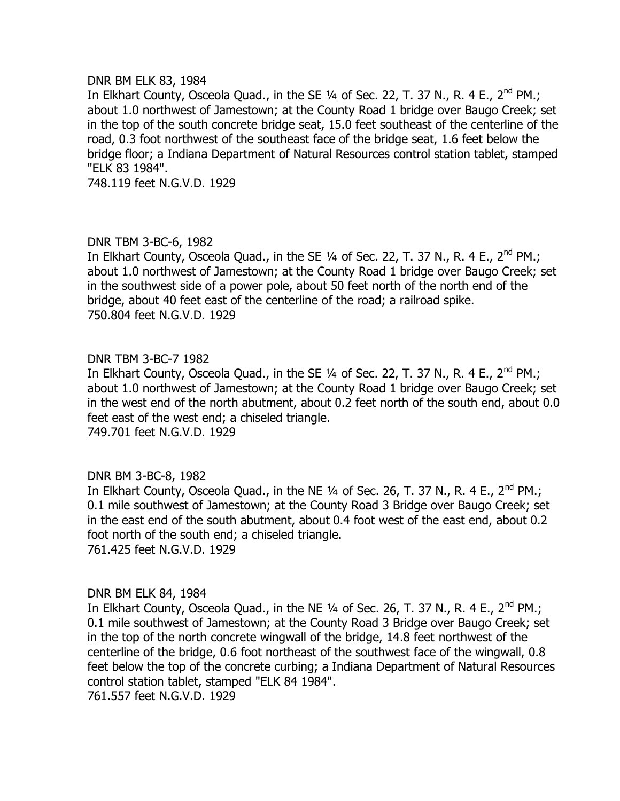#### DNR BM ELK 83, 1984

In Elkhart County, Osceola Quad., in the SE  $1/4$  of Sec. 22, T. 37 N., R. 4 E.,  $2^{nd}$  PM.; about 1.0 northwest of Jamestown; at the County Road 1 bridge over Baugo Creek; set in the top of the south concrete bridge seat, 15.0 feet southeast of the centerline of the road, 0.3 foot northwest of the southeast face of the bridge seat, 1.6 feet below the bridge floor; a Indiana Department of Natural Resources control station tablet, stamped "ELK 83 1984".

748.119 feet N.G.V.D. 1929

#### DNR TBM 3-BC-6, 1982

In Elkhart County, Osceola Quad., in the SE  $\frac{1}{4}$  of Sec. 22, T. 37 N., R. 4 E., 2<sup>nd</sup> PM.; about 1.0 northwest of Jamestown; at the County Road 1 bridge over Baugo Creek; set in the southwest side of a power pole, about 50 feet north of the north end of the bridge, about 40 feet east of the centerline of the road; a railroad spike. 750.804 feet N.G.V.D. 1929

#### DNR TBM 3-BC-7 1982

In Elkhart County, Osceola Quad., in the SE  $\frac{1}{4}$  of Sec. 22, T. 37 N., R. 4 E.,  $2^{nd}$  PM.; about 1.0 northwest of Jamestown; at the County Road 1 bridge over Baugo Creek; set in the west end of the north abutment, about 0.2 feet north of the south end, about 0.0 feet east of the west end; a chiseled triangle. 749.701 feet N.G.V.D. 1929

#### DNR BM 3-BC-8, 1982

In Elkhart County, Osceola Quad., in the NE  $\frac{1}{4}$  of Sec. 26, T. 37 N., R. 4 E., 2<sup>nd</sup> PM.; 0.1 mile southwest of Jamestown; at the County Road 3 Bridge over Baugo Creek; set in the east end of the south abutment, about 0.4 foot west of the east end, about 0.2 foot north of the south end; a chiseled triangle. 761.425 feet N.G.V.D. 1929

#### DNR BM ELK 84, 1984

In Elkhart County, Osceola Quad., in the NE  $\frac{1}{4}$  of Sec. 26, T. 37 N., R. 4 E., 2<sup>nd</sup> PM.; 0.1 mile southwest of Jamestown; at the County Road 3 Bridge over Baugo Creek; set in the top of the north concrete wingwall of the bridge, 14.8 feet northwest of the centerline of the bridge, 0.6 foot northeast of the southwest face of the wingwall, 0.8 feet below the top of the concrete curbing; a Indiana Department of Natural Resources control station tablet, stamped "ELK 84 1984". 761.557 feet N.G.V.D. 1929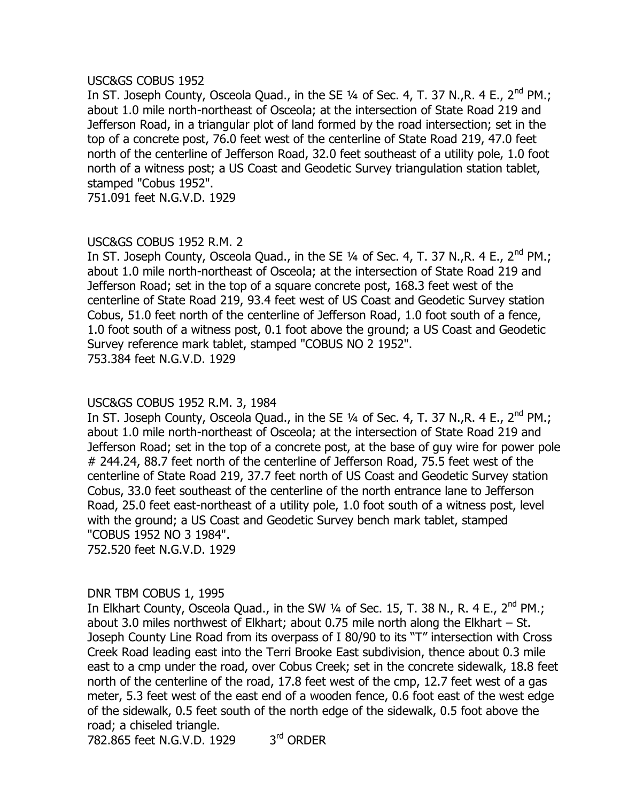#### USC&GS COBUS 1952

In ST. Joseph County, Osceola Quad., in the SE  $1/4$  of Sec. 4, T. 37 N., R. 4 E., 2<sup>nd</sup> PM.; about 1.0 mile north-northeast of Osceola; at the intersection of State Road 219 and Jefferson Road, in a triangular plot of land formed by the road intersection; set in the top of a concrete post, 76.0 feet west of the centerline of State Road 219, 47.0 feet north of the centerline of Jefferson Road, 32.0 feet southeast of a utility pole, 1.0 foot north of a witness post; a US Coast and Geodetic Survey triangulation station tablet, stamped "Cobus 1952".

751.091 feet N.G.V.D. 1929

## USC&GS COBUS 1952 R.M. 2

In ST. Joseph County, Osceola Quad., in the SE  $1/4$  of Sec. 4, T. 37 N., R. 4 E.,  $2^{nd}$  PM.; about 1.0 mile north-northeast of Osceola; at the intersection of State Road 219 and Jefferson Road; set in the top of a square concrete post, 168.3 feet west of the centerline of State Road 219, 93.4 feet west of US Coast and Geodetic Survey station Cobus, 51.0 feet north of the centerline of Jefferson Road, 1.0 foot south of a fence, 1.0 foot south of a witness post, 0.1 foot above the ground; a US Coast and Geodetic Survey reference mark tablet, stamped "COBUS NO 2 1952". 753.384 feet N.G.V.D. 1929

# USC&GS COBUS 1952 R.M. 3, 1984

In ST. Joseph County, Osceola Quad., in the SE 1/4 of Sec. 4, T. 37 N., R. 4 E., 2<sup>nd</sup> PM.; about 1.0 mile north-northeast of Osceola; at the intersection of State Road 219 and Jefferson Road; set in the top of a concrete post, at the base of guy wire for power pole # 244.24, 88.7 feet north of the centerline of Jefferson Road, 75.5 feet west of the centerline of State Road 219, 37.7 feet north of US Coast and Geodetic Survey station Cobus, 33.0 feet southeast of the centerline of the north entrance lane to Jefferson Road, 25.0 feet east-northeast of a utility pole, 1.0 foot south of a witness post, level with the ground; a US Coast and Geodetic Survey bench mark tablet, stamped "COBUS 1952 NO 3 1984". 752.520 feet N.G.V.D. 1929

## DNR TBM COBUS 1, 1995

In Elkhart County, Osceola Quad., in the SW  $\frac{1}{4}$  of Sec. 15, T. 38 N., R. 4 E., 2<sup>nd</sup> PM.; about 3.0 miles northwest of Elkhart; about 0.75 mile north along the Elkhart – St. Joseph County Line Road from its overpass of I 80/90 to its "T" intersection with Cross Creek Road leading east into the Terri Brooke East subdivision, thence about 0.3 mile east to a cmp under the road, over Cobus Creek; set in the concrete sidewalk, 18.8 feet north of the centerline of the road, 17.8 feet west of the cmp, 12.7 feet west of a gas meter, 5.3 feet west of the east end of a wooden fence, 0.6 foot east of the west edge of the sidewalk, 0.5 feet south of the north edge of the sidewalk, 0.5 foot above the road; a chiseled triangle.

782.865 feet N.G.V.D. 1929 3  $3<sup>rd</sup>$  ORDER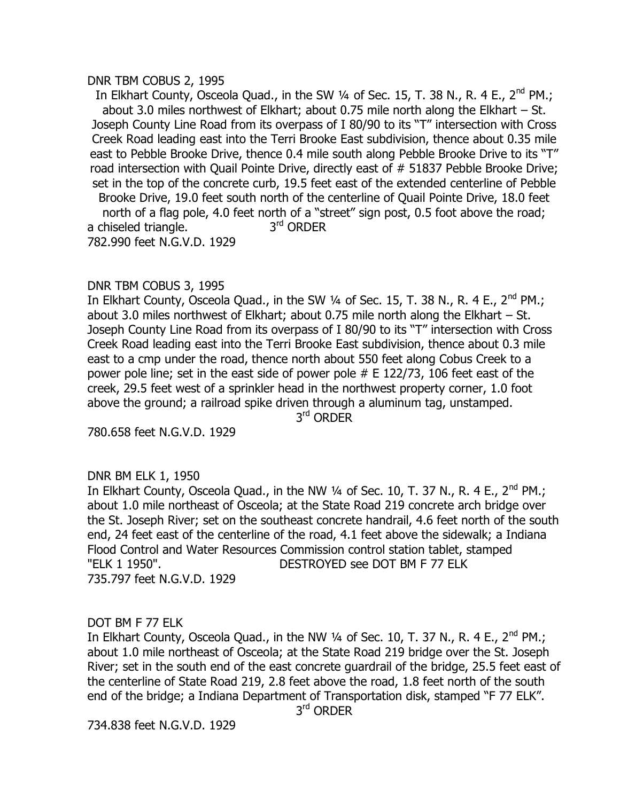#### DNR TBM COBUS 2, 1995

In Elkhart County, Osceola Quad., in the SW 1/4 of Sec. 15, T. 38 N., R. 4 E., 2<sup>nd</sup> PM.; about 3.0 miles northwest of Elkhart; about 0.75 mile north along the Elkhart – St. Joseph County Line Road from its overpass of I 80/90 to its "T" intersection with Cross Creek Road leading east into the Terri Brooke East subdivision, thence about 0.35 mile east to Pebble Brooke Drive, thence 0.4 mile south along Pebble Brooke Drive to its "T" road intersection with Quail Pointe Drive, directly east of # 51837 Pebble Brooke Drive; set in the top of the concrete curb, 19.5 feet east of the extended centerline of Pebble Brooke Drive, 19.0 feet south north of the centerline of Quail Pointe Drive, 18.0 feet north of a flag pole, 4.0 feet north of a "street" sign post, 0.5 foot above the road; a chiseled triangle. 3<sup>rd</sup> ORDER 782.990 feet N.G.V.D. 1929

#### DNR TBM COBUS 3, 1995

In Elkhart County, Osceola Quad., in the SW  $\frac{1}{4}$  of Sec. 15, T. 38 N., R. 4 E., 2<sup>nd</sup> PM.; about 3.0 miles northwest of Elkhart; about 0.75 mile north along the Elkhart – St. Joseph County Line Road from its overpass of I 80/90 to its "T" intersection with Cross Creek Road leading east into the Terri Brooke East subdivision, thence about 0.3 mile east to a cmp under the road, thence north about 550 feet along Cobus Creek to a power pole line; set in the east side of power pole # E 122/73, 106 feet east of the creek, 29.5 feet west of a sprinkler head in the northwest property corner, 1.0 foot above the ground; a railroad spike driven through a aluminum tag, unstamped.

3 rd ORDER

780.658 feet N.G.V.D. 1929

#### DNR BM ELK 1, 1950

In Elkhart County, Osceola Quad., in the NW  $\frac{1}{4}$  of Sec. 10, T. 37 N., R. 4 E., 2<sup>nd</sup> PM.; about 1.0 mile northeast of Osceola; at the State Road 219 concrete arch bridge over the St. Joseph River; set on the southeast concrete handrail, 4.6 feet north of the south end, 24 feet east of the centerline of the road, 4.1 feet above the sidewalk; a Indiana Flood Control and Water Resources Commission control station tablet, stamped "ELK 1 1950". DESTROYED see DOT BM F 77 ELK 735.797 feet N.G.V.D. 1929

#### DOT BM F 77 ELK

In Elkhart County, Osceola Quad., in the NW  $\frac{1}{4}$  of Sec. 10, T. 37 N., R. 4 E., 2<sup>nd</sup> PM.; about 1.0 mile northeast of Osceola; at the State Road 219 bridge over the St. Joseph River; set in the south end of the east concrete guardrail of the bridge, 25.5 feet east of the centerline of State Road 219, 2.8 feet above the road, 1.8 feet north of the south end of the bridge; a Indiana Department of Transportation disk, stamped "F 77 ELK".

3<sup>rd</sup> ORDER

734.838 feet N.G.V.D. 1929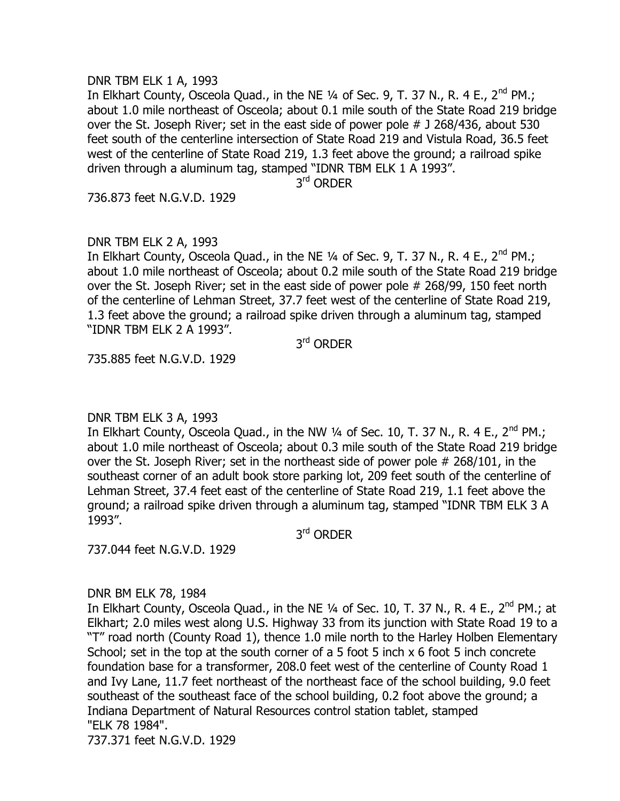#### DNR TBM ELK 1 A, 1993

In Elkhart County, Osceola Quad., in the NE 1/4 of Sec. 9, T. 37 N., R. 4 E., 2<sup>nd</sup> PM.; about 1.0 mile northeast of Osceola; about 0.1 mile south of the State Road 219 bridge over the St. Joseph River; set in the east side of power pole # J 268/436, about 530 feet south of the centerline intersection of State Road 219 and Vistula Road, 36.5 feet west of the centerline of State Road 219, 1.3 feet above the ground; a railroad spike driven through a aluminum tag, stamped "IDNR TBM ELK 1 A 1993".

3<sup>rd</sup> ORDER

736.873 feet N.G.V.D. 1929

## DNR TBM ELK 2 A, 1993

In Elkhart County, Osceola Quad., in the NE  $\frac{1}{4}$  of Sec. 9, T. 37 N., R. 4 E., 2<sup>nd</sup> PM.; about 1.0 mile northeast of Osceola; about 0.2 mile south of the State Road 219 bridge over the St. Joseph River; set in the east side of power pole # 268/99, 150 feet north of the centerline of Lehman Street, 37.7 feet west of the centerline of State Road 219, 1.3 feet above the ground; a railroad spike driven through a aluminum tag, stamped "IDNR TBM ELK 2 A 1993".

3<sup>rd</sup> ORDER

735.885 feet N.G.V.D. 1929

## DNR TBM ELK 3 A, 1993

In Elkhart County, Osceola Quad., in the NW 1/4 of Sec. 10, T. 37 N., R. 4 E., 2<sup>nd</sup> PM.; about 1.0 mile northeast of Osceola; about 0.3 mile south of the State Road 219 bridge over the St. Joseph River; set in the northeast side of power pole # 268/101, in the southeast corner of an adult book store parking lot, 209 feet south of the centerline of Lehman Street, 37.4 feet east of the centerline of State Road 219, 1.1 feet above the ground; a railroad spike driven through a aluminum tag, stamped "IDNR TBM ELK 3 A 1993".

3<sup>rd</sup> ORDER

737.044 feet N.G.V.D. 1929

## DNR BM ELK 78, 1984

In Elkhart County, Osceola Quad., in the NE  $\frac{1}{4}$  of Sec. 10, T. 37 N., R. 4 E., 2<sup>nd</sup> PM.; at Elkhart; 2.0 miles west along U.S. Highway 33 from its junction with State Road 19 to a "T" road north (County Road 1), thence 1.0 mile north to the Harley Holben Elementary School; set in the top at the south corner of a 5 foot 5 inch  $x$  6 foot 5 inch concrete foundation base for a transformer, 208.0 feet west of the centerline of County Road 1 and Ivy Lane, 11.7 feet northeast of the northeast face of the school building, 9.0 feet southeast of the southeast face of the school building, 0.2 foot above the ground; a Indiana Department of Natural Resources control station tablet, stamped "ELK 78 1984".

737.371 feet N.G.V.D. 1929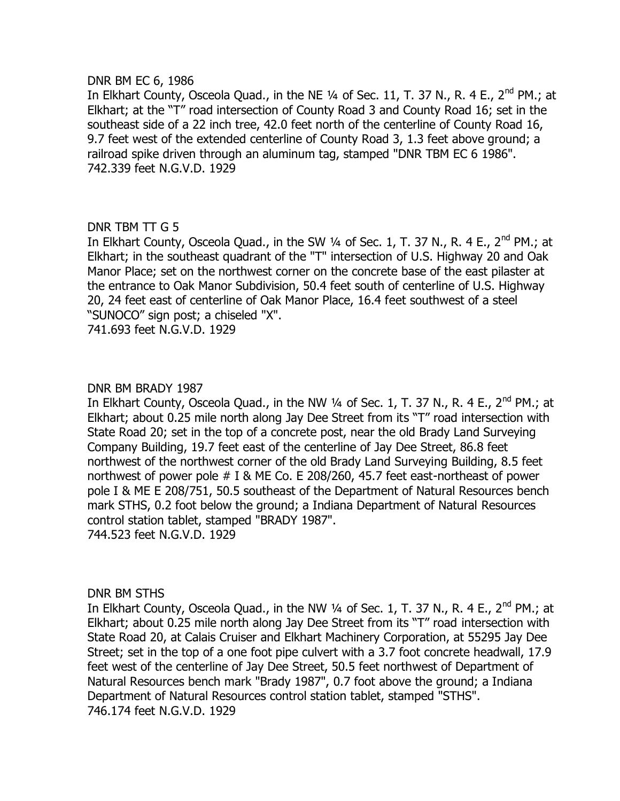#### DNR BM EC 6, 1986

In Elkhart County, Osceola Quad., in the NE 1/4 of Sec. 11, T. 37 N., R. 4 E., 2<sup>nd</sup> PM.; at Elkhart; at the "T" road intersection of County Road 3 and County Road 16; set in the southeast side of a 22 inch tree, 42.0 feet north of the centerline of County Road 16, 9.7 feet west of the extended centerline of County Road 3, 1.3 feet above ground; a railroad spike driven through an aluminum tag, stamped "DNR TBM EC 6 1986". 742.339 feet N.G.V.D. 1929

## DNR TBM TT G 5

In Elkhart County, Osceola Quad., in the SW 1/4 of Sec. 1, T. 37 N., R. 4 E., 2<sup>nd</sup> PM.; at Elkhart; in the southeast quadrant of the "T" intersection of U.S. Highway 20 and Oak Manor Place; set on the northwest corner on the concrete base of the east pilaster at the entrance to Oak Manor Subdivision, 50.4 feet south of centerline of U.S. Highway 20, 24 feet east of centerline of Oak Manor Place, 16.4 feet southwest of a steel "SUNOCO" sign post; a chiseled "X". 741.693 feet N.G.V.D. 1929

#### DNR BM BRADY 1987

In Elkhart County, Osceola Quad., in the NW 1/4 of Sec. 1, T. 37 N., R. 4 E., 2<sup>nd</sup> PM.; at Elkhart; about 0.25 mile north along Jay Dee Street from its "T" road intersection with State Road 20; set in the top of a concrete post, near the old Brady Land Surveying Company Building, 19.7 feet east of the centerline of Jay Dee Street, 86.8 feet northwest of the northwest corner of the old Brady Land Surveying Building, 8.5 feet northwest of power pole # I & ME Co. E 208/260, 45.7 feet east-northeast of power pole I & ME E 208/751, 50.5 southeast of the Department of Natural Resources bench mark STHS, 0.2 foot below the ground; a Indiana Department of Natural Resources control station tablet, stamped "BRADY 1987". 744.523 feet N.G.V.D. 1929

## DNR BM STHS

In Elkhart County, Osceola Quad., in the NW 1/4 of Sec. 1, T. 37 N., R. 4 E., 2<sup>nd</sup> PM.; at Elkhart; about 0.25 mile north along Jay Dee Street from its "T" road intersection with State Road 20, at Calais Cruiser and Elkhart Machinery Corporation, at 55295 Jay Dee Street; set in the top of a one foot pipe culvert with a 3.7 foot concrete headwall, 17.9 feet west of the centerline of Jay Dee Street, 50.5 feet northwest of Department of Natural Resources bench mark "Brady 1987", 0.7 foot above the ground; a Indiana Department of Natural Resources control station tablet, stamped "STHS". 746.174 feet N.G.V.D. 1929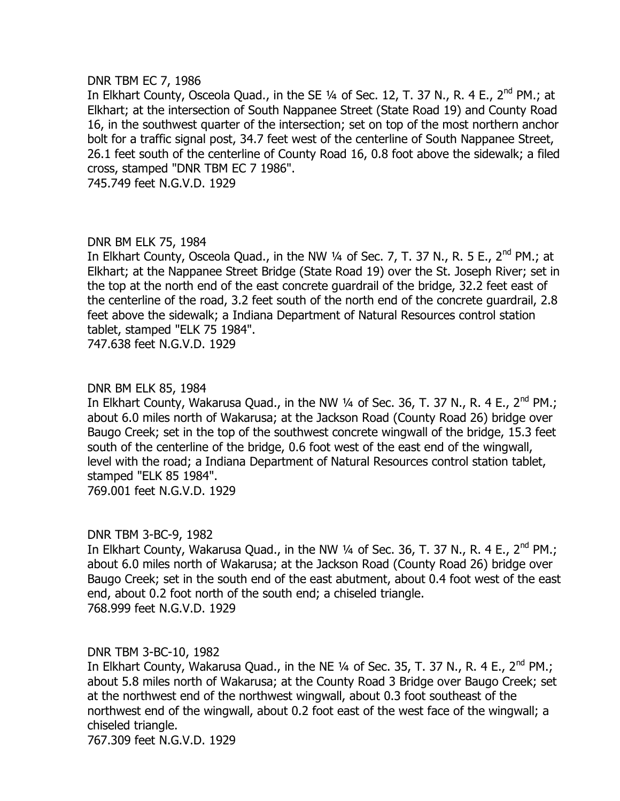#### DNR TBM EC 7, 1986

In Elkhart County, Osceola Quad., in the SE 1/4 of Sec. 12, T. 37 N., R. 4 E., 2<sup>nd</sup> PM.; at Elkhart; at the intersection of South Nappanee Street (State Road 19) and County Road 16, in the southwest quarter of the intersection; set on top of the most northern anchor bolt for a traffic signal post, 34.7 feet west of the centerline of South Nappanee Street, 26.1 feet south of the centerline of County Road 16, 0.8 foot above the sidewalk; a filed cross, stamped "DNR TBM EC 7 1986".

745.749 feet N.G.V.D. 1929

## DNR BM ELK 75, 1984

In Elkhart County, Osceola Quad., in the NW  $\frac{1}{4}$  of Sec. 7, T. 37 N., R. 5 E., 2<sup>nd</sup> PM.; at Elkhart; at the Nappanee Street Bridge (State Road 19) over the St. Joseph River; set in the top at the north end of the east concrete guardrail of the bridge, 32.2 feet east of the centerline of the road, 3.2 feet south of the north end of the concrete guardrail, 2.8 feet above the sidewalk; a Indiana Department of Natural Resources control station tablet, stamped "ELK 75 1984".

747.638 feet N.G.V.D. 1929

## DNR BM ELK 85, 1984

In Elkhart County, Wakarusa Quad., in the NW 1/4 of Sec. 36, T. 37 N., R. 4 E., 2<sup>nd</sup> PM.; about 6.0 miles north of Wakarusa; at the Jackson Road (County Road 26) bridge over Baugo Creek; set in the top of the southwest concrete wingwall of the bridge, 15.3 feet south of the centerline of the bridge, 0.6 foot west of the east end of the wingwall, level with the road; a Indiana Department of Natural Resources control station tablet, stamped "ELK 85 1984".

769.001 feet N.G.V.D. 1929

## DNR TBM 3-BC-9, 1982

In Elkhart County, Wakarusa Quad., in the NW 1/4 of Sec. 36, T. 37 N., R. 4 E., 2<sup>nd</sup> PM.; about 6.0 miles north of Wakarusa; at the Jackson Road (County Road 26) bridge over Baugo Creek; set in the south end of the east abutment, about 0.4 foot west of the east end, about 0.2 foot north of the south end; a chiseled triangle. 768.999 feet N.G.V.D. 1929

## DNR TBM 3-BC-10, 1982

In Elkhart County, Wakarusa Quad., in the NE  $\frac{1}{4}$  of Sec. 35, T. 37 N., R. 4 E., 2<sup>nd</sup> PM.; about 5.8 miles north of Wakarusa; at the County Road 3 Bridge over Baugo Creek; set at the northwest end of the northwest wingwall, about 0.3 foot southeast of the northwest end of the wingwall, about 0.2 foot east of the west face of the wingwall; a chiseled triangle.

767.309 feet N.G.V.D. 1929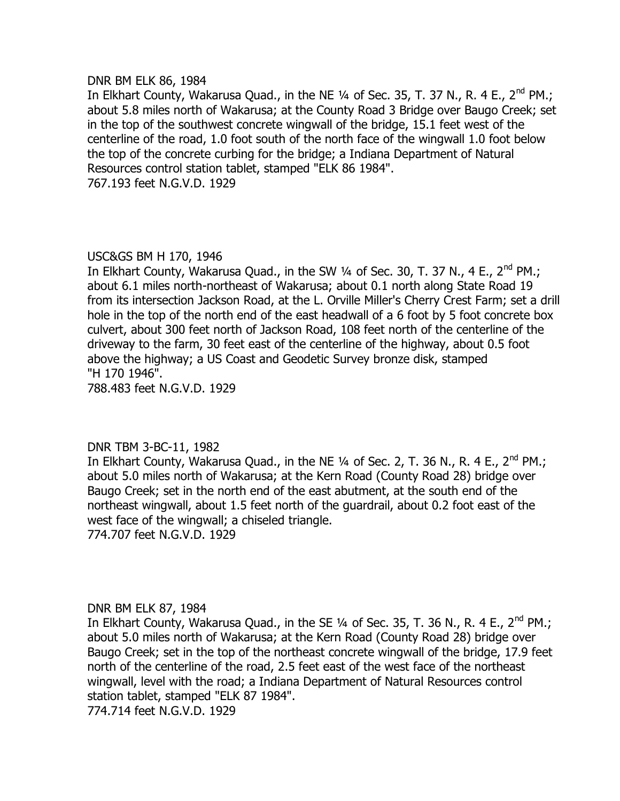#### DNR BM ELK 86, 1984

In Elkhart County, Wakarusa Quad., in the NE  $\frac{1}{4}$  of Sec. 35, T. 37 N., R. 4 E., 2<sup>nd</sup> PM.; about 5.8 miles north of Wakarusa; at the County Road 3 Bridge over Baugo Creek; set in the top of the southwest concrete wingwall of the bridge, 15.1 feet west of the centerline of the road, 1.0 foot south of the north face of the wingwall 1.0 foot below the top of the concrete curbing for the bridge; a Indiana Department of Natural Resources control station tablet, stamped "ELK 86 1984". 767.193 feet N.G.V.D. 1929

## USC&GS BM H 170, 1946

In Elkhart County, Wakarusa Quad., in the SW 1/4 of Sec. 30, T. 37 N., 4 E., 2<sup>nd</sup> PM.; about 6.1 miles north-northeast of Wakarusa; about 0.1 north along State Road 19 from its intersection Jackson Road, at the L. Orville Miller's Cherry Crest Farm; set a drill hole in the top of the north end of the east headwall of a 6 foot by 5 foot concrete box culvert, about 300 feet north of Jackson Road, 108 feet north of the centerline of the driveway to the farm, 30 feet east of the centerline of the highway, about 0.5 foot above the highway; a US Coast and Geodetic Survey bronze disk, stamped "H 170 1946".

788.483 feet N.G.V.D. 1929

# DNR TBM 3-BC-11, 1982

In Elkhart County, Wakarusa Quad., in the NE  $\frac{1}{4}$  of Sec. 2, T. 36 N., R. 4 E., 2<sup>nd</sup> PM.; about 5.0 miles north of Wakarusa; at the Kern Road (County Road 28) bridge over Baugo Creek; set in the north end of the east abutment, at the south end of the northeast wingwall, about 1.5 feet north of the guardrail, about 0.2 foot east of the west face of the wingwall; a chiseled triangle. 774.707 feet N.G.V.D. 1929

## DNR BM ELK 87, 1984

In Elkhart County, Wakarusa Quad., in the SE 1/4 of Sec. 35, T. 36 N., R. 4 E., 2<sup>nd</sup> PM.; about 5.0 miles north of Wakarusa; at the Kern Road (County Road 28) bridge over Baugo Creek; set in the top of the northeast concrete wingwall of the bridge, 17.9 feet north of the centerline of the road, 2.5 feet east of the west face of the northeast wingwall, level with the road; a Indiana Department of Natural Resources control station tablet, stamped "ELK 87 1984".

774.714 feet N.G.V.D. 1929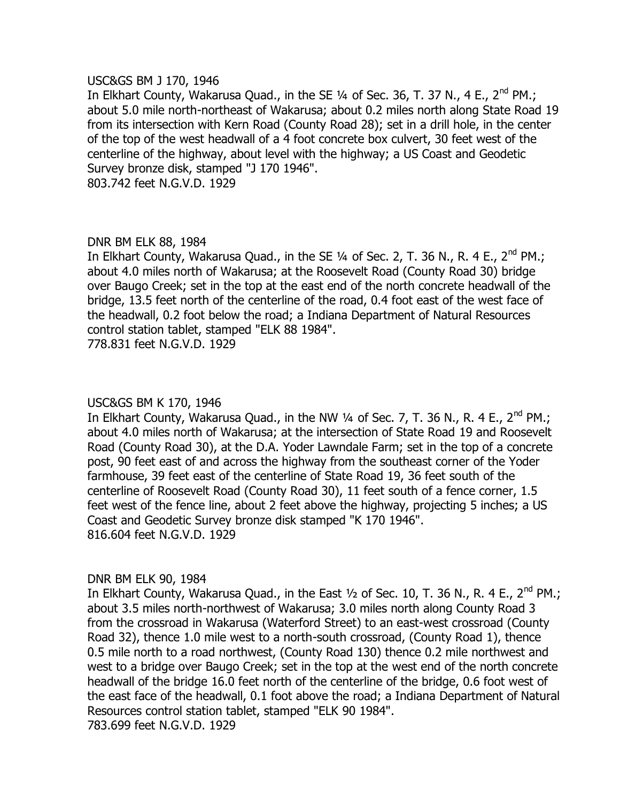#### USC&GS BM J 170, 1946

In Elkhart County, Wakarusa Quad., in the SE 1/4 of Sec. 36, T. 37 N., 4 E., 2<sup>nd</sup> PM.; about 5.0 mile north-northeast of Wakarusa; about 0.2 miles north along State Road 19 from its intersection with Kern Road (County Road 28); set in a drill hole, in the center of the top of the west headwall of a 4 foot concrete box culvert, 30 feet west of the centerline of the highway, about level with the highway; a US Coast and Geodetic Survey bronze disk, stamped "J 170 1946". 803.742 feet N.G.V.D. 1929

#### DNR BM ELK 88, 1984

In Elkhart County, Wakarusa Quad., in the SE  $\frac{1}{4}$  of Sec. 2, T. 36 N., R. 4 E., 2<sup>nd</sup> PM.; about 4.0 miles north of Wakarusa; at the Roosevelt Road (County Road 30) bridge over Baugo Creek; set in the top at the east end of the north concrete headwall of the bridge, 13.5 feet north of the centerline of the road, 0.4 foot east of the west face of the headwall, 0.2 foot below the road; a Indiana Department of Natural Resources control station tablet, stamped "ELK 88 1984".

778.831 feet N.G.V.D. 1929

#### USC&GS BM K 170, 1946

In Elkhart County, Wakarusa Quad., in the NW  $\frac{1}{4}$  of Sec. 7, T. 36 N., R. 4 E., 2<sup>nd</sup> PM.; about 4.0 miles north of Wakarusa; at the intersection of State Road 19 and Roosevelt Road (County Road 30), at the D.A. Yoder Lawndale Farm; set in the top of a concrete post, 90 feet east of and across the highway from the southeast corner of the Yoder farmhouse, 39 feet east of the centerline of State Road 19, 36 feet south of the centerline of Roosevelt Road (County Road 30), 11 feet south of a fence corner, 1.5 feet west of the fence line, about 2 feet above the highway, projecting 5 inches; a US Coast and Geodetic Survey bronze disk stamped "K 170 1946". 816.604 feet N.G.V.D. 1929

## DNR BM ELK 90, 1984

In Elkhart County, Wakarusa Quad., in the East  $\frac{1}{2}$  of Sec. 10, T. 36 N., R. 4 E., 2<sup>nd</sup> PM.; about 3.5 miles north-northwest of Wakarusa; 3.0 miles north along County Road 3 from the crossroad in Wakarusa (Waterford Street) to an east-west crossroad (County Road 32), thence 1.0 mile west to a north-south crossroad, (County Road 1), thence 0.5 mile north to a road northwest, (County Road 130) thence 0.2 mile northwest and west to a bridge over Baugo Creek; set in the top at the west end of the north concrete headwall of the bridge 16.0 feet north of the centerline of the bridge, 0.6 foot west of the east face of the headwall, 0.1 foot above the road; a Indiana Department of Natural Resources control station tablet, stamped "ELK 90 1984". 783.699 feet N.G.V.D. 1929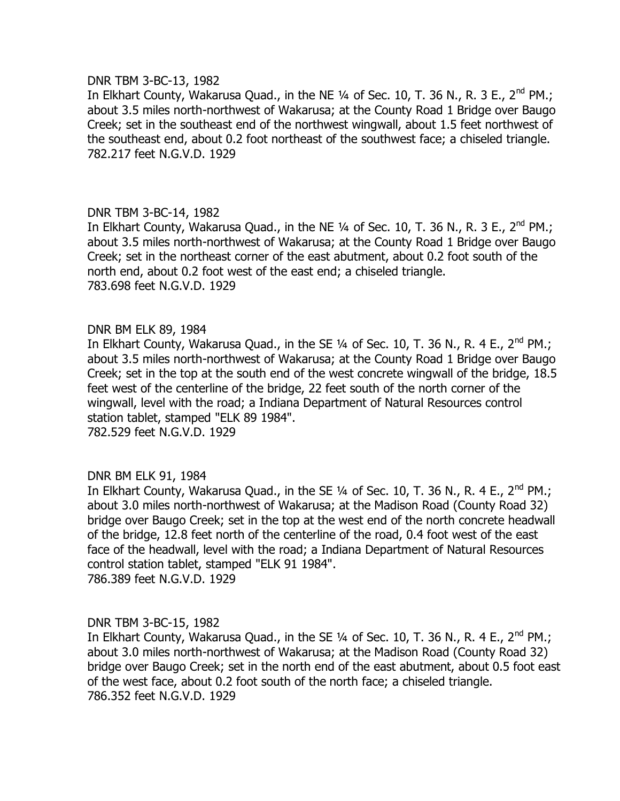#### DNR TBM 3-BC-13, 1982

In Elkhart County, Wakarusa Quad., in the NE 1/4 of Sec. 10, T. 36 N., R. 3 E., 2<sup>nd</sup> PM.; about 3.5 miles north-northwest of Wakarusa; at the County Road 1 Bridge over Baugo Creek; set in the southeast end of the northwest wingwall, about 1.5 feet northwest of the southeast end, about 0.2 foot northeast of the southwest face; a chiseled triangle. 782.217 feet N.G.V.D. 1929

## DNR TBM 3-BC-14, 1982

In Elkhart County, Wakarusa Quad., in the NE 1/4 of Sec. 10, T. 36 N., R. 3 E., 2<sup>nd</sup> PM.; about 3.5 miles north-northwest of Wakarusa; at the County Road 1 Bridge over Baugo Creek; set in the northeast corner of the east abutment, about 0.2 foot south of the north end, about 0.2 foot west of the east end; a chiseled triangle. 783.698 feet N.G.V.D. 1929

## DNR BM ELK 89, 1984

In Elkhart County, Wakarusa Quad., in the SE  $1/4$  of Sec. 10, T. 36 N., R. 4 E., 2<sup>nd</sup> PM.; about 3.5 miles north-northwest of Wakarusa; at the County Road 1 Bridge over Baugo Creek; set in the top at the south end of the west concrete wingwall of the bridge, 18.5 feet west of the centerline of the bridge, 22 feet south of the north corner of the wingwall, level with the road; a Indiana Department of Natural Resources control station tablet, stamped "ELK 89 1984". 782.529 feet N.G.V.D. 1929

## DNR BM ELK 91, 1984

In Elkhart County, Wakarusa Quad., in the SE 1/4 of Sec. 10, T. 36 N., R. 4 E., 2<sup>nd</sup> PM.; about 3.0 miles north-northwest of Wakarusa; at the Madison Road (County Road 32) bridge over Baugo Creek; set in the top at the west end of the north concrete headwall of the bridge, 12.8 feet north of the centerline of the road, 0.4 foot west of the east face of the headwall, level with the road; a Indiana Department of Natural Resources control station tablet, stamped "ELK 91 1984". 786.389 feet N.G.V.D. 1929

## DNR TBM 3-BC-15, 1982

In Elkhart County, Wakarusa Quad., in the SE  $\frac{1}{4}$  of Sec. 10, T. 36 N., R. 4 E., 2<sup>nd</sup> PM.; about 3.0 miles north-northwest of Wakarusa; at the Madison Road (County Road 32) bridge over Baugo Creek; set in the north end of the east abutment, about 0.5 foot east of the west face, about 0.2 foot south of the north face; a chiseled triangle. 786.352 feet N.G.V.D. 1929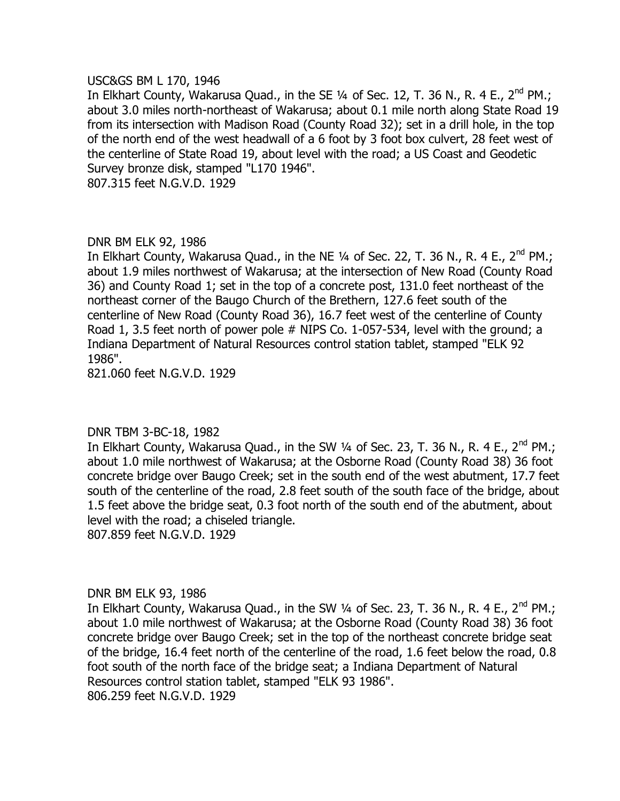#### USC&GS BM L 170, 1946

In Elkhart County, Wakarusa Quad., in the SE 1/4 of Sec. 12, T. 36 N., R. 4 E., 2<sup>nd</sup> PM.; about 3.0 miles north-northeast of Wakarusa; about 0.1 mile north along State Road 19 from its intersection with Madison Road (County Road 32); set in a drill hole, in the top of the north end of the west headwall of a 6 foot by 3 foot box culvert, 28 feet west of the centerline of State Road 19, about level with the road; a US Coast and Geodetic Survey bronze disk, stamped "L170 1946".

807.315 feet N.G.V.D. 1929

## DNR BM ELK 92, 1986

In Elkhart County, Wakarusa Quad., in the NE  $\frac{1}{4}$  of Sec. 22, T. 36 N., R. 4 E., 2<sup>nd</sup> PM.; about 1.9 miles northwest of Wakarusa; at the intersection of New Road (County Road 36) and County Road 1; set in the top of a concrete post, 131.0 feet northeast of the northeast corner of the Baugo Church of the Brethern, 127.6 feet south of the centerline of New Road (County Road 36), 16.7 feet west of the centerline of County Road 1, 3.5 feet north of power pole # NIPS Co. 1-057-534, level with the ground; a Indiana Department of Natural Resources control station tablet, stamped "ELK 92 1986".

821.060 feet N.G.V.D. 1929

## DNR TBM 3-BC-18, 1982

In Elkhart County, Wakarusa Quad., in the SW  $\frac{1}{4}$  of Sec. 23, T. 36 N., R. 4 E., 2<sup>nd</sup> PM.; about 1.0 mile northwest of Wakarusa; at the Osborne Road (County Road 38) 36 foot concrete bridge over Baugo Creek; set in the south end of the west abutment, 17.7 feet south of the centerline of the road, 2.8 feet south of the south face of the bridge, about 1.5 feet above the bridge seat, 0.3 foot north of the south end of the abutment, about level with the road; a chiseled triangle. 807.859 feet N.G.V.D. 1929

## DNR BM ELK 93, 1986

In Elkhart County, Wakarusa Quad., in the SW 1/4 of Sec. 23, T. 36 N., R. 4 E., 2<sup>nd</sup> PM.; about 1.0 mile northwest of Wakarusa; at the Osborne Road (County Road 38) 36 foot concrete bridge over Baugo Creek; set in the top of the northeast concrete bridge seat of the bridge, 16.4 feet north of the centerline of the road, 1.6 feet below the road, 0.8 foot south of the north face of the bridge seat; a Indiana Department of Natural Resources control station tablet, stamped "ELK 93 1986". 806.259 feet N.G.V.D. 1929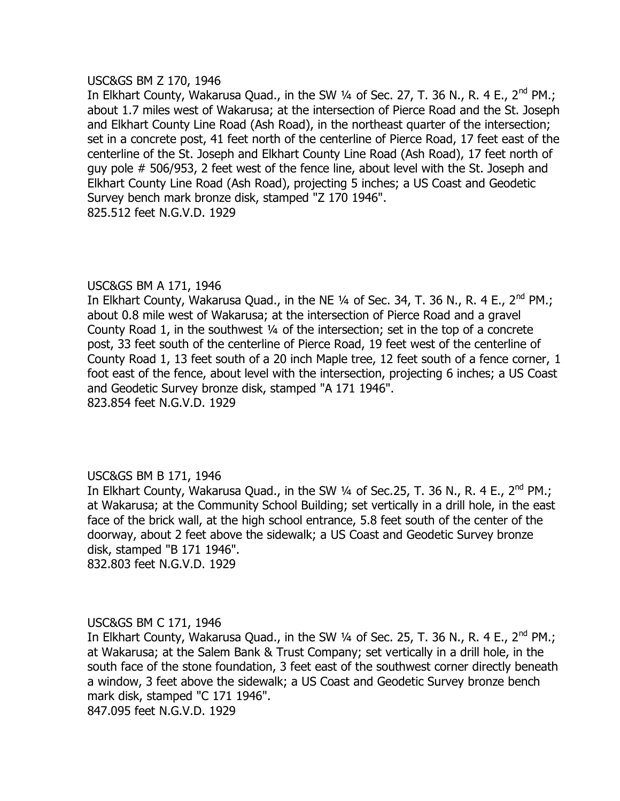#### USC&GS BM Z 170, 1946

In Elkhart County, Wakarusa Quad., in the SW  $\frac{1}{4}$  of Sec. 27, T. 36 N., R. 4 E., 2<sup>nd</sup> PM.; about 1.7 miles west of Wakarusa; at the intersection of Pierce Road and the St. Joseph and Elkhart County Line Road (Ash Road), in the northeast quarter of the intersection; set in a concrete post, 41 feet north of the centerline of Pierce Road, 17 feet east of the centerline of the St. Joseph and Elkhart County Line Road (Ash Road), 17 feet north of guy pole # 506/953, 2 feet west of the fence line, about level with the St. Joseph and Elkhart County Line Road (Ash Road), projecting 5 inches; a US Coast and Geodetic Survey bench mark bronze disk, stamped "Z 170 1946". 825.512 feet N.G.V.D. 1929

## USC&GS BM A 171, 1946

In Elkhart County, Wakarusa Quad., in the NE  $\frac{1}{4}$  of Sec. 34, T. 36 N., R. 4 E., 2<sup>nd</sup> PM.; about 0.8 mile west of Wakarusa; at the intersection of Pierce Road and a gravel County Road 1, in the southwest ¼ of the intersection; set in the top of a concrete post, 33 feet south of the centerline of Pierce Road, 19 feet west of the centerline of County Road 1, 13 feet south of a 20 inch Maple tree, 12 feet south of a fence corner, 1 foot east of the fence, about level with the intersection, projecting 6 inches; a US Coast and Geodetic Survey bronze disk, stamped "A 171 1946". 823.854 feet N.G.V.D. 1929

## USC&GS BM B 171, 1946

In Elkhart County, Wakarusa Quad., in the SW  $\frac{1}{4}$  of Sec. 25, T. 36 N., R. 4 E., 2<sup>nd</sup> PM.; at Wakarusa; at the Community School Building; set vertically in a drill hole, in the east face of the brick wall, at the high school entrance, 5.8 feet south of the center of the doorway, about 2 feet above the sidewalk; a US Coast and Geodetic Survey bronze disk, stamped "B 171 1946".

832.803 feet N.G.V.D. 1929

#### USC&GS BM C 171, 1946

In Elkhart County, Wakarusa Quad., in the SW  $\frac{1}{4}$  of Sec. 25, T. 36 N., R. 4 E., 2<sup>nd</sup> PM.; at Wakarusa; at the Salem Bank & Trust Company; set vertically in a drill hole, in the south face of the stone foundation, 3 feet east of the southwest corner directly beneath a window, 3 feet above the sidewalk; a US Coast and Geodetic Survey bronze bench mark disk, stamped "C 171 1946".

847.095 feet N.G.V.D. 1929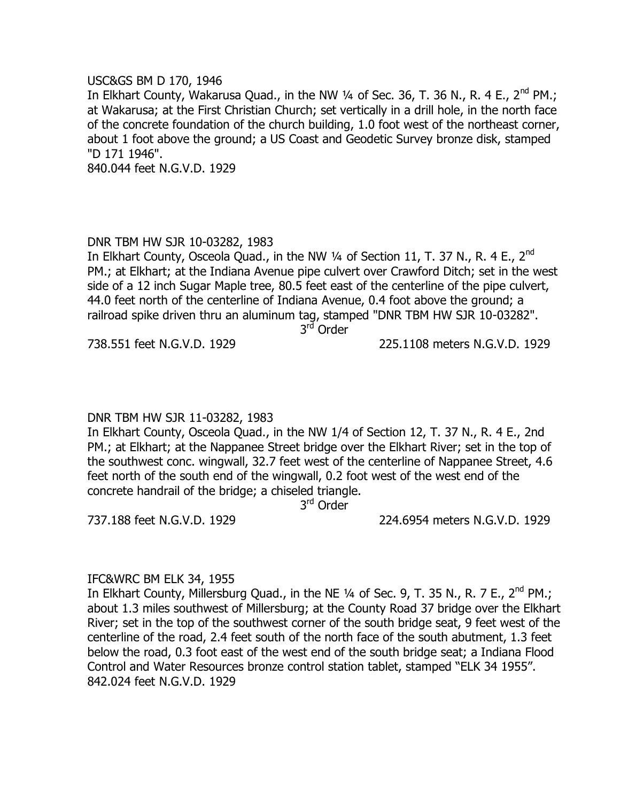#### USC&GS BM D 170, 1946

In Elkhart County, Wakarusa Quad., in the NW  $\frac{1}{4}$  of Sec. 36, T. 36 N., R. 4 E., 2<sup>nd</sup> PM.; at Wakarusa; at the First Christian Church; set vertically in a drill hole, in the north face of the concrete foundation of the church building, 1.0 foot west of the northeast corner, about 1 foot above the ground; a US Coast and Geodetic Survey bronze disk, stamped "D 171 1946".

840.044 feet N.G.V.D. 1929

## DNR TBM HW SJR 10-03282, 1983

In Elkhart County, Osceola Quad., in the NW  $\frac{1}{4}$  of Section 11, T. 37 N., R. 4 E., 2<sup>nd</sup> PM.; at Elkhart; at the Indiana Avenue pipe culvert over Crawford Ditch; set in the west side of a 12 inch Sugar Maple tree, 80.5 feet east of the centerline of the pipe culvert, 44.0 feet north of the centerline of Indiana Avenue, 0.4 foot above the ground; a railroad spike driven thru an aluminum tag, stamped "DNR TBM HW SJR 10-03282".

3<sup>rd</sup> Order

738.551 feet N.G.V.D. 1929 225.1108 meters N.G.V.D. 1929

# DNR TBM HW SJR 11-03282, 1983

In Elkhart County, Osceola Quad., in the NW 1/4 of Section 12, T. 37 N., R. 4 E., 2nd PM.; at Elkhart; at the Nappanee Street bridge over the Elkhart River; set in the top of the southwest conc. wingwall, 32.7 feet west of the centerline of Nappanee Street, 4.6 feet north of the south end of the wingwall, 0.2 foot west of the west end of the concrete handrail of the bridge; a chiseled triangle.

3<sup>rd</sup> Order

737.188 feet N.G.V.D. 1929 224.6954 meters N.G.V.D. 1929

IFC&WRC BM ELK 34, 1955 In Elkhart County, Millersburg Quad., in the NE  $\frac{1}{4}$  of Sec. 9, T. 35 N., R. 7 E., 2<sup>nd</sup> PM.; about 1.3 miles southwest of Millersburg; at the County Road 37 bridge over the Elkhart River; set in the top of the southwest corner of the south bridge seat, 9 feet west of the centerline of the road, 2.4 feet south of the north face of the south abutment, 1.3 feet below the road, 0.3 foot east of the west end of the south bridge seat; a Indiana Flood Control and Water Resources bronze control station tablet, stamped "ELK 34 1955". 842.024 feet N.G.V.D. 1929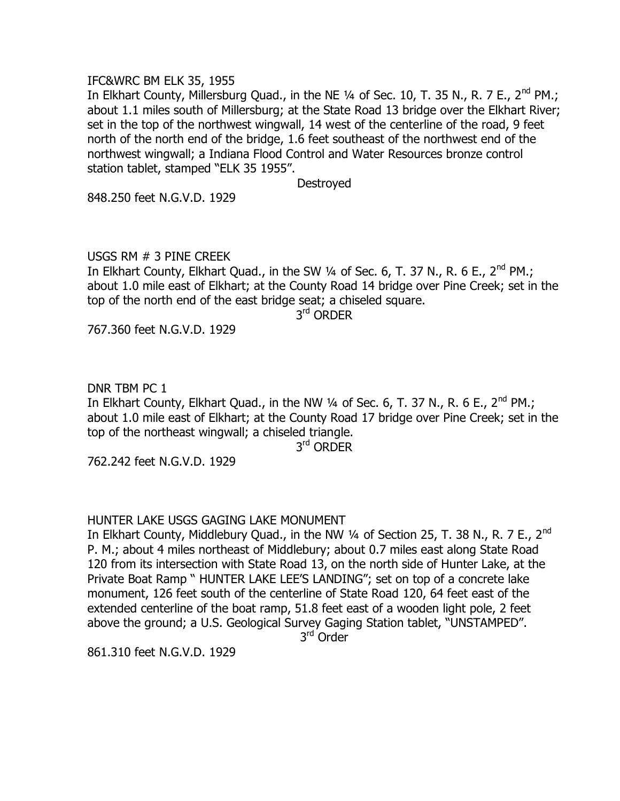#### IFC&WRC BM ELK 35, 1955

In Elkhart County, Millersburg Quad., in the NE  $\frac{1}{4}$  of Sec. 10, T. 35 N., R. 7 E., 2<sup>nd</sup> PM.; about 1.1 miles south of Millersburg; at the State Road 13 bridge over the Elkhart River; set in the top of the northwest wingwall, 14 west of the centerline of the road, 9 feet north of the north end of the bridge, 1.6 feet southeast of the northwest end of the northwest wingwall; a Indiana Flood Control and Water Resources bronze control station tablet, stamped "ELK 35 1955".

Destroyed

848.250 feet N.G.V.D. 1929

#### USGS RM # 3 PINE CREEK

In Elkhart County, Elkhart Quad., in the SW  $\frac{1}{4}$  of Sec. 6, T. 37 N., R. 6 E., 2<sup>nd</sup> PM.; about 1.0 mile east of Elkhart; at the County Road 14 bridge over Pine Creek; set in the top of the north end of the east bridge seat; a chiseled square.

3<sup>rd</sup> ORDER

767.360 feet N.G.V.D. 1929

DNR TBM PC 1

In Elkhart County, Elkhart Quad., in the NW  $\frac{1}{4}$  of Sec. 6, T. 37 N., R. 6 E., 2<sup>nd</sup> PM.; about 1.0 mile east of Elkhart; at the County Road 17 bridge over Pine Creek; set in the top of the northeast wingwall; a chiseled triangle.

3 rd ORDER

762.242 feet N.G.V.D. 1929

HUNTER LAKE USGS GAGING LAKE MONUMENT

In Elkhart County, Middlebury Quad., in the NW  $\frac{1}{4}$  of Section 25, T. 38 N., R. 7 E., 2<sup>nd</sup> P. M.; about 4 miles northeast of Middlebury; about 0.7 miles east along State Road 120 from its intersection with State Road 13, on the north side of Hunter Lake, at the Private Boat Ramp " HUNTER LAKE LEE'S LANDING"; set on top of a concrete lake monument, 126 feet south of the centerline of State Road 120, 64 feet east of the extended centerline of the boat ramp, 51.8 feet east of a wooden light pole, 2 feet above the ground; a U.S. Geological Survey Gaging Station tablet, "UNSTAMPED".

3<sup>rd</sup> Order

861.310 feet N.G.V.D. 1929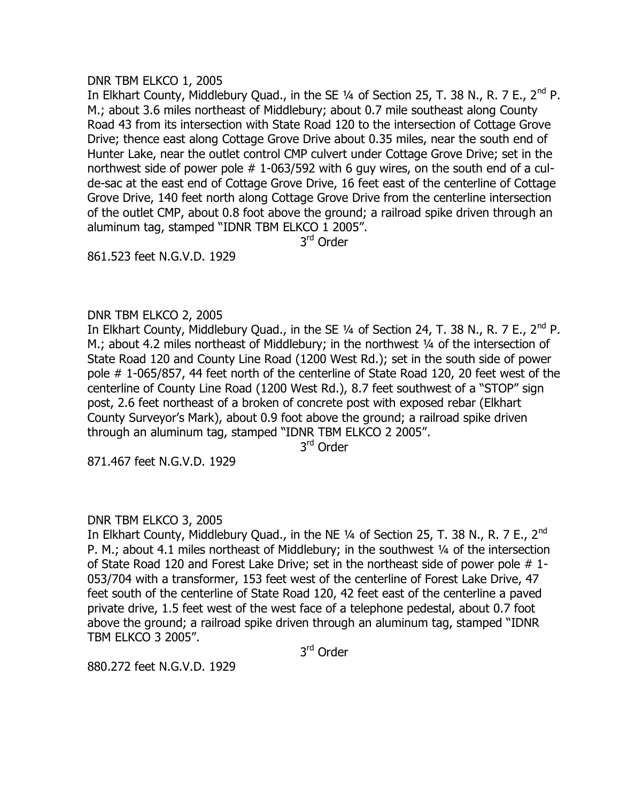#### DNR TBM ELKCO 1, 2005

In Elkhart County, Middlebury Quad., in the SE 1/4 of Section 25, T. 38 N., R. 7 E., 2<sup>nd</sup> P. M.; about 3.6 miles northeast of Middlebury; about 0.7 mile southeast along County Road 43 from its intersection with State Road 120 to the intersection of Cottage Grove Drive; thence east along Cottage Grove Drive about 0.35 miles, near the south end of Hunter Lake, near the outlet control CMP culvert under Cottage Grove Drive; set in the northwest side of power pole # 1-063/592 with 6 guy wires, on the south end of a culde-sac at the east end of Cottage Grove Drive, 16 feet east of the centerline of Cottage Grove Drive, 140 feet north along Cottage Grove Drive from the centerline intersection of the outlet CMP, about 0.8 foot above the ground; a railroad spike driven through an aluminum tag, stamped "IDNR TBM ELKCO 1 2005".

3<sup>rd</sup> Order

861.523 feet N.G.V.D. 1929

#### DNR TBM ELKCO 2, 2005

In Elkhart County, Middlebury Quad., in the SE 1/4 of Section 24, T. 38 N., R. 7 E., 2<sup>nd</sup> P. M.; about 4.2 miles northeast of Middlebury; in the northwest 1/4 of the intersection of State Road 120 and County Line Road (1200 West Rd.); set in the south side of power pole # 1-065/857, 44 feet north of the centerline of State Road 120, 20 feet west of the centerline of County Line Road (1200 West Rd.), 8.7 feet southwest of a "STOP" sign post, 2.6 feet northeast of a broken of concrete post with exposed rebar (Elkhart County Surveyor's Mark), about 0.9 foot above the ground; a railroad spike driven through an aluminum tag, stamped "IDNR TBM ELKCO 2 2005".

3<sup>rd</sup> Order

871.467 feet N.G.V.D. 1929

## DNR TBM ELKCO 3, 2005

In Elkhart County, Middlebury Quad., in the NE  $\frac{1}{4}$  of Section 25, T. 38 N., R. 7 E., 2<sup>nd</sup> P. M.; about 4.1 miles northeast of Middlebury; in the southwest 1/4 of the intersection of State Road 120 and Forest Lake Drive; set in the northeast side of power pole # 1- 053/704 with a transformer, 153 feet west of the centerline of Forest Lake Drive, 47 feet south of the centerline of State Road 120, 42 feet east of the centerline a paved private drive, 1.5 feet west of the west face of a telephone pedestal, about 0.7 foot above the ground; a railroad spike driven through an aluminum tag, stamped "IDNR TBM ELKCO 3 2005".

3<sup>rd</sup> Order

880.272 feet N.G.V.D. 1929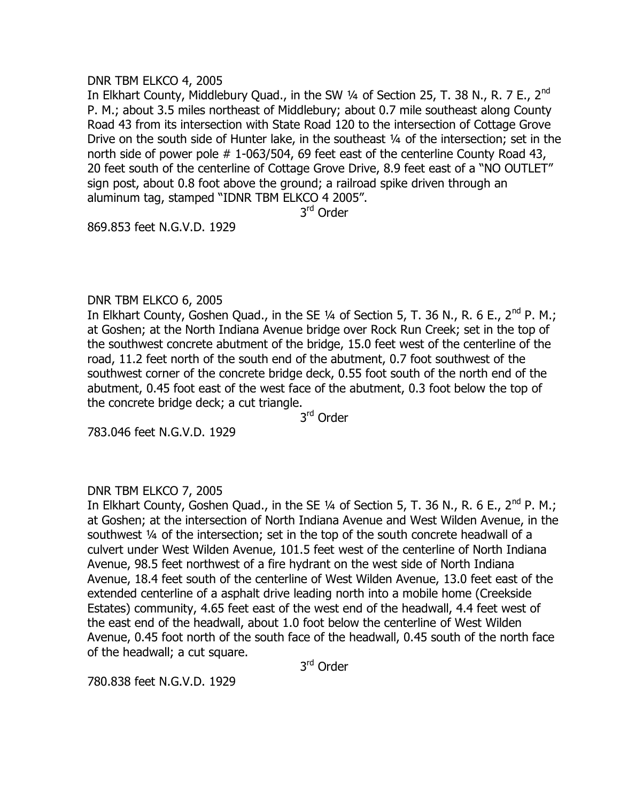#### DNR TBM ELKCO 4, 2005

In Elkhart County, Middlebury Quad., in the SW 1/4 of Section 25, T. 38 N., R. 7 E., 2<sup>nd</sup> P. M.; about 3.5 miles northeast of Middlebury; about 0.7 mile southeast along County Road 43 from its intersection with State Road 120 to the intersection of Cottage Grove Drive on the south side of Hunter lake, in the southeast 1/4 of the intersection; set in the north side of power pole # 1-063/504, 69 feet east of the centerline County Road 43, 20 feet south of the centerline of Cottage Grove Drive, 8.9 feet east of a "NO OUTLET" sign post, about 0.8 foot above the ground; a railroad spike driven through an aluminum tag, stamped "IDNR TBM ELKCO 4 2005".

3<sup>rd</sup> Order

869.853 feet N.G.V.D. 1929

#### DNR TBM ELKCO 6, 2005

In Elkhart County, Goshen Quad., in the SE 1/4 of Section 5, T. 36 N., R. 6 E., 2<sup>nd</sup> P. M.; at Goshen; at the North Indiana Avenue bridge over Rock Run Creek; set in the top of the southwest concrete abutment of the bridge, 15.0 feet west of the centerline of the road, 11.2 feet north of the south end of the abutment, 0.7 foot southwest of the southwest corner of the concrete bridge deck, 0.55 foot south of the north end of the abutment, 0.45 foot east of the west face of the abutment, 0.3 foot below the top of the concrete bridge deck; a cut triangle.

3<sup>rd</sup> Order

783.046 feet N.G.V.D. 1929

#### DNR TBM ELKCO 7, 2005

In Elkhart County, Goshen Quad., in the SE 1/4 of Section 5, T. 36 N., R. 6 E., 2<sup>nd</sup> P. M.; at Goshen; at the intersection of North Indiana Avenue and West Wilden Avenue, in the southwest ¼ of the intersection; set in the top of the south concrete headwall of a culvert under West Wilden Avenue, 101.5 feet west of the centerline of North Indiana Avenue, 98.5 feet northwest of a fire hydrant on the west side of North Indiana Avenue, 18.4 feet south of the centerline of West Wilden Avenue, 13.0 feet east of the extended centerline of a asphalt drive leading north into a mobile home (Creekside Estates) community, 4.65 feet east of the west end of the headwall, 4.4 feet west of the east end of the headwall, about 1.0 foot below the centerline of West Wilden Avenue, 0.45 foot north of the south face of the headwall, 0.45 south of the north face of the headwall; a cut square.

3<sup>rd</sup> Order

780.838 feet N.G.V.D. 1929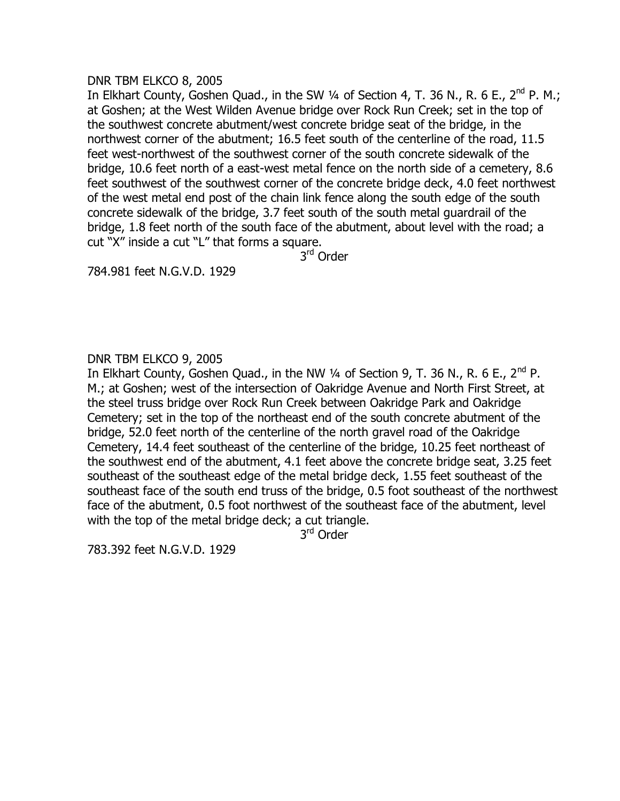#### DNR TBM ELKCO 8, 2005

In Elkhart County, Goshen Quad., in the SW  $\frac{1}{4}$  of Section 4, T. 36 N., R. 6 E., 2<sup>nd</sup> P. M.; at Goshen; at the West Wilden Avenue bridge over Rock Run Creek; set in the top of the southwest concrete abutment/west concrete bridge seat of the bridge, in the northwest corner of the abutment; 16.5 feet south of the centerline of the road, 11.5 feet west-northwest of the southwest corner of the south concrete sidewalk of the bridge, 10.6 feet north of a east-west metal fence on the north side of a cemetery, 8.6 feet southwest of the southwest corner of the concrete bridge deck, 4.0 feet northwest of the west metal end post of the chain link fence along the south edge of the south concrete sidewalk of the bridge, 3.7 feet south of the south metal guardrail of the bridge, 1.8 feet north of the south face of the abutment, about level with the road; a cut "X" inside a cut "L" that forms a square.

3<sup>rd</sup> Order

784.981 feet N.G.V.D. 1929

## DNR TBM ELKCO 9, 2005

In Elkhart County, Goshen Quad., in the NW  $\frac{1}{4}$  of Section 9, T. 36 N., R. 6 E., 2<sup>nd</sup> P. M.; at Goshen; west of the intersection of Oakridge Avenue and North First Street, at the steel truss bridge over Rock Run Creek between Oakridge Park and Oakridge Cemetery; set in the top of the northeast end of the south concrete abutment of the bridge, 52.0 feet north of the centerline of the north gravel road of the Oakridge Cemetery, 14.4 feet southeast of the centerline of the bridge, 10.25 feet northeast of the southwest end of the abutment, 4.1 feet above the concrete bridge seat, 3.25 feet southeast of the southeast edge of the metal bridge deck, 1.55 feet southeast of the southeast face of the south end truss of the bridge, 0.5 foot southeast of the northwest face of the abutment, 0.5 foot northwest of the southeast face of the abutment, level with the top of the metal bridge deck; a cut triangle.

3<sup>rd</sup> Order

783.392 feet N.G.V.D. 1929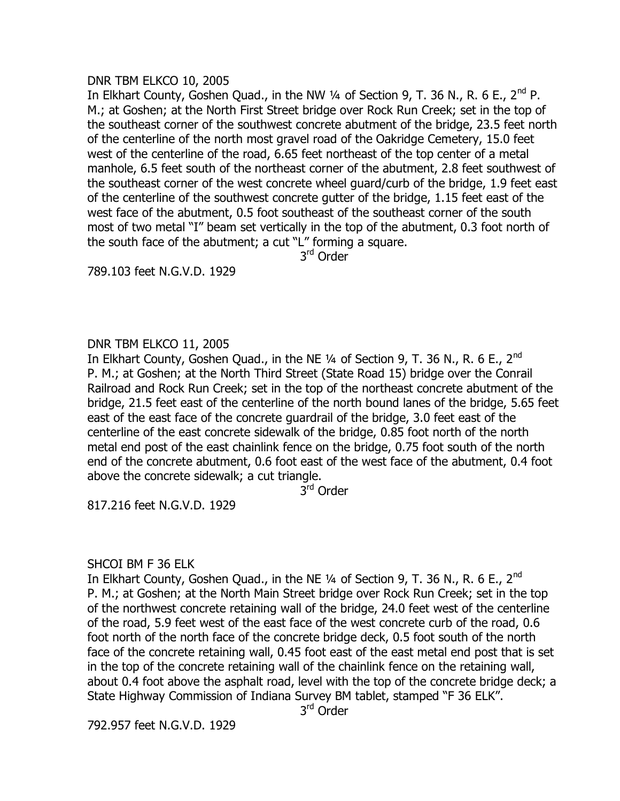#### DNR TBM ELKCO 10, 2005

In Elkhart County, Goshen Quad., in the NW  $\frac{1}{4}$  of Section 9, T. 36 N., R. 6 E., 2<sup>nd</sup> P. M.; at Goshen; at the North First Street bridge over Rock Run Creek; set in the top of the southeast corner of the southwest concrete abutment of the bridge, 23.5 feet north of the centerline of the north most gravel road of the Oakridge Cemetery, 15.0 feet west of the centerline of the road, 6.65 feet northeast of the top center of a metal manhole, 6.5 feet south of the northeast corner of the abutment, 2.8 feet southwest of the southeast corner of the west concrete wheel guard/curb of the bridge, 1.9 feet east of the centerline of the southwest concrete gutter of the bridge, 1.15 feet east of the west face of the abutment, 0.5 foot southeast of the southeast corner of the south most of two metal "I" beam set vertically in the top of the abutment, 0.3 foot north of the south face of the abutment; a cut "L" forming a square.

3<sup>rd</sup> Order

789.103 feet N.G.V.D. 1929

## DNR TBM ELKCO 11, 2005

In Elkhart County, Goshen Quad., in the NE 1/4 of Section 9, T. 36 N., R. 6 E., 2<sup>nd</sup> P. M.; at Goshen; at the North Third Street (State Road 15) bridge over the Conrail Railroad and Rock Run Creek; set in the top of the northeast concrete abutment of the bridge, 21.5 feet east of the centerline of the north bound lanes of the bridge, 5.65 feet east of the east face of the concrete guardrail of the bridge, 3.0 feet east of the centerline of the east concrete sidewalk of the bridge, 0.85 foot north of the north metal end post of the east chainlink fence on the bridge, 0.75 foot south of the north end of the concrete abutment, 0.6 foot east of the west face of the abutment, 0.4 foot above the concrete sidewalk; a cut triangle.

3<sup>rd</sup> Order

817.216 feet N.G.V.D. 1929

## SHCOI BM F 36 ELK

In Elkhart County, Goshen Quad., in the NE 1/4 of Section 9, T. 36 N., R. 6 E., 2<sup>nd</sup> P. M.; at Goshen; at the North Main Street bridge over Rock Run Creek; set in the top of the northwest concrete retaining wall of the bridge, 24.0 feet west of the centerline of the road, 5.9 feet west of the east face of the west concrete curb of the road, 0.6 foot north of the north face of the concrete bridge deck, 0.5 foot south of the north face of the concrete retaining wall, 0.45 foot east of the east metal end post that is set in the top of the concrete retaining wall of the chainlink fence on the retaining wall, about 0.4 foot above the asphalt road, level with the top of the concrete bridge deck; a State Highway Commission of Indiana Survey BM tablet, stamped "F 36 ELK".

3<sup>rd</sup> Order

792.957 feet N.G.V.D. 1929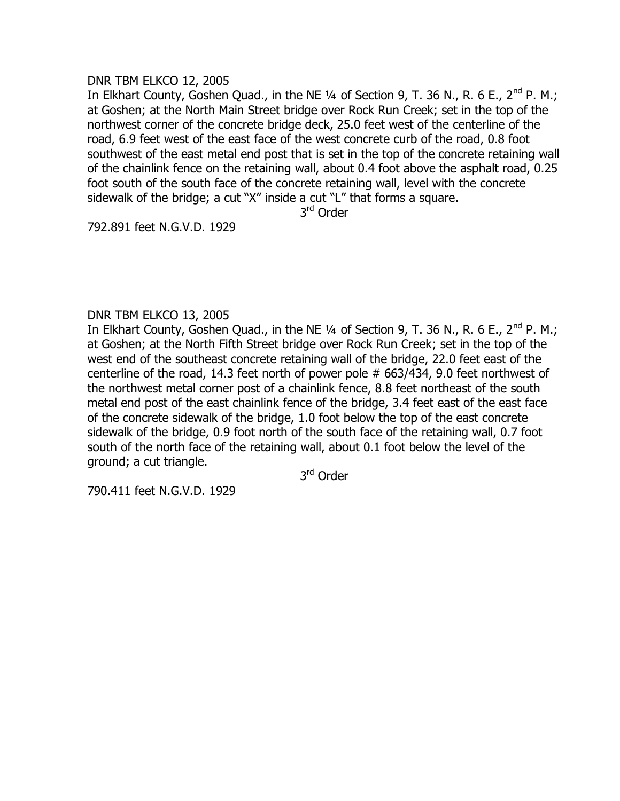#### DNR TBM ELKCO 12, 2005

In Elkhart County, Goshen Quad., in the NE  $\frac{1}{4}$  of Section 9, T. 36 N., R. 6 E., 2<sup>nd</sup> P. M.; at Goshen; at the North Main Street bridge over Rock Run Creek; set in the top of the northwest corner of the concrete bridge deck, 25.0 feet west of the centerline of the road, 6.9 feet west of the east face of the west concrete curb of the road, 0.8 foot southwest of the east metal end post that is set in the top of the concrete retaining wall of the chainlink fence on the retaining wall, about 0.4 foot above the asphalt road, 0.25 foot south of the south face of the concrete retaining wall, level with the concrete sidewalk of the bridge; a cut "X" inside a cut "L" that forms a square.

3<sup>rd</sup> Order

792.891 feet N.G.V.D. 1929

## DNR TBM ELKCO 13, 2005

In Elkhart County, Goshen Quad., in the NE  $\frac{1}{4}$  of Section 9, T. 36 N., R. 6 E., 2<sup>nd</sup> P. M.; at Goshen; at the North Fifth Street bridge over Rock Run Creek; set in the top of the west end of the southeast concrete retaining wall of the bridge, 22.0 feet east of the centerline of the road, 14.3 feet north of power pole # 663/434, 9.0 feet northwest of the northwest metal corner post of a chainlink fence, 8.8 feet northeast of the south metal end post of the east chainlink fence of the bridge, 3.4 feet east of the east face of the concrete sidewalk of the bridge, 1.0 foot below the top of the east concrete sidewalk of the bridge, 0.9 foot north of the south face of the retaining wall, 0.7 foot south of the north face of the retaining wall, about 0.1 foot below the level of the ground; a cut triangle.

3<sup>rd</sup> Order

790.411 feet N.G.V.D. 1929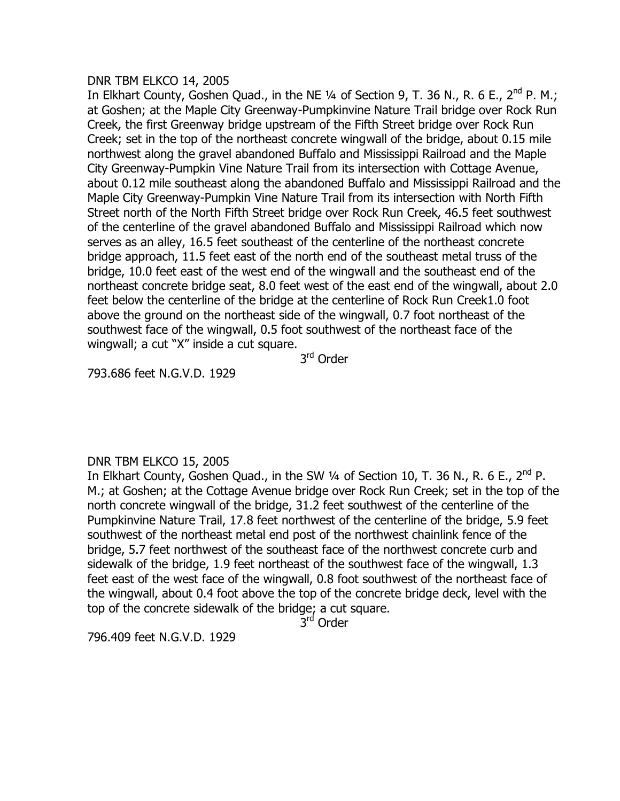#### DNR TBM ELKCO 14, 2005

In Elkhart County, Goshen Quad., in the NE  $\frac{1}{4}$  of Section 9, T. 36 N., R. 6 E., 2<sup>nd</sup> P. M.; at Goshen; at the Maple City Greenway-Pumpkinvine Nature Trail bridge over Rock Run Creek, the first Greenway bridge upstream of the Fifth Street bridge over Rock Run Creek; set in the top of the northeast concrete wingwall of the bridge, about 0.15 mile northwest along the gravel abandoned Buffalo and Mississippi Railroad and the Maple City Greenway-Pumpkin Vine Nature Trail from its intersection with Cottage Avenue, about 0.12 mile southeast along the abandoned Buffalo and Mississippi Railroad and the Maple City Greenway-Pumpkin Vine Nature Trail from its intersection with North Fifth Street north of the North Fifth Street bridge over Rock Run Creek, 46.5 feet southwest of the centerline of the gravel abandoned Buffalo and Mississippi Railroad which now serves as an alley, 16.5 feet southeast of the centerline of the northeast concrete bridge approach, 11.5 feet east of the north end of the southeast metal truss of the bridge, 10.0 feet east of the west end of the wingwall and the southeast end of the northeast concrete bridge seat, 8.0 feet west of the east end of the wingwall, about 2.0 feet below the centerline of the bridge at the centerline of Rock Run Creek1.0 foot above the ground on the northeast side of the wingwall, 0.7 foot northeast of the southwest face of the wingwall, 0.5 foot southwest of the northeast face of the wingwall; a cut "X" inside a cut square.

3<sup>rd</sup> Order

793.686 feet N.G.V.D. 1929

## DNR TBM ELKCO 15, 2005

In Elkhart County, Goshen Quad., in the SW  $\frac{1}{4}$  of Section 10, T. 36 N., R. 6 E., 2<sup>nd</sup> P. M.; at Goshen; at the Cottage Avenue bridge over Rock Run Creek; set in the top of the north concrete wingwall of the bridge, 31.2 feet southwest of the centerline of the Pumpkinvine Nature Trail, 17.8 feet northwest of the centerline of the bridge, 5.9 feet southwest of the northeast metal end post of the northwest chainlink fence of the bridge, 5.7 feet northwest of the southeast face of the northwest concrete curb and sidewalk of the bridge, 1.9 feet northeast of the southwest face of the wingwall, 1.3 feet east of the west face of the wingwall, 0.8 foot southwest of the northeast face of the wingwall, about 0.4 foot above the top of the concrete bridge deck, level with the top of the concrete sidewalk of the bridge; a cut square.

3<sup>rd</sup> Order

796.409 feet N.G.V.D. 1929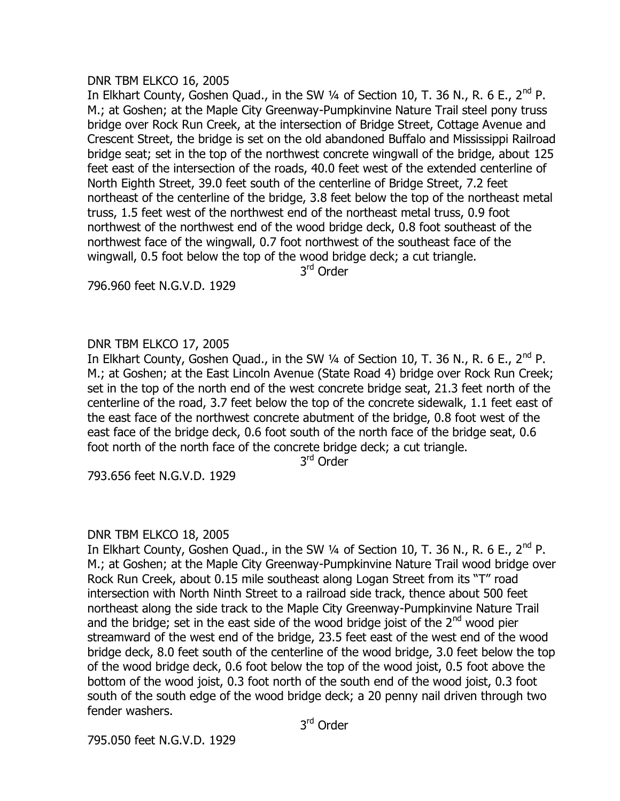## DNR TBM ELKCO 16, 2005

In Elkhart County, Goshen Quad., in the SW 1/4 of Section 10, T. 36 N., R. 6 E., 2<sup>nd</sup> P. M.; at Goshen; at the Maple City Greenway-Pumpkinvine Nature Trail steel pony truss bridge over Rock Run Creek, at the intersection of Bridge Street, Cottage Avenue and Crescent Street, the bridge is set on the old abandoned Buffalo and Mississippi Railroad bridge seat; set in the top of the northwest concrete wingwall of the bridge, about 125 feet east of the intersection of the roads, 40.0 feet west of the extended centerline of North Eighth Street, 39.0 feet south of the centerline of Bridge Street, 7.2 feet northeast of the centerline of the bridge, 3.8 feet below the top of the northeast metal truss, 1.5 feet west of the northwest end of the northeast metal truss, 0.9 foot northwest of the northwest end of the wood bridge deck, 0.8 foot southeast of the northwest face of the wingwall, 0.7 foot northwest of the southeast face of the wingwall, 0.5 foot below the top of the wood bridge deck; a cut triangle.

3<sup>rd</sup> Order

796.960 feet N.G.V.D. 1929

## DNR TBM ELKCO 17, 2005

In Elkhart County, Goshen Quad., in the SW  $\frac{1}{4}$  of Section 10, T. 36 N., R. 6 E., 2<sup>nd</sup> P. M.; at Goshen; at the East Lincoln Avenue (State Road 4) bridge over Rock Run Creek; set in the top of the north end of the west concrete bridge seat, 21.3 feet north of the centerline of the road, 3.7 feet below the top of the concrete sidewalk, 1.1 feet east of the east face of the northwest concrete abutment of the bridge, 0.8 foot west of the east face of the bridge deck, 0.6 foot south of the north face of the bridge seat, 0.6 foot north of the north face of the concrete bridge deck; a cut triangle.

3<sup>rd</sup> Order

793.656 feet N.G.V.D. 1929

## DNR TBM ELKCO 18, 2005

In Elkhart County, Goshen Quad., in the SW 1/4 of Section 10, T. 36 N., R. 6 E., 2<sup>nd</sup> P. M.; at Goshen; at the Maple City Greenway-Pumpkinvine Nature Trail wood bridge over Rock Run Creek, about 0.15 mile southeast along Logan Street from its "T" road intersection with North Ninth Street to a railroad side track, thence about 500 feet northeast along the side track to the Maple City Greenway-Pumpkinvine Nature Trail and the bridge; set in the east side of the wood bridge joist of the  $2^{nd}$  wood pier streamward of the west end of the bridge, 23.5 feet east of the west end of the wood bridge deck, 8.0 feet south of the centerline of the wood bridge, 3.0 feet below the top of the wood bridge deck, 0.6 foot below the top of the wood joist, 0.5 foot above the bottom of the wood joist, 0.3 foot north of the south end of the wood joist, 0.3 foot south of the south edge of the wood bridge deck; a 20 penny nail driven through two fender washers.

3<sup>rd</sup> Order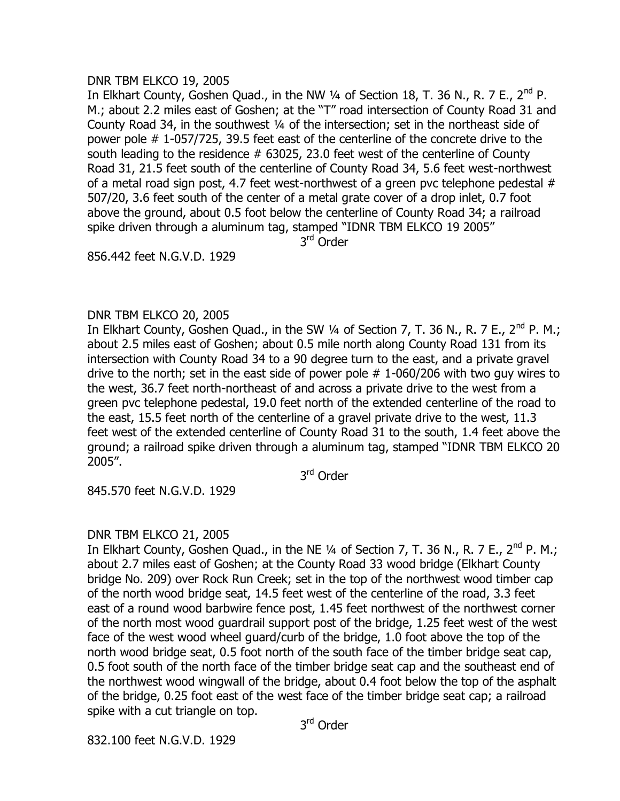## DNR TBM ELKCO 19, 2005

In Elkhart County, Goshen Quad., in the NW 1/4 of Section 18, T. 36 N., R. 7 E., 2<sup>nd</sup> P. M.; about 2.2 miles east of Goshen; at the "T" road intersection of County Road 31 and County Road 34, in the southwest ¼ of the intersection; set in the northeast side of power pole # 1-057/725, 39.5 feet east of the centerline of the concrete drive to the south leading to the residence # 63025, 23.0 feet west of the centerline of County Road 31, 21.5 feet south of the centerline of County Road 34, 5.6 feet west-northwest of a metal road sign post, 4.7 feet west-northwest of a green pvc telephone pedestal # 507/20, 3.6 feet south of the center of a metal grate cover of a drop inlet, 0.7 foot above the ground, about 0.5 foot below the centerline of County Road 34; a railroad spike driven through a aluminum tag, stamped "IDNR TBM ELKCO 19 2005"

3<sup>rd</sup> Order

856.442 feet N.G.V.D. 1929

# DNR TBM ELKCO 20, 2005

In Elkhart County, Goshen Quad., in the SW 1/4 of Section 7, T. 36 N., R. 7 E., 2<sup>nd</sup> P. M.; about 2.5 miles east of Goshen; about 0.5 mile north along County Road 131 from its intersection with County Road 34 to a 90 degree turn to the east, and a private gravel drive to the north; set in the east side of power pole  $# 1-060/206$  with two guy wires to the west, 36.7 feet north-northeast of and across a private drive to the west from a green pvc telephone pedestal, 19.0 feet north of the extended centerline of the road to the east, 15.5 feet north of the centerline of a gravel private drive to the west, 11.3 feet west of the extended centerline of County Road 31 to the south, 1.4 feet above the ground; a railroad spike driven through a aluminum tag, stamped "IDNR TBM ELKCO 20 2005".

3<sup>rd</sup> Order

845.570 feet N.G.V.D. 1929

# DNR TBM ELKCO 21, 2005

In Elkhart County, Goshen Quad., in the NE 1/4 of Section 7, T. 36 N., R. 7 E., 2<sup>nd</sup> P. M.; about 2.7 miles east of Goshen; at the County Road 33 wood bridge (Elkhart County bridge No. 209) over Rock Run Creek; set in the top of the northwest wood timber cap of the north wood bridge seat, 14.5 feet west of the centerline of the road, 3.3 feet east of a round wood barbwire fence post, 1.45 feet northwest of the northwest corner of the north most wood guardrail support post of the bridge, 1.25 feet west of the west face of the west wood wheel guard/curb of the bridge, 1.0 foot above the top of the north wood bridge seat, 0.5 foot north of the south face of the timber bridge seat cap, 0.5 foot south of the north face of the timber bridge seat cap and the southeast end of the northwest wood wingwall of the bridge, about 0.4 foot below the top of the asphalt of the bridge, 0.25 foot east of the west face of the timber bridge seat cap; a railroad spike with a cut triangle on top.

3<sup>rd</sup> Order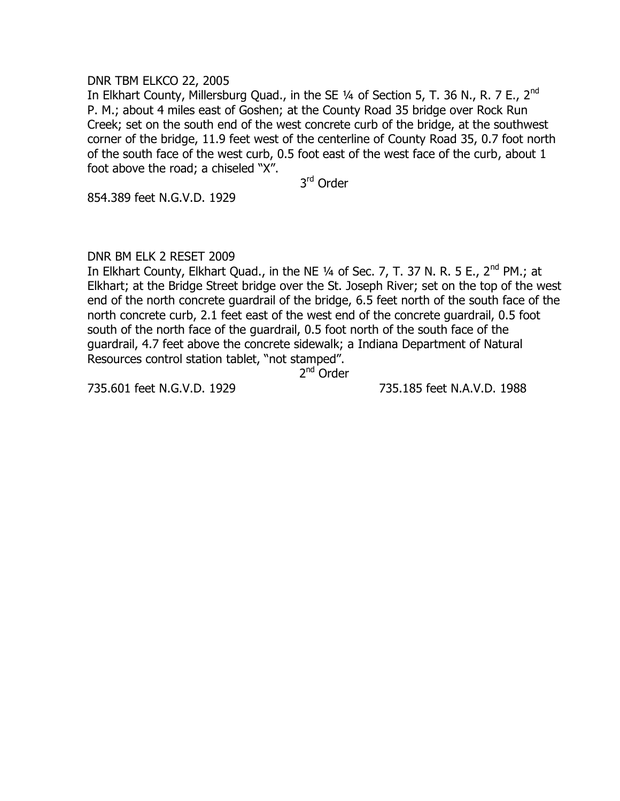#### DNR TBM ELKCO 22, 2005

In Elkhart County, Millersburg Quad., in the SE  $\frac{1}{4}$  of Section 5, T. 36 N., R. 7 E., 2<sup>nd</sup> P. M.; about 4 miles east of Goshen; at the County Road 35 bridge over Rock Run Creek; set on the south end of the west concrete curb of the bridge, at the southwest corner of the bridge, 11.9 feet west of the centerline of County Road 35, 0.7 foot north of the south face of the west curb, 0.5 foot east of the west face of the curb, about 1 foot above the road; a chiseled "X".

3<sup>rd</sup> Order

854.389 feet N.G.V.D. 1929

## DNR BM ELK 2 RESET 2009

In Elkhart County, Elkhart Quad., in the NE 1/4 of Sec. 7, T. 37 N. R. 5 E., 2<sup>nd</sup> PM.; at Elkhart; at the Bridge Street bridge over the St. Joseph River; set on the top of the west end of the north concrete guardrail of the bridge, 6.5 feet north of the south face of the north concrete curb, 2.1 feet east of the west end of the concrete guardrail, 0.5 foot south of the north face of the guardrail, 0.5 foot north of the south face of the guardrail, 4.7 feet above the concrete sidewalk; a Indiana Department of Natural Resources control station tablet, "not stamped".

2<sup>nd</sup> Order

735.601 feet N.G.V.D. 1929 735.185 feet N.A.V.D. 1988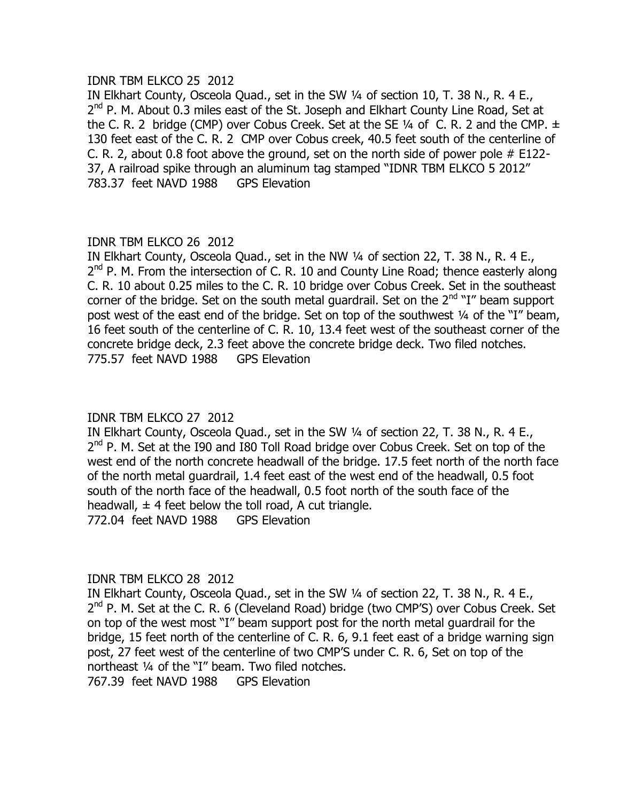## IDNR TBM ELKCO 25 2012

IN Elkhart County, Osceola Quad., set in the SW ¼ of section 10, T. 38 N., R. 4 E., 2<sup>nd</sup> P. M. About 0.3 miles east of the St. Joseph and Elkhart County Line Road, Set at the C. R. 2 bridge (CMP) over Cobus Creek. Set at the SE  $\frac{1}{4}$  of C. R. 2 and the CMP.  $\pm$ 130 feet east of the C. R. 2 CMP over Cobus creek, 40.5 feet south of the centerline of C. R. 2, about 0.8 foot above the ground, set on the north side of power pole # E122- 37, A railroad spike through an aluminum tag stamped "IDNR TBM ELKCO 5 2012" 783.37 feet NAVD 1988 GPS Elevation

## IDNR TBM ELKCO 26 2012

IN Elkhart County, Osceola Quad., set in the NW ¼ of section 22, T. 38 N., R. 4 E., 2<sup>nd</sup> P. M. From the intersection of C. R. 10 and County Line Road; thence easterly along C. R. 10 about 0.25 miles to the C. R. 10 bridge over Cobus Creek. Set in the southeast corner of the bridge. Set on the south metal guardrail. Set on the  $2^{nd}$  "I" beam support post west of the east end of the bridge. Set on top of the southwest ¼ of the "I" beam, 16 feet south of the centerline of C. R. 10, 13.4 feet west of the southeast corner of the concrete bridge deck, 2.3 feet above the concrete bridge deck. Two filed notches. 775.57 feet NAVD 1988 GPS Elevation

## IDNR TBM ELKCO 27 2012

IN Elkhart County, Osceola Quad., set in the SW ¼ of section 22, T. 38 N., R. 4 E., 2<sup>nd</sup> P. M. Set at the I90 and I80 Toll Road bridge over Cobus Creek. Set on top of the west end of the north concrete headwall of the bridge. 17.5 feet north of the north face of the north metal guardrail, 1.4 feet east of the west end of the headwall, 0.5 foot south of the north face of the headwall, 0.5 foot north of the south face of the headwall,  $\pm$  4 feet below the toll road, A cut triangle. 772.04 feet NAVD 1988 GPS Elevation

## IDNR TBM ELKCO 28 2012

IN Elkhart County, Osceola Quad., set in the SW ¼ of section 22, T. 38 N., R. 4 E., 2<sup>nd</sup> P. M. Set at the C. R. 6 (Cleveland Road) bridge (two CMP'S) over Cobus Creek. Set on top of the west most "I" beam support post for the north metal guardrail for the bridge, 15 feet north of the centerline of C. R. 6, 9.1 feet east of a bridge warning sign post, 27 feet west of the centerline of two CMP'S under C. R. 6, Set on top of the northeast ¼ of the "I" beam. Two filed notches. 767.39 feet NAVD 1988 GPS Elevation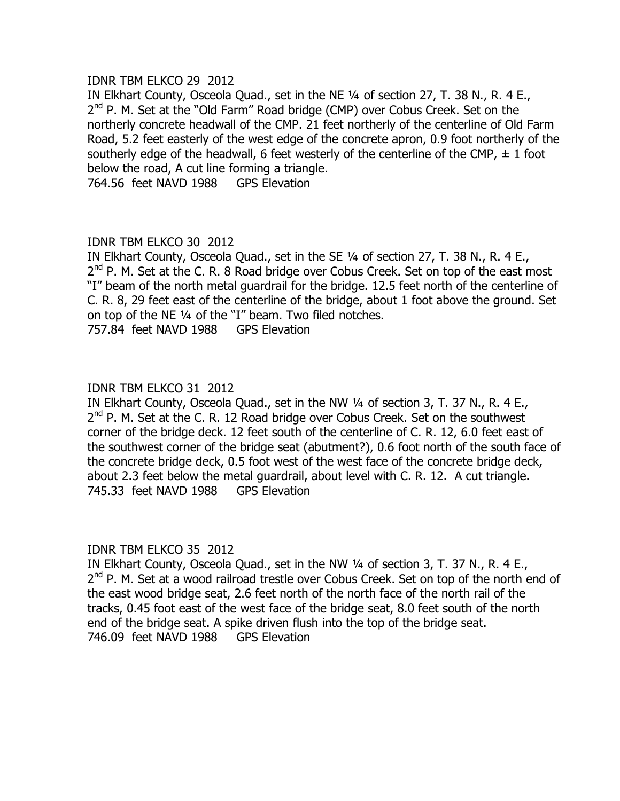#### IDNR TBM ELKCO 29 2012

IN Elkhart County, Osceola Quad., set in the NE ¼ of section 27, T. 38 N., R. 4 E., 2<sup>nd</sup> P. M. Set at the "Old Farm" Road bridge (CMP) over Cobus Creek. Set on the northerly concrete headwall of the CMP. 21 feet northerly of the centerline of Old Farm Road, 5.2 feet easterly of the west edge of the concrete apron, 0.9 foot northerly of the southerly edge of the headwall, 6 feet westerly of the centerline of the CMP,  $\pm$  1 foot below the road, A cut line forming a triangle.

764.56 feet NAVD 1988 GPS Elevation

## IDNR TBM ELKCO 30 2012

IN Elkhart County, Osceola Quad., set in the SE ¼ of section 27, T. 38 N., R. 4 E., 2<sup>nd</sup> P. M. Set at the C. R. 8 Road bridge over Cobus Creek. Set on top of the east most "I" beam of the north metal guardrail for the bridge. 12.5 feet north of the centerline of C. R. 8, 29 feet east of the centerline of the bridge, about 1 foot above the ground. Set on top of the NE ¼ of the "I" beam. Two filed notches. 757.84 feet NAVD 1988 GPS Elevation

#### IDNR TBM ELKCO 31 2012

IN Elkhart County, Osceola Quad., set in the NW ¼ of section 3, T. 37 N., R. 4 E., 2<sup>nd</sup> P. M. Set at the C. R. 12 Road bridge over Cobus Creek. Set on the southwest corner of the bridge deck. 12 feet south of the centerline of C. R. 12, 6.0 feet east of the southwest corner of the bridge seat (abutment?), 0.6 foot north of the south face of the concrete bridge deck, 0.5 foot west of the west face of the concrete bridge deck, about 2.3 feet below the metal guardrail, about level with C. R. 12. A cut triangle. 745.33 feet NAVD 1988 GPS Elevation

## IDNR TBM ELKCO 35 2012

IN Elkhart County, Osceola Quad., set in the NW ¼ of section 3, T. 37 N., R. 4 E., 2<sup>nd</sup> P. M. Set at a wood railroad trestle over Cobus Creek. Set on top of the north end of the east wood bridge seat, 2.6 feet north of the north face of the north rail of the tracks, 0.45 foot east of the west face of the bridge seat, 8.0 feet south of the north end of the bridge seat. A spike driven flush into the top of the bridge seat. 746.09 feet NAVD 1988 GPS Elevation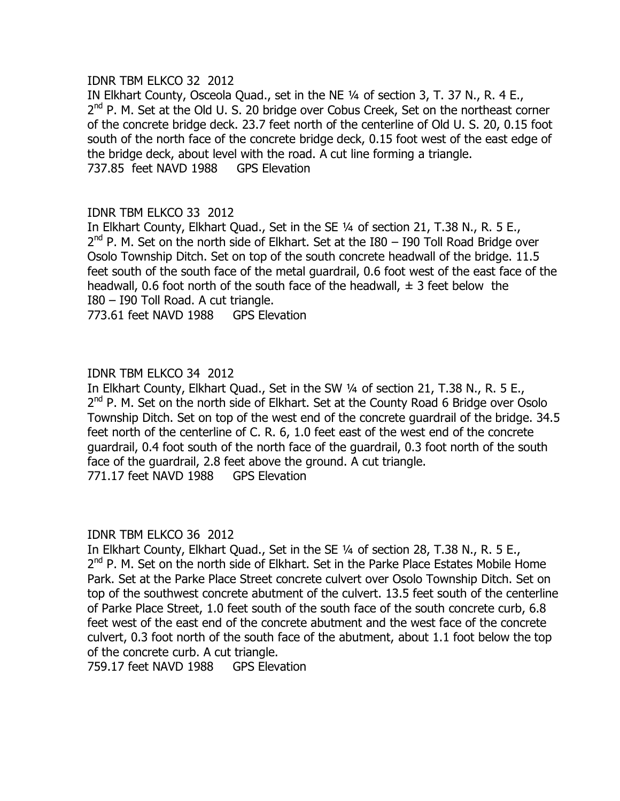#### IDNR TBM ELKCO 32 2012

IN Elkhart County, Osceola Quad., set in the NE ¼ of section 3, T. 37 N., R. 4 E., 2<sup>nd</sup> P. M. Set at the Old U. S. 20 bridge over Cobus Creek, Set on the northeast corner of the concrete bridge deck. 23.7 feet north of the centerline of Old U. S. 20, 0.15 foot south of the north face of the concrete bridge deck, 0.15 foot west of the east edge of the bridge deck, about level with the road. A cut line forming a triangle. 737.85 feet NAVD 1988 GPS Elevation

## IDNR TBM ELKCO 33 2012

In Elkhart County, Elkhart Quad., Set in the SE ¼ of section 21, T.38 N., R. 5 E.,  $2^{nd}$  P. M. Set on the north side of Elkhart. Set at the I80 – I90 Toll Road Bridge over Osolo Township Ditch. Set on top of the south concrete headwall of the bridge. 11.5 feet south of the south face of the metal guardrail, 0.6 foot west of the east face of the headwall, 0.6 foot north of the south face of the headwall,  $\pm$  3 feet below the I80 – I90 Toll Road. A cut triangle.

773.61 feet NAVD 1988 GPS Elevation

## IDNR TBM ELKCO 34 2012

In Elkhart County, Elkhart Quad., Set in the SW ¼ of section 21, T.38 N., R. 5 E., 2<sup>nd</sup> P. M. Set on the north side of Elkhart. Set at the County Road 6 Bridge over Osolo Township Ditch. Set on top of the west end of the concrete guardrail of the bridge. 34.5 feet north of the centerline of C. R. 6, 1.0 feet east of the west end of the concrete guardrail, 0.4 foot south of the north face of the guardrail, 0.3 foot north of the south face of the guardrail, 2.8 feet above the ground. A cut triangle.<br>771.17 feet NAVD 1988 GPS Elevation 771.17 feet NAVD 1988

#### IDNR TBM ELKCO 36 2012

In Elkhart County, Elkhart Quad., Set in the SE 1/4 of section 28, T.38 N., R. 5 E., 2<sup>nd</sup> P. M. Set on the north side of Elkhart. Set in the Parke Place Estates Mobile Home Park. Set at the Parke Place Street concrete culvert over Osolo Township Ditch. Set on top of the southwest concrete abutment of the culvert. 13.5 feet south of the centerline of Parke Place Street, 1.0 feet south of the south face of the south concrete curb, 6.8 feet west of the east end of the concrete abutment and the west face of the concrete culvert, 0.3 foot north of the south face of the abutment, about 1.1 foot below the top of the concrete curb. A cut triangle.

759.17 feet NAVD 1988 GPS Elevation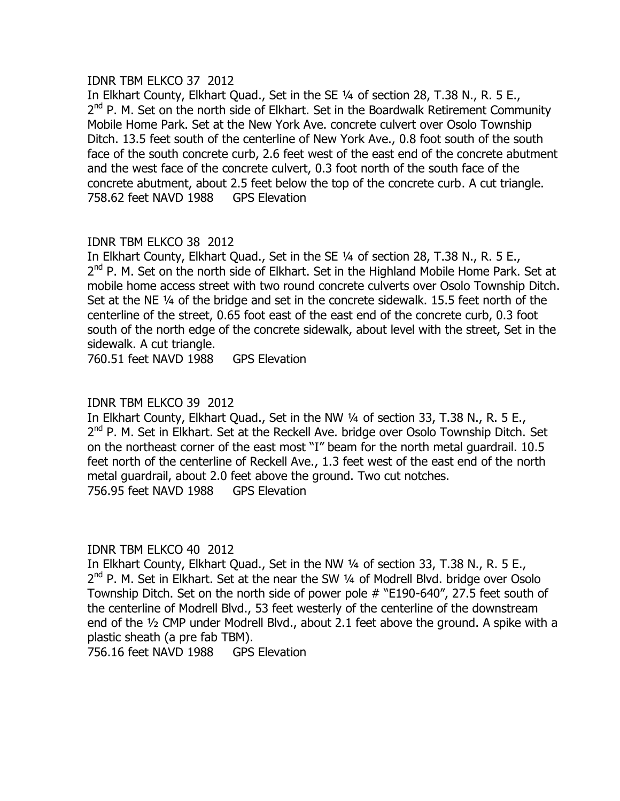## IDNR TBM ELKCO 37 2012

In Elkhart County, Elkhart Quad., Set in the SE ¼ of section 28, T.38 N., R. 5 E., 2<sup>nd</sup> P. M. Set on the north side of Elkhart. Set in the Boardwalk Retirement Community Mobile Home Park. Set at the New York Ave. concrete culvert over Osolo Township Ditch. 13.5 feet south of the centerline of New York Ave., 0.8 foot south of the south face of the south concrete curb, 2.6 feet west of the east end of the concrete abutment and the west face of the concrete culvert, 0.3 foot north of the south face of the concrete abutment, about 2.5 feet below the top of the concrete curb. A cut triangle. 758.62 feet NAVD 1988 GPS Elevation

# IDNR TBM ELKCO 38 2012

In Elkhart County, Elkhart Quad., Set in the SE ¼ of section 28, T.38 N., R. 5 E., 2<sup>nd</sup> P. M. Set on the north side of Elkhart. Set in the Highland Mobile Home Park. Set at mobile home access street with two round concrete culverts over Osolo Township Ditch. Set at the NE ¼ of the bridge and set in the concrete sidewalk. 15.5 feet north of the centerline of the street, 0.65 foot east of the east end of the concrete curb, 0.3 foot south of the north edge of the concrete sidewalk, about level with the street, Set in the sidewalk. A cut triangle.

760.51 feet NAVD 1988 GPS Elevation

# IDNR TBM ELKCO 39 2012

In Elkhart County, Elkhart Quad., Set in the NW ¼ of section 33, T.38 N., R. 5 E., 2<sup>nd</sup> P. M. Set in Elkhart. Set at the Reckell Ave. bridge over Osolo Township Ditch. Set on the northeast corner of the east most "I" beam for the north metal guardrail. 10.5 feet north of the centerline of Reckell Ave., 1.3 feet west of the east end of the north metal guardrail, about 2.0 feet above the ground. Two cut notches. 756.95 feet NAVD 1988 GPS Elevation

# IDNR TBM ELKCO 40 2012

In Elkhart County, Elkhart Quad., Set in the NW ¼ of section 33, T.38 N., R. 5 E., 2<sup>nd</sup> P. M. Set in Elkhart. Set at the near the SW 1/4 of Modrell Blvd. bridge over Osolo Township Ditch. Set on the north side of power pole # "E190-640", 27.5 feet south of the centerline of Modrell Blvd., 53 feet westerly of the centerline of the downstream end of the ½ CMP under Modrell Blvd., about 2.1 feet above the ground. A spike with a plastic sheath (a pre fab TBM).

756.16 feet NAVD 1988 GPS Elevation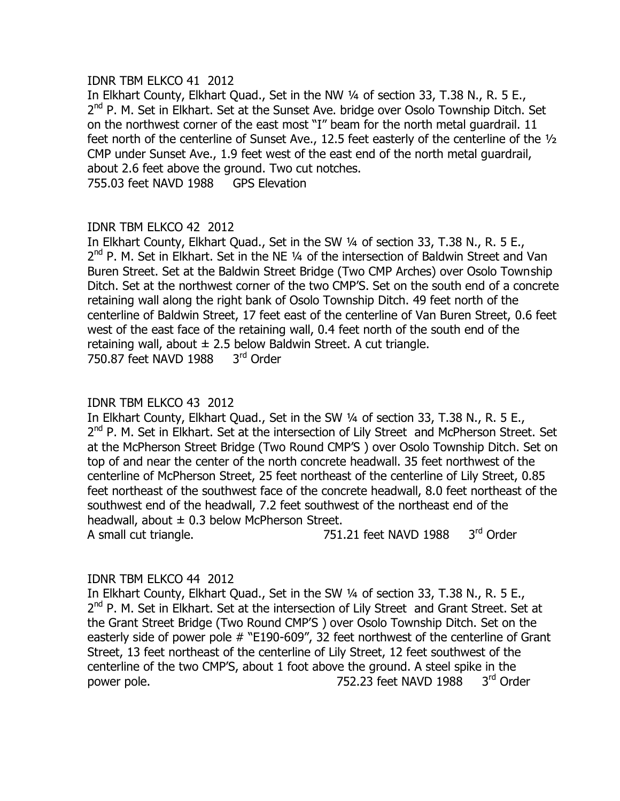## IDNR TBM ELKCO 41 2012

In Elkhart County, Elkhart Quad., Set in the NW ¼ of section 33, T.38 N., R. 5 E., 2<sup>nd</sup> P. M. Set in Elkhart. Set at the Sunset Ave. bridge over Osolo Township Ditch. Set on the northwest corner of the east most "I" beam for the north metal guardrail. 11 feet north of the centerline of Sunset Ave., 12.5 feet easterly of the centerline of the ½ CMP under Sunset Ave., 1.9 feet west of the east end of the north metal guardrail, about 2.6 feet above the ground. Two cut notches. 755.03 feet NAVD 1988 GPS Elevation

## IDNR TBM ELKCO 42 2012

In Elkhart County, Elkhart Quad., Set in the SW ¼ of section 33, T.38 N., R. 5 E., 2<sup>nd</sup> P. M. Set in Elkhart. Set in the NE 1/4 of the intersection of Baldwin Street and Van Buren Street. Set at the Baldwin Street Bridge (Two CMP Arches) over Osolo Township Ditch. Set at the northwest corner of the two CMP'S. Set on the south end of a concrete retaining wall along the right bank of Osolo Township Ditch. 49 feet north of the centerline of Baldwin Street, 17 feet east of the centerline of Van Buren Street, 0.6 feet west of the east face of the retaining wall, 0.4 feet north of the south end of the retaining wall, about  $\pm$  2.5 below Baldwin Street. A cut triangle. 750.87 feet NAVD 1988 3rd Order

#### IDNR TBM ELKCO 43 2012

In Elkhart County, Elkhart Quad., Set in the SW ¼ of section 33, T.38 N., R. 5 E., 2<sup>nd</sup> P. M. Set in Elkhart. Set at the intersection of Lily Street and McPherson Street. Set at the McPherson Street Bridge (Two Round CMP'S ) over Osolo Township Ditch. Set on top of and near the center of the north concrete headwall. 35 feet northwest of the centerline of McPherson Street, 25 feet northeast of the centerline of Lily Street, 0.85 feet northeast of the southwest face of the concrete headwall, 8.0 feet northeast of the southwest end of the headwall, 7.2 feet southwest of the northeast end of the headwall, about  $\pm$  0.3 below McPherson Street.

A small cut triangle. The May 1988 2<sup>rd</sup> Order

## IDNR TBM ELKCO 44 2012

In Elkhart County, Elkhart Quad., Set in the SW ¼ of section 33, T.38 N., R. 5 E., 2<sup>nd</sup> P. M. Set in Elkhart. Set at the intersection of Lily Street and Grant Street. Set at the Grant Street Bridge (Two Round CMP'S ) over Osolo Township Ditch. Set on the easterly side of power pole # "E190-609", 32 feet northwest of the centerline of Grant Street, 13 feet northeast of the centerline of Lily Street, 12 feet southwest of the centerline of the two CMP'S, about 1 foot above the ground. A steel spike in the power pole. The power pole of the contract of the 752.23 feet NAVD 1988 3rd Order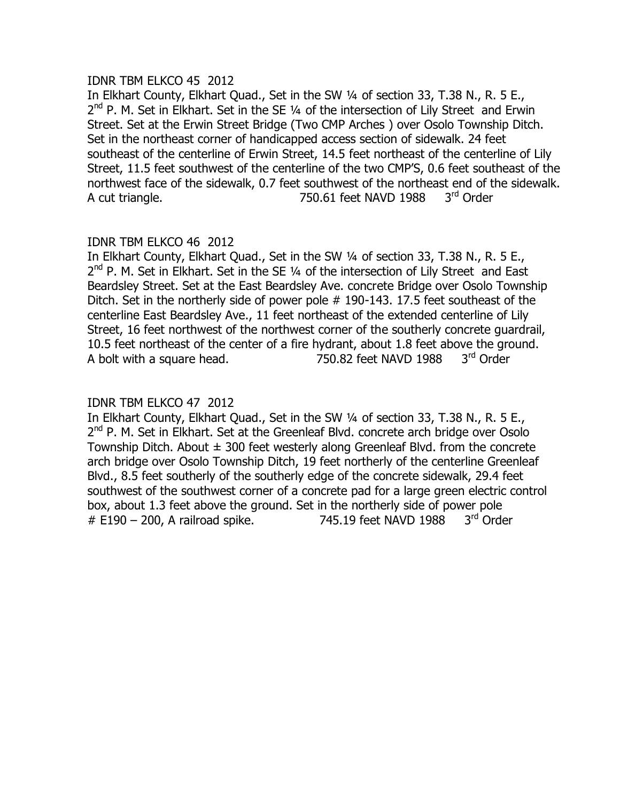#### IDNR TBM ELKCO 45 2012

In Elkhart County, Elkhart Quad., Set in the SW ¼ of section 33, T.38 N., R. 5 E., 2<sup>nd</sup> P. M. Set in Elkhart. Set in the SE 1/4 of the intersection of Lily Street and Erwin Street. Set at the Erwin Street Bridge (Two CMP Arches ) over Osolo Township Ditch. Set in the northeast corner of handicapped access section of sidewalk. 24 feet southeast of the centerline of Erwin Street, 14.5 feet northeast of the centerline of Lily Street, 11.5 feet southwest of the centerline of the two CMP'S, 0.6 feet southeast of the northwest face of the sidewalk, 0.7 feet southwest of the northeast end of the sidewalk. A cut triangle. The mass of the 750.61 feet NAVD 1988 3rd Order

## IDNR TBM ELKCO 46 2012

In Elkhart County, Elkhart Quad., Set in the SW ¼ of section 33, T.38 N., R. 5 E.,  $2^{nd}$  P. M. Set in Elkhart. Set in the SE 1/4 of the intersection of Lily Street and East Beardsley Street. Set at the East Beardsley Ave. concrete Bridge over Osolo Township Ditch. Set in the northerly side of power pole # 190-143. 17.5 feet southeast of the centerline East Beardsley Ave., 11 feet northeast of the extended centerline of Lily Street, 16 feet northwest of the northwest corner of the southerly concrete guardrail, 10.5 feet northeast of the center of a fire hydrant, about 1.8 feet above the ground. A bolt with a square head. 750.82 feet NAVD 1988 3rd Order

## IDNR TBM ELKCO 47 2012

In Elkhart County, Elkhart Quad., Set in the SW ¼ of section 33, T.38 N., R. 5 E., 2<sup>nd</sup> P. M. Set in Elkhart. Set at the Greenleaf Blvd. concrete arch bridge over Osolo Township Ditch. About  $\pm$  300 feet westerly along Greenleaf Blvd. from the concrete arch bridge over Osolo Township Ditch, 19 feet northerly of the centerline Greenleaf Blvd., 8.5 feet southerly of the southerly edge of the concrete sidewalk, 29.4 feet southwest of the southwest corner of a concrete pad for a large green electric control box, about 1.3 feet above the ground. Set in the northerly side of power pole  $# E190 - 200$ , A railroad spike. 745.19 feet NAVD 1988  $3<sup>rd</sup>$  Order